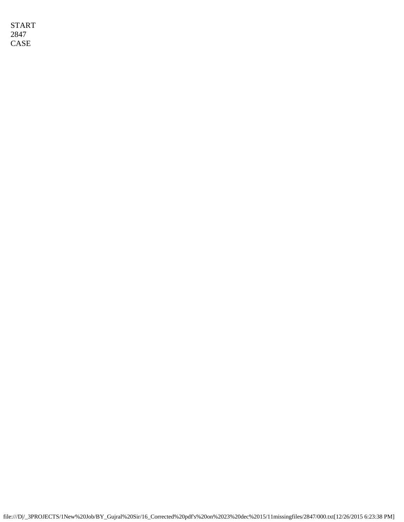START 2847 CASE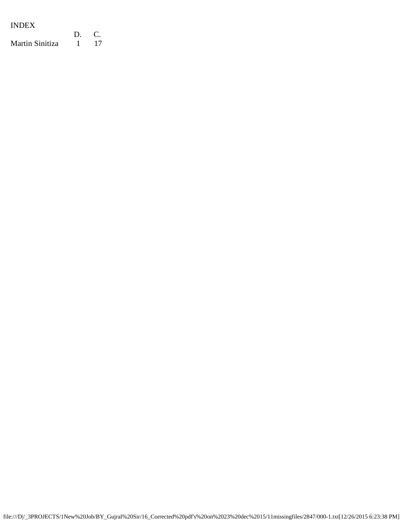| <b>INDEX</b>    |    |            |
|-----------------|----|------------|
|                 | D. | $\sqrt{2}$ |
| Martin Sinitiza |    | -17        |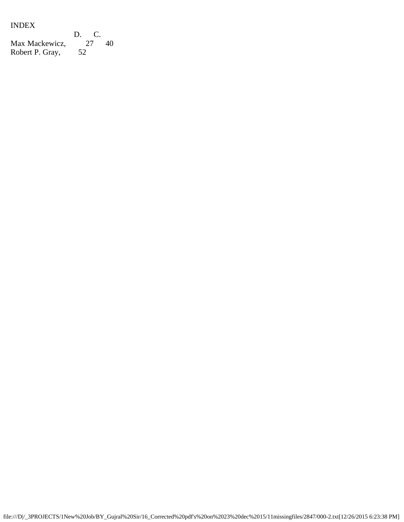## INDEX

D. C.<br>27 40 Max Mackewicz, 27 40 Robert P. Gray, 52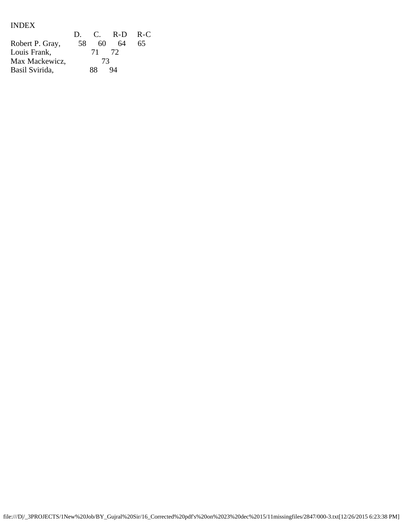# INDEX

|                 | $D_{\alpha}$ |       | C. R-D. R-C. |    |
|-----------------|--------------|-------|--------------|----|
| Robert P. Gray, | 58           | 60    | 64           | 65 |
| Louis Frank,    |              | 71 72 |              |    |
| Max Mackewicz,  |              | 73    |              |    |
| Basil Svirida,  |              | 88    | 94           |    |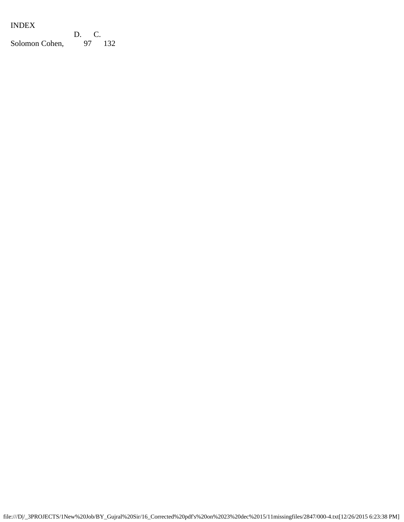## INDEX

D. C.<br>97 132 Solomon Cohen,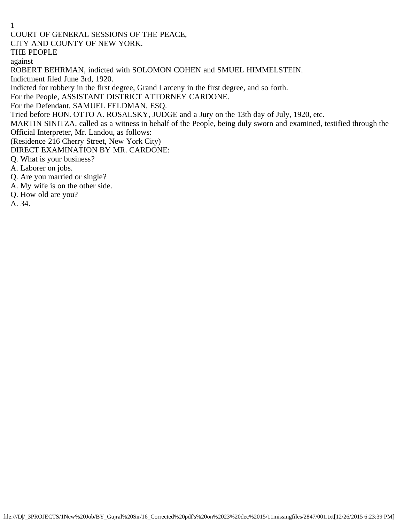COURT OF GENERAL SESSIONS OF THE PEACE,

CITY AND COUNTY OF NEW YORK.

THE PEOPLE

against

ROBERT BEHRMAN, indicted with SOLOMON COHEN and SMUEL HIMMELSTEIN.

Indictment filed June 3rd, 1920.

Indicted for robbery in the first degree, Grand Larceny in the first degree, and so forth.

For the People, ASSISTANT DISTRICT ATTORNEY CARDONE.

For the Defendant, SAMUEL FELDMAN, ESQ.

Tried before HON. OTTO A. ROSALSKY, JUDGE and a Jury on the 13th day of July, 1920, etc.

MARTIN SINITZA, called as a witness in behalf of the People, being duly sworn and examined, testified through the Official Interpreter, Mr. Landou, as follows:

(Residence 216 Cherry Street, New York City)

DIRECT EXAMINATION BY MR. CARDONE:

Q. What is your business?

A. Laborer on jobs.

Q. Are you married or single?

A. My wife is on the other side.

Q. How old are you?

A. 34.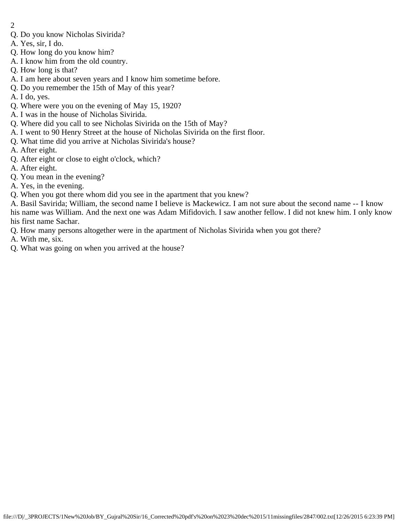- 2
- Q. Do you know Nicholas Sivirida?
- A. Yes, sir, I do.
- Q. How long do you know him?
- A. I know him from the old country.
- Q. How long is that?
- A. I am here about seven years and I know him sometime before.
- Q. Do you remember the 15th of May of this year?
- A. I do, yes.
- Q. Where were you on the evening of May 15, 1920?
- A. I was in the house of Nicholas Sivirida.
- Q. Where did you call to see Nicholas Sivirida on the 15th of May?
- A. I went to 90 Henry Street at the house of Nicholas Sivirida on the first floor.
- Q. What time did you arrive at Nicholas Sivirida's house?
- A. After eight.
- Q. After eight or close to eight o'clock, which?
- A. After eight.
- Q. You mean in the evening?
- A. Yes, in the evening.
- Q. When you got there whom did you see in the apartment that you knew?

A. Basil Savirida; William, the second name I believe is Mackewicz. I am not sure about the second name -- I know his name was William. And the next one was Adam Mifidovich. I saw another fellow. I did not knew him. I only know his first name Sachar.

- Q. How many persons altogether were in the apartment of Nicholas Sivirida when you got there?
- A. With me, six.
- Q. What was going on when you arrived at the house?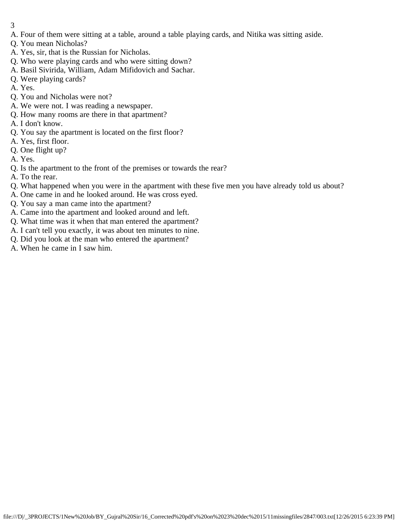- 3
- A. Four of them were sitting at a table, around a table playing cards, and Nitika was sitting aside.
- Q. You mean Nicholas?
- A. Yes, sir, that is the Russian for Nicholas.
- Q. Who were playing cards and who were sitting down?
- A. Basil Sivirida, William, Adam Mifidovich and Sachar.
- Q. Were playing cards?
- A. Yes.
- Q. You and Nicholas were not?
- A. We were not. I was reading a newspaper.
- Q. How many rooms are there in that apartment?
- A. I don't know.
- Q. You say the apartment is located on the first floor?
- A. Yes, first floor.
- Q. One flight up?
- A. Yes.
- Q. Is the apartment to the front of the premises or towards the rear?
- A. To the rear.
- Q. What happened when you were in the apartment with these five men you have already told us about?
- A. One came in and he looked around. He was cross eyed.
- Q. You say a man came into the apartment?
- A. Came into the apartment and looked around and left.
- Q. What time was it when that man entered the apartment?
- A. I can't tell you exactly, it was about ten minutes to nine.
- Q. Did you look at the man who entered the apartment?
- A. When he came in I saw him.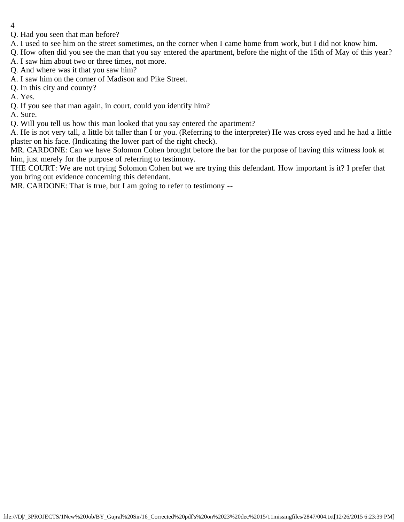- 4
- Q. Had you seen that man before?
- A. I used to see him on the street sometimes, on the corner when I came home from work, but I did not know him.
- Q. How often did you see the man that you say entered the apartment, before the night of the 15th of May of this year?
- A. I saw him about two or three times, not more.
- Q. And where was it that you saw him?
- A. I saw him on the corner of Madison and Pike Street.
- Q. In this city and county?
- A. Yes.
- Q. If you see that man again, in court, could you identify him?
- A. Sure.
- Q. Will you tell us how this man looked that you say entered the apartment?
- A. He is not very tall, a little bit taller than I or you. (Referring to the interpreter) He was cross eyed and he had a little plaster on his face. (Indicating the lower part of the right check).
- MR. CARDONE: Can we have Solomon Cohen brought before the bar for the purpose of having this witness look at him, just merely for the purpose of referring to testimony.
- THE COURT: We are not trying Solomon Cohen but we are trying this defendant. How important is it? I prefer that you bring out evidence concerning this defendant.
- MR. CARDONE: That is true, but I am going to refer to testimony --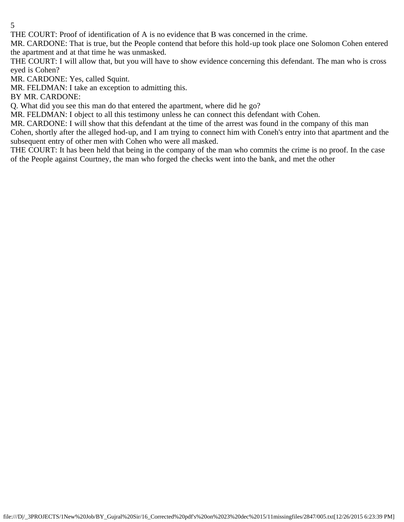THE COURT: Proof of identification of A is no evidence that B was concerned in the crime.

MR. CARDONE: That is true, but the People contend that before this hold-up took place one Solomon Cohen entered the apartment and at that time he was unmasked.

THE COURT: I will allow that, but you will have to show evidence concerning this defendant. The man who is cross eyed is Cohen?

MR. CARDONE: Yes, called Squint.

MR. FELDMAN: I take an exception to admitting this.

BY MR. CARDONE:

Q. What did you see this man do that entered the apartment, where did he go?

MR. FELDMAN: I object to all this testimony unless he can connect this defendant with Cohen.

MR. CARDONE: I will show that this defendant at the time of the arrest was found in the company of this man Cohen, shortly after the alleged hod-up, and I am trying to connect him with Coneh's entry into that apartment and the

subsequent entry of other men with Cohen who were all masked.

THE COURT: It has been held that being in the company of the man who commits the crime is no proof. In the case of the People against Courtney, the man who forged the checks went into the bank, and met the other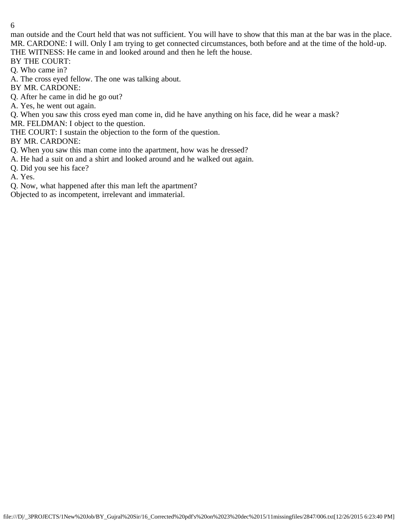man outside and the Court held that was not sufficient. You will have to show that this man at the bar was in the place. MR. CARDONE: I will. Only I am trying to get connected circumstances, both before and at the time of the hold-up. THE WITNESS: He came in and looked around and then he left the house.

BY THE COURT:

Q. Who came in?

A. The cross eyed fellow. The one was talking about.

BY MR. CARDONE:

Q. After he came in did he go out?

A. Yes, he went out again.

Q. When you saw this cross eyed man come in, did he have anything on his face, did he wear a mask?

MR. FELDMAN: I object to the question.

THE COURT: I sustain the objection to the form of the question.

BY MR. CARDONE:

Q. When you saw this man come into the apartment, how was he dressed?

A. He had a suit on and a shirt and looked around and he walked out again.

Q. Did you see his face?

A. Yes.

Q. Now, what happened after this man left the apartment?

Objected to as incompetent, irrelevant and immaterial.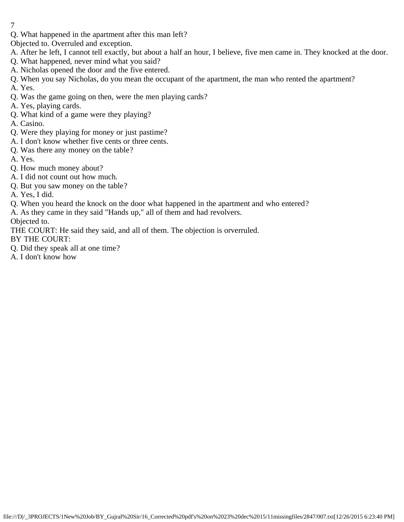Q. What happened in the apartment after this man left?

Objected to. Overruled and exception.

- A. After he left, I cannot tell exactly, but about a half an hour, I believe, five men came in. They knocked at the door.
- Q. What happened, never mind what you said?
- A. Nicholas opened the door and the five entered.
- Q. When you say Nicholas, do you mean the occupant of the apartment, the man who rented the apartment?
- A. Yes.
- Q. Was the game going on then, were the men playing cards?
- A. Yes, playing cards.
- Q. What kind of a game were they playing?
- A. Casino.
- Q. Were they playing for money or just pastime?
- A. I don't know whether five cents or three cents.
- Q. Was there any money on the table?
- A. Yes.
- Q. How much money about?
- A. I did not count out how much.
- Q. But you saw money on the table?
- A. Yes, I did.
- Q. When you heard the knock on the door what happened in the apartment and who entered?
- A. As they came in they said "Hands up," all of them and had revolvers.

Objected to.

THE COURT: He said they said, and all of them. The objection is orverruled.

BY THE COURT:

- Q. Did they speak all at one time?
- A. I don't know how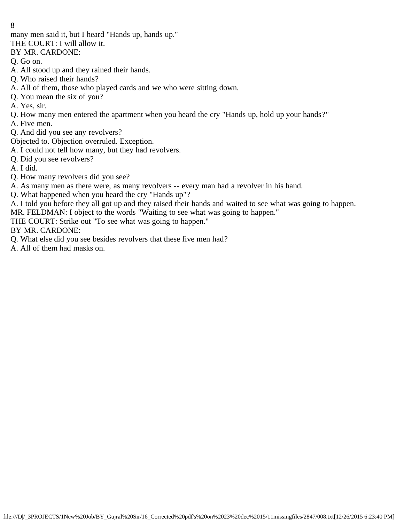many men said it, but I heard "Hands up, hands up."

THE COURT: I will allow it.

BY MR. CARDONE:

Q. Go on.

- A. All stood up and they rained their hands.
- Q. Who raised their hands?
- A. All of them, those who played cards and we who were sitting down.
- Q. You mean the six of you?
- A. Yes, sir.
- Q. How many men entered the apartment when you heard the cry "Hands up, hold up your hands?"
- A. Five men.
- Q. And did you see any revolvers?

Objected to. Objection overruled. Exception.

- A. I could not tell how many, but they had revolvers.
- Q. Did you see revolvers?

A. I did.

- Q. How many revolvers did you see?
- A. As many men as there were, as many revolvers -- every man had a revolver in his hand.
- Q. What happened when you heard the cry "Hands up"?

A. I told you before they all got up and they raised their hands and waited to see what was going to happen.

MR. FELDMAN: I object to the words "Waiting to see what was going to happen."

THE COURT: Strike out "To see what was going to happen."

BY MR. CARDONE:

- Q. What else did you see besides revolvers that these five men had?
- A. All of them had masks on.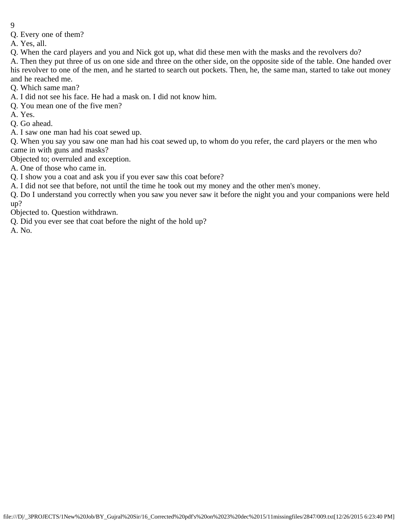- 9
- Q. Every one of them?

A. Yes, all.

Q. When the card players and you and Nick got up, what did these men with the masks and the revolvers do?

A. Then they put three of us on one side and three on the other side, on the opposite side of the table. One handed over his revolver to one of the men, and he started to search out pockets. Then, he, the same man, started to take out money and he reached me.

Q. Which same man?

A. I did not see his face. He had a mask on. I did not know him.

- Q. You mean one of the five men?
- A. Yes.
- Q. Go ahead.
- A. I saw one man had his coat sewed up.

Q. When you say you saw one man had his coat sewed up, to whom do you refer, the card players or the men who came in with guns and masks?

Objected to; overruled and exception.

A. One of those who came in.

Q. I show you a coat and ask you if you ever saw this coat before?

A. I did not see that before, not until the time he took out my money and the other men's money.

Q. Do I understand you correctly when you saw you never saw it before the night you and your companions were held up?

Objected to. Question withdrawn.

Q. Did you ever see that coat before the night of the hold up?

A. No.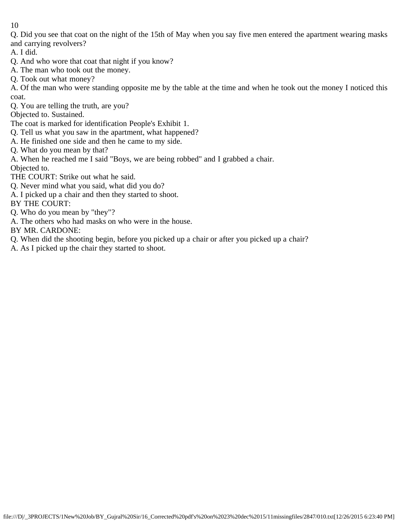Q. Did you see that coat on the night of the 15th of May when you say five men entered the apartment wearing masks and carrying revolvers?

A. I did.

- Q. And who wore that coat that night if you know?
- A. The man who took out the money.
- Q. Took out what money?

A. Of the man who were standing opposite me by the table at the time and when he took out the money I noticed this coat.

Q. You are telling the truth, are you?

Objected to. Sustained.

The coat is marked for identification People's Exhibit 1.

- Q. Tell us what you saw in the apartment, what happened?
- A. He finished one side and then he came to my side.

Q. What do you mean by that?

A. When he reached me I said "Boys, we are being robbed" and I grabbed a chair.

Objected to.

- THE COURT: Strike out what he said.
- Q. Never mind what you said, what did you do?
- A. I picked up a chair and then they started to shoot.

BY THE COURT:

- Q. Who do you mean by "they"?
- A. The others who had masks on who were in the house.

BY MR. CARDONE:

- Q. When did the shooting begin, before you picked up a chair or after you picked up a chair?
- A. As I picked up the chair they started to shoot.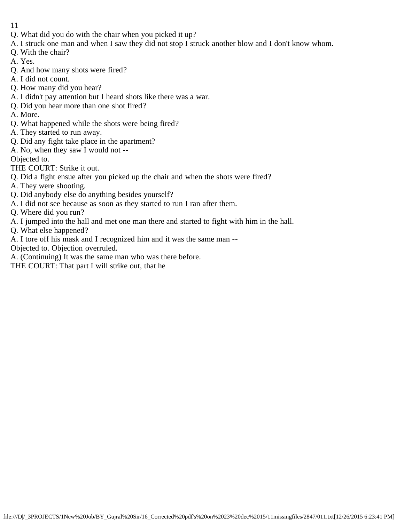- 11
- Q. What did you do with the chair when you picked it up?
- A. I struck one man and when I saw they did not stop I struck another blow and I don't know whom.
- Q. With the chair?
- A. Yes.
- Q. And how many shots were fired?
- A. I did not count.
- Q. How many did you hear?
- A. I didn't pay attention but I heard shots like there was a war.
- Q. Did you hear more than one shot fired?
- A. More.
- Q. What happened while the shots were being fired?
- A. They started to run away.
- Q. Did any fight take place in the apartment?
- A. No, when they saw I would not --

Objected to.

- THE COURT: Strike it out.
- Q. Did a fight ensue after you picked up the chair and when the shots were fired?
- A. They were shooting.
- Q. Did anybody else do anything besides yourself?
- A. I did not see because as soon as they started to run I ran after them.
- Q. Where did you run?
- A. I jumped into the hall and met one man there and started to fight with him in the hall.
- Q. What else happened?
- A. I tore off his mask and I recognized him and it was the same man --
- Objected to. Objection overruled.
- A. (Continuing) It was the same man who was there before.
- THE COURT: That part I will strike out, that he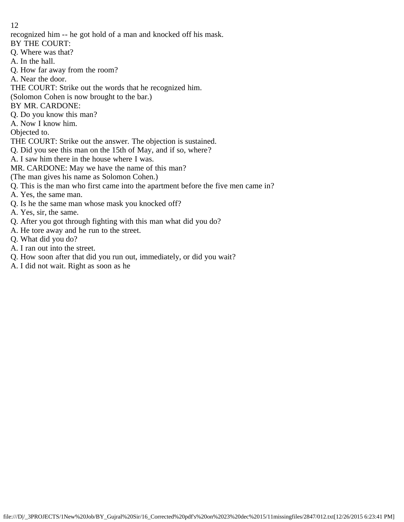recognized him -- he got hold of a man and knocked off his mask.

BY THE COURT:

- Q. Where was that?
- A. In the hall.
- Q. How far away from the room?
- A. Near the door.

THE COURT: Strike out the words that he recognized him.

(Solomon Cohen is now brought to the bar.)

BY MR. CARDONE:

Q. Do you know this man?

A. Now I know him.

Objected to.

THE COURT: Strike out the answer. The objection is sustained.

Q. Did you see this man on the 15th of May, and if so, where?

A. I saw him there in the house where I was.

MR. CARDONE: May we have the name of this man?

(The man gives his name as Solomon Cohen.)

Q. This is the man who first came into the apartment before the five men came in?

A. Yes, the same man.

- Q. Is he the same man whose mask you knocked off?
- A. Yes, sir, the same.
- Q. After you got through fighting with this man what did you do?
- A. He tore away and he run to the street.
- Q. What did you do?
- A. I ran out into the street.
- Q. How soon after that did you run out, immediately, or did you wait?
- A. I did not wait. Right as soon as he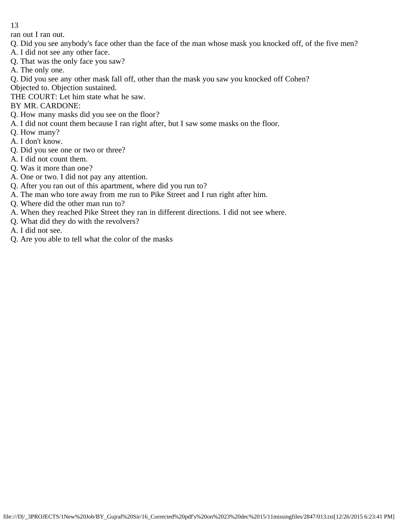ran out I ran out.

- Q. Did you see anybody's face other than the face of the man whose mask you knocked off, of the five men?
- A. I did not see any other face.
- Q. That was the only face you saw?
- A. The only one.
- Q. Did you see any other mask fall off, other than the mask you saw you knocked off Cohen?
- Objected to. Objection sustained.
- THE COURT: Let him state what he saw.
- BY MR. CARDONE:
- Q. How many masks did you see on the floor?
- A. I did not count them because I ran right after, but I saw some masks on the floor.
- Q. How many?
- A. I don't know.
- Q. Did you see one or two or three?
- A. I did not count them.
- Q. Was it more than one?
- A. One or two. I did not pay any attention.
- Q. After you ran out of this apartment, where did you run to?
- A. The man who tore away from me run to Pike Street and I run right after him.
- Q. Where did the other man run to?
- A. When they reached Pike Street they ran in different directions. I did not see where.
- Q. What did they do with the revolvers?
- A. I did not see.
- Q. Are you able to tell what the color of the masks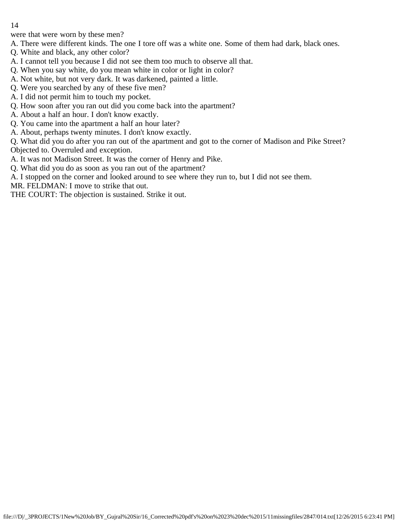were that were worn by these men?

A. There were different kinds. The one I tore off was a white one. Some of them had dark, black ones.

- Q. White and black, any other color?
- A. I cannot tell you because I did not see them too much to observe all that.
- Q. When you say white, do you mean white in color or light in color?
- A. Not white, but not very dark. It was darkened, painted a little.
- Q. Were you searched by any of these five men?
- A. I did not permit him to touch my pocket.
- Q. How soon after you ran out did you come back into the apartment?
- A. About a half an hour. I don't know exactly.
- Q. You came into the apartment a half an hour later?
- A. About, perhaps twenty minutes. I don't know exactly.

Q. What did you do after you ran out of the apartment and got to the corner of Madison and Pike Street? Objected to. Overruled and exception.

- A. It was not Madison Street. It was the corner of Henry and Pike.
- Q. What did you do as soon as you ran out of the apartment?
- A. I stopped on the corner and looked around to see where they run to, but I did not see them.

MR. FELDMAN: I move to strike that out.

THE COURT: The objection is sustained. Strike it out.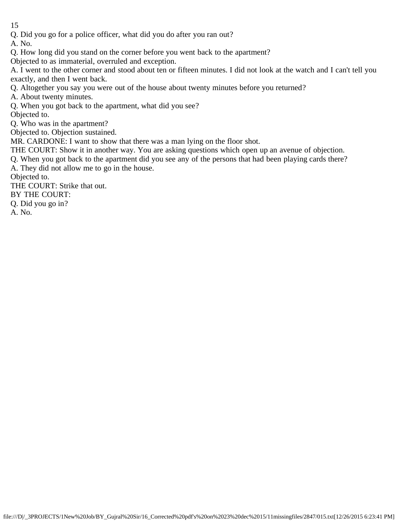Q. Did you go for a police officer, what did you do after you ran out?

A. No.

Q. How long did you stand on the corner before you went back to the apartment?

Objected to as immaterial, overruled and exception.

A. I went to the other corner and stood about ten or fifteen minutes. I did not look at the watch and I can't tell you exactly, and then I went back.

Q. Altogether you say you were out of the house about twenty minutes before you returned?

A. About twenty minutes.

Q. When you got back to the apartment, what did you see?

Objected to.

Q. Who was in the apartment?

Objected to. Objection sustained.

MR. CARDONE: I want to show that there was a man lying on the floor shot.

THE COURT: Show it in another way. You are asking questions which open up an avenue of objection.

Q. When you got back to the apartment did you see any of the persons that had been playing cards there?

A. They did not allow me to go in the house.

Objected to.

THE COURT: Strike that out.

BY THE COURT:

Q. Did you go in?

A. No.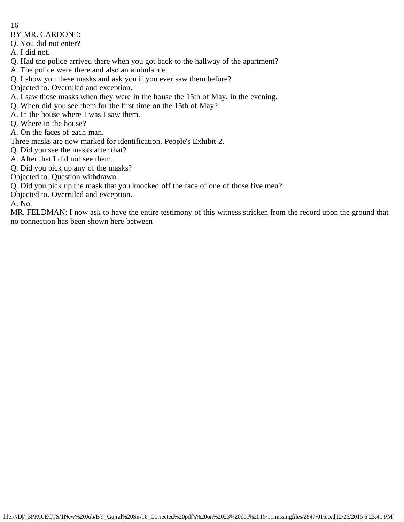BY MR. CARDONE:

Q. You did not enter?

A. I did not.

Q. Had the police arrived there when you got back to the hallway of the apartment?

A. The police were there and also an ambulance.

Q. I show you these masks and ask you if you ever saw them before?

Objected to. Overruled and exception.

A. I saw those masks when they were in the house the 15th of May, in the evening.

Q. When did you see them for the first time on the 15th of May?

A. In the house where I was I saw them.

Q. Where in the house?

A. On the faces of each man.

Three masks are now marked for identification, People's Exhibit 2.

Q. Did you see the masks after that?

A. After that I did not see them.

Q. Did you pick up any of the masks?

Objected to. Question withdrawn.

Q. Did you pick up the mask that you knocked off the face of one of those five men?

Objected to. Overruled and exception.

A. No.

MR. FELDMAN: I now ask to have the entire testimony of this witness stricken from the record upon the ground that no connection has been shown here between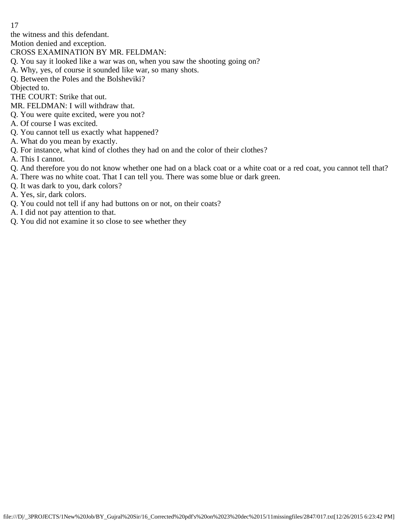the witness and this defendant.

Motion denied and exception.

- CROSS EXAMINATION BY MR. FELDMAN:
- Q. You say it looked like a war was on, when you saw the shooting going on?
- A. Why, yes, of course it sounded like war, so many shots.
- Q. Between the Poles and the Bolsheviki?

Objected to.

THE COURT: Strike that out.

- MR. FELDMAN: I will withdraw that.
- Q. You were quite excited, were you not?
- A. Of course I was excited.
- Q. You cannot tell us exactly what happened?
- A. What do you mean by exactly.
- Q. For instance, what kind of clothes they had on and the color of their clothes?
- A. This I cannot.
- Q. And therefore you do not know whether one had on a black coat or a white coat or a red coat, you cannot tell that?
- A. There was no white coat. That I can tell you. There was some blue or dark green.
- Q. It was dark to you, dark colors?
- A. Yes, sir, dark colors.
- Q. You could not tell if any had buttons on or not, on their coats?
- A. I did not pay attention to that.
- Q. You did not examine it so close to see whether they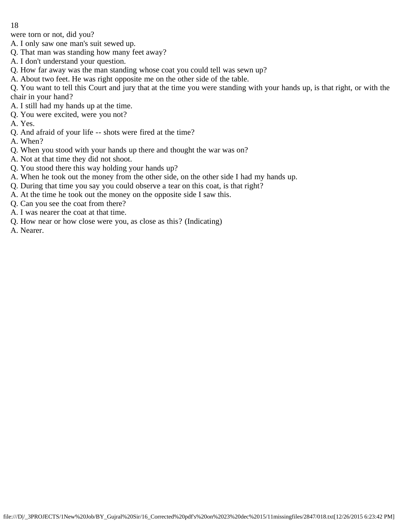were torn or not, did you?

- A. I only saw one man's suit sewed up.
- Q. That man was standing how many feet away?
- A. I don't understand your question.
- Q. How far away was the man standing whose coat you could tell was sewn up?
- A. About two feet. He was right opposite me on the other side of the table.

Q. You want to tell this Court and jury that at the time you were standing with your hands up, is that right, or with the chair in your hand?

- A. I still had my hands up at the time.
- Q. You were excited, were you not?
- A. Yes.
- Q. And afraid of your life -- shots were fired at the time?
- A. When?
- Q. When you stood with your hands up there and thought the war was on?
- A. Not at that time they did not shoot.
- Q. You stood there this way holding your hands up?
- A. When he took out the money from the other side, on the other side I had my hands up.
- Q. During that time you say you could observe a tear on this coat, is that right?
- A. At the time he took out the money on the opposite side I saw this.
- Q. Can you see the coat from there?
- A. I was nearer the coat at that time.
- Q. How near or how close were you, as close as this? (Indicating)
- A. Nearer.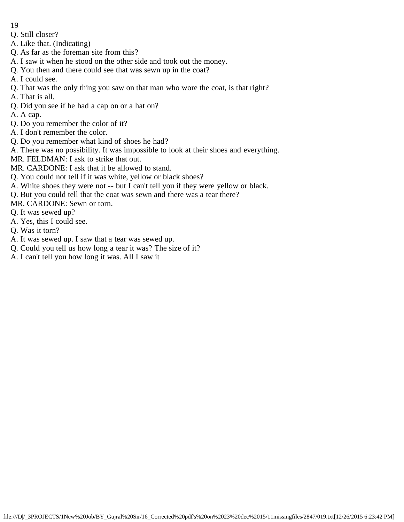- 19
- Q. Still closer?
- A. Like that. (Indicating)
- Q. As far as the foreman site from this?
- A. I saw it when he stood on the other side and took out the money.
- Q. You then and there could see that was sewn up in the coat?
- A. I could see.
- Q. That was the only thing you saw on that man who wore the coat, is that right?
- A. That is all.
- Q. Did you see if he had a cap on or a hat on?
- A. A cap.
- Q. Do you remember the color of it?
- A. I don't remember the color.
- Q. Do you remember what kind of shoes he had?
- A. There was no possibility. It was impossible to look at their shoes and everything.
- MR. FELDMAN: I ask to strike that out.
- MR. CARDONE: I ask that it be allowed to stand.
- Q. You could not tell if it was white, yellow or black shoes?
- A. White shoes they were not -- but I can't tell you if they were yellow or black.
- Q. But you could tell that the coat was sewn and there was a tear there?
- MR. CARDONE: Sewn or torn.
- Q. It was sewed up?
- A. Yes, this I could see.
- Q. Was it torn?
- A. It was sewed up. I saw that a tear was sewed up.
- Q. Could you tell us how long a tear it was? The size of it?
- A. I can't tell you how long it was. All I saw it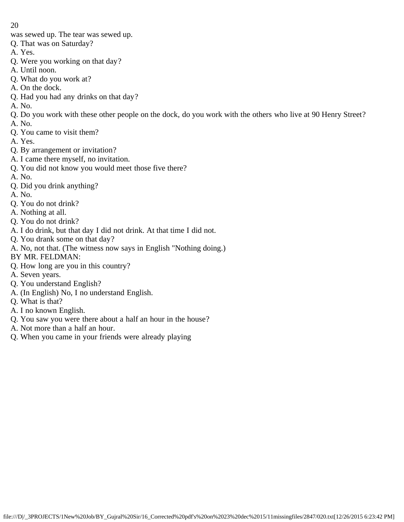was sewed up. The tear was sewed up.

- Q. That was on Saturday?
- A. Yes.
- Q. Were you working on that day?
- A. Until noon.
- Q. What do you work at?
- A. On the dock.
- Q. Had you had any drinks on that day?
- A. No.
- Q. Do you work with these other people on the dock, do you work with the others who live at 90 Henry Street?
- A. No.
- Q. You came to visit them?
- A. Yes.
- Q. By arrangement or invitation?
- A. I came there myself, no invitation.
- Q. You did not know you would meet those five there?
- A. No.
- Q. Did you drink anything?
- A. No.
- Q. You do not drink?
- A. Nothing at all.
- Q. You do not drink?
- A. I do drink, but that day I did not drink. At that time I did not.
- Q. You drank some on that day?
- A. No, not that. (The witness now says in English "Nothing doing.)
- BY MR. FELDMAN:
- Q. How long are you in this country?
- A. Seven years.
- Q. You understand English?
- A. (In English) No, I no understand English.
- Q. What is that?
- A. I no known English.
- Q. You saw you were there about a half an hour in the house?
- A. Not more than a half an hour.
- Q. When you came in your friends were already playing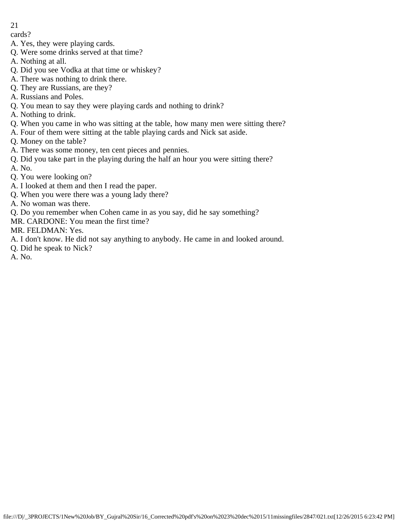cards?

- A. Yes, they were playing cards.
- Q. Were some drinks served at that time?
- A. Nothing at all.
- Q. Did you see Vodka at that time or whiskey?
- A. There was nothing to drink there.
- Q. They are Russians, are they?
- A. Russians and Poles.
- Q. You mean to say they were playing cards and nothing to drink?
- A. Nothing to drink.
- Q. When you came in who was sitting at the table, how many men were sitting there?
- A. Four of them were sitting at the table playing cards and Nick sat aside.
- Q. Money on the table?
- A. There was some money, ten cent pieces and pennies.
- Q. Did you take part in the playing during the half an hour you were sitting there?
- A. No.
- Q. You were looking on?
- A. I looked at them and then I read the paper.
- Q. When you were there was a young lady there?
- A. No woman was there.
- Q. Do you remember when Cohen came in as you say, did he say something?
- MR. CARDONE: You mean the first time?
- MR. FELDMAN: Yes.
- A. I don't know. He did not say anything to anybody. He came in and looked around.
- Q. Did he speak to Nick?
- A. No.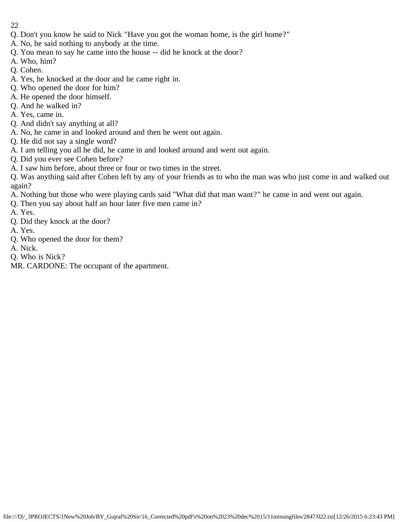- 22
- Q. Don't you know he said to Nick "Have you got the woman home, is the girl home?"
- A. No, he said nothing to anybody at the time.
- Q. You mean to say he came into the house -- did he knock at the door?
- A. Who, him?
- Q. Cohen.
- A. Yes, he knocked at the door and he came right in.
- Q. Who opened the door for him?
- A. He opened the door himself.
- Q. And he walked in?
- A. Yes, came in.
- Q. And didn't say anything at all?
- A. No, he came in and looked around and then he went out again.
- Q. He did not say a single word?
- A. I am telling you all he did, he came in and looked around and went out again.
- Q. Did you ever see Cohen before?
- A. I saw him before, about three or four or two times in the street.

Q. Was anything said after Cohen left by any of your friends as to who the man was who just come in and walked out again?

- A. Nothing but those who were playing cards said "What did that man want?" he came in and went out again.
- Q. Then you say about half an hour later five men came in?
- A. Yes.
- Q. Did they knock at the door?
- A. Yes.
- Q. Who opened the door for them?
- A. Nick.
- Q. Who is Nick?
- MR. CARDONE: The occupant of the apartment.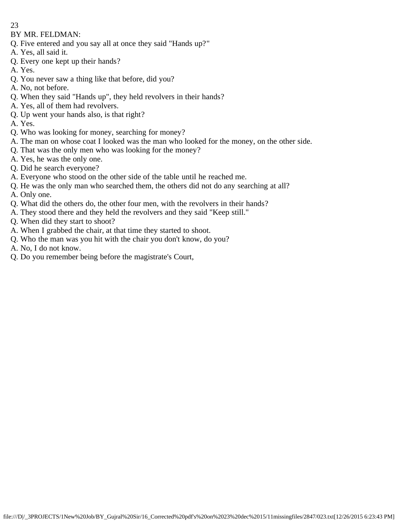BY MR. FELDMAN:

- Q. Five entered and you say all at once they said "Hands up?"
- A. Yes, all said it.
- Q. Every one kept up their hands?
- A. Yes.
- Q. You never saw a thing like that before, did you?
- A. No, not before.
- Q. When they said "Hands up", they held revolvers in their hands?
- A. Yes, all of them had revolvers.
- Q. Up went your hands also, is that right?
- A. Yes.
- Q. Who was looking for money, searching for money?
- A. The man on whose coat I looked was the man who looked for the money, on the other side.
- Q. That was the only men who was looking for the money?
- A. Yes, he was the only one.
- Q. Did he search everyone?
- A. Everyone who stood on the other side of the table until he reached me.
- Q. He was the only man who searched them, the others did not do any searching at all?
- A. Only one.
- Q. What did the others do, the other four men, with the revolvers in their hands?
- A. They stood there and they held the revolvers and they said "Keep still."
- Q. When did they start to shoot?
- A. When I grabbed the chair, at that time they started to shoot.
- Q. Who the man was you hit with the chair you don't know, do you?
- A. No, I do not know.
- Q. Do you remember being before the magistrate's Court,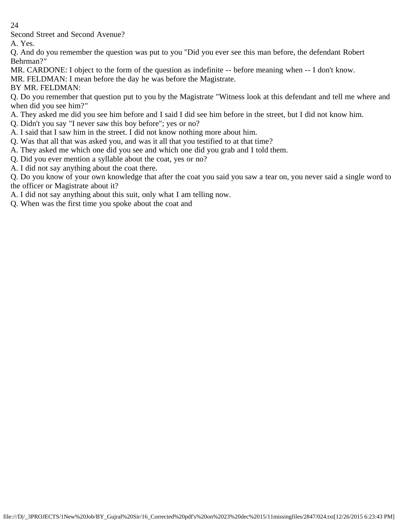Second Street and Second Avenue?

A. Yes.

Q. And do you remember the question was put to you "Did you ever see this man before, the defendant Robert Behrman?"

MR. CARDONE: I object to the form of the question as indefinite -- before meaning when -- I don't know.

MR. FELDMAN: I mean before the day he was before the Magistrate.

BY MR. FELDMAN:

Q. Do you remember that question put to you by the Magistrate "Witness look at this defendant and tell me where and when did you see him?"

- A. They asked me did you see him before and I said I did see him before in the street, but I did not know him.
- Q. Didn't you say "I never saw this boy before"; yes or no?
- A. I said that I saw him in the street. I did not know nothing more about him.
- Q. Was that all that was asked you, and was it all that you testified to at that time?
- A. They asked me which one did you see and which one did you grab and I told them.
- Q. Did you ever mention a syllable about the coat, yes or no?
- A. I did not say anything about the coat there.

Q. Do you know of your own knowledge that after the coat you said you saw a tear on, you never said a single word to the officer or Magistrate about it?

A. I did not say anything about this suit, only what I am telling now.

Q. When was the first time you spoke about the coat and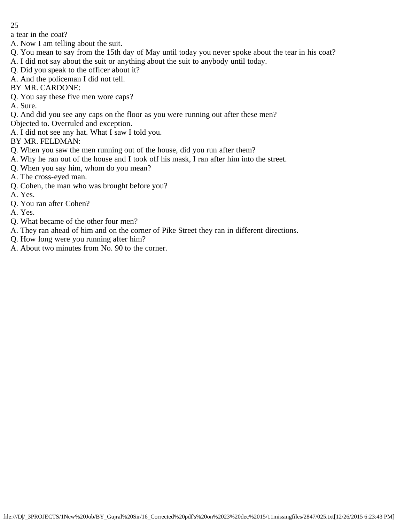a tear in the coat?

- A. Now I am telling about the suit.
- Q. You mean to say from the 15th day of May until today you never spoke about the tear in his coat?
- A. I did not say about the suit or anything about the suit to anybody until today.
- Q. Did you speak to the officer about it?
- A. And the policeman I did not tell.
- BY MR. CARDONE:
- Q. You say these five men wore caps?
- A. Sure.
- Q. And did you see any caps on the floor as you were running out after these men?
- Objected to. Overruled and exception.
- A. I did not see any hat. What I saw I told you.
- BY MR. FELDMAN:
- Q. When you saw the men running out of the house, did you run after them?
- A. Why he ran out of the house and I took off his mask, I ran after him into the street.
- Q. When you say him, whom do you mean?
- A. The cross-eyed man.
- Q. Cohen, the man who was brought before you?
- A. Yes.
- Q. You ran after Cohen?
- A. Yes.
- Q. What became of the other four men?
- A. They ran ahead of him and on the corner of Pike Street they ran in different directions.
- Q. How long were you running after him?
- A. About two minutes from No. 90 to the corner.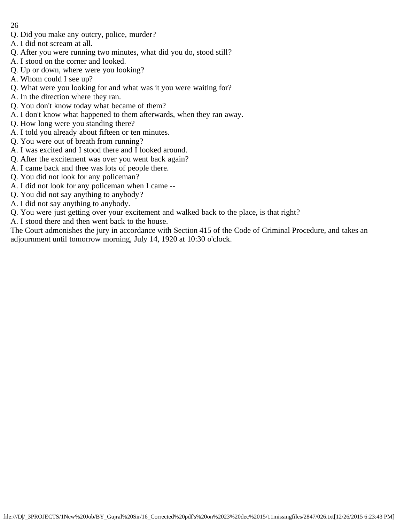- Q. Did you make any outcry, police, murder?
- A. I did not scream at all.
- Q. After you were running two minutes, what did you do, stood still?
- A. I stood on the corner and looked.
- Q. Up or down, where were you looking?
- A. Whom could I see up?
- Q. What were you looking for and what was it you were waiting for?
- A. In the direction where they ran.
- Q. You don't know today what became of them?
- A. I don't know what happened to them afterwards, when they ran away.
- Q. How long were you standing there?
- A. I told you already about fifteen or ten minutes.
- Q. You were out of breath from running?
- A. I was excited and I stood there and I looked around.
- Q. After the excitement was over you went back again?
- A. I came back and thee was lots of people there.
- Q. You did not look for any policeman?
- A. I did not look for any policeman when I came --
- Q. You did not say anything to anybody?
- A. I did not say anything to anybody.
- Q. You were just getting over your excitement and walked back to the place, is that right?
- A. I stood there and then went back to the house.

The Court admonishes the jury in accordance with Section 415 of the Code of Criminal Procedure, and takes an adjournment until tomorrow morning, July 14, 1920 at 10:30 o'clock.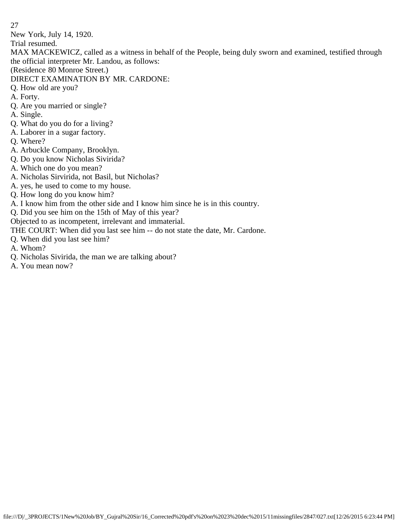New York, July 14, 1920.

Trial resumed.

MAX MACKEWICZ, called as a witness in behalf of the People, being duly sworn and examined, testified through the official interpreter Mr. Landou, as follows:

- (Residence 80 Monroe Street.)
- DIRECT EXAMINATION BY MR. CARDONE:
- Q. How old are you?
- A. Forty.
- Q. Are you married or single?
- A. Single.
- Q. What do you do for a living?
- A. Laborer in a sugar factory.
- Q. Where?
- A. Arbuckle Company, Brooklyn.
- Q. Do you know Nicholas Sivirida?
- A. Which one do you mean?
- A. Nicholas Sirvirida, not Basil, but Nicholas?
- A. yes, he used to come to my house.
- Q. How long do you know him?
- A. I know him from the other side and I know him since he is in this country.
- Q. Did you see him on the 15th of May of this year?
- Objected to as incompetent, irrelevant and immaterial.
- THE COURT: When did you last see him -- do not state the date, Mr. Cardone.
- Q. When did you last see him?
- A. Whom?
- Q. Nicholas Sivirida, the man we are talking about?
- A. You mean now?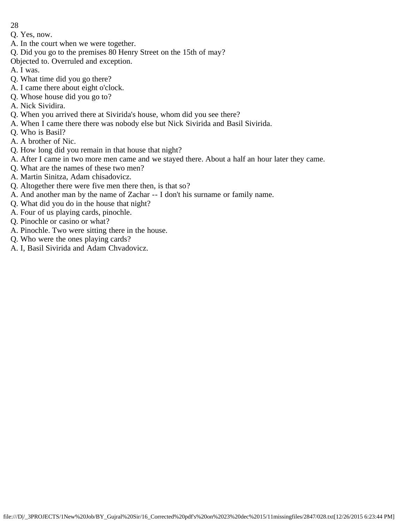- 28
- Q. Yes, now.
- A. In the court when we were together.
- Q. Did you go to the premises 80 Henry Street on the 15th of may?
- Objected to. Overruled and exception.
- A. I was.
- Q. What time did you go there?
- A. I came there about eight o'clock.
- Q. Whose house did you go to?
- A. Nick Sividira.
- Q. When you arrived there at Sivirida's house, whom did you see there?
- A. When I came there there was nobody else but Nick Sivirida and Basil Sivirida.
- Q. Who is Basil?
- A. A brother of Nic.
- Q. How long did you remain in that house that night?
- A. After I came in two more men came and we stayed there. About a half an hour later they came.
- Q. What are the names of these two men?
- A. Martin Sinitza, Adam chisadovicz.
- Q. Altogether there were five men there then, is that so?
- A. And another man by the name of Zachar -- I don't his surname or family name.
- Q. What did you do in the house that night?
- A. Four of us playing cards, pinochle.
- Q. Pinochle or casino or what?
- A. Pinochle. Two were sitting there in the house.
- Q. Who were the ones playing cards?
- A. I, Basil Sivirida and Adam Chvadovicz.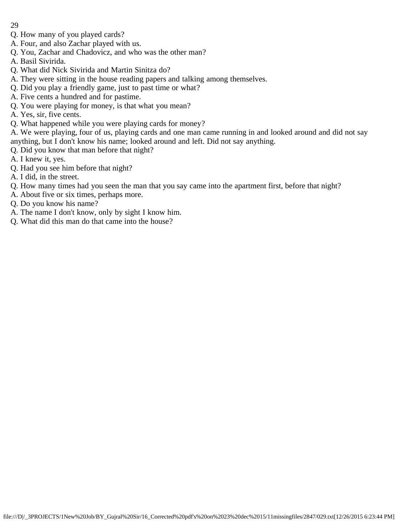- 29
- Q. How many of you played cards?
- A. Four, and also Zachar played with us.
- Q. You, Zachar and Chadovicz, and who was the other man?
- A. Basil Sivirida.
- Q. What did Nick Sivirida and Martin Sinitza do?
- A. They were sitting in the house reading papers and talking among themselves.
- Q. Did you play a friendly game, just to past time or what?
- A. Five cents a hundred and for pastime.
- Q. You were playing for money, is that what you mean?
- A. Yes, sir, five cents.
- Q. What happened while you were playing cards for money?

A. We were playing, four of us, playing cards and one man came running in and looked around and did not say anything, but I don't know his name; looked around and left. Did not say anything.

- Q. Did you know that man before that night?
- A. I knew it, yes.
- Q. Had you see him before that night?
- A. I did, in the street.
- Q. How many times had you seen the man that you say came into the apartment first, before that night?
- A. About five or six times, perhaps more.
- Q. Do you know his name?
- A. The name I don't know, only by sight I know him.
- Q. What did this man do that came into the house?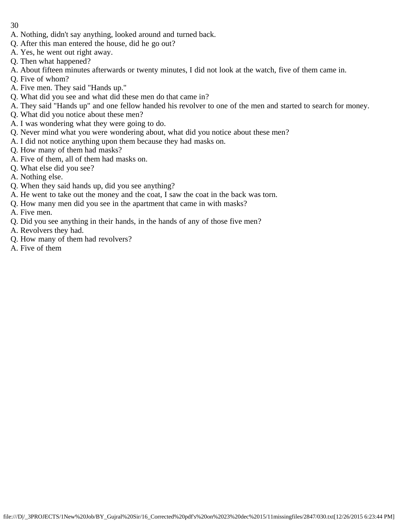- 30
- A. Nothing, didn't say anything, looked around and turned back.
- Q. After this man entered the house, did he go out?
- A. Yes, he went out right away.
- Q. Then what happened?
- A. About fifteen minutes afterwards or twenty minutes, I did not look at the watch, five of them came in.
- Q. Five of whom?
- A. Five men. They said "Hands up."
- Q. What did you see and what did these men do that came in?
- A. They said "Hands up" and one fellow handed his revolver to one of the men and started to search for money.
- Q. What did you notice about these men?
- A. I was wondering what they were going to do.
- Q. Never mind what you were wondering about, what did you notice about these men?
- A. I did not notice anything upon them because they had masks on.
- Q. How many of them had masks?
- A. Five of them, all of them had masks on.
- Q. What else did you see?
- A. Nothing else.
- Q. When they said hands up, did you see anything?
- A. He went to take out the money and the coat, I saw the coat in the back was torn.
- Q. How many men did you see in the apartment that came in with masks?
- A. Five men.
- Q. Did you see anything in their hands, in the hands of any of those five men?
- A. Revolvers they had.
- Q. How many of them had revolvers?
- A. Five of them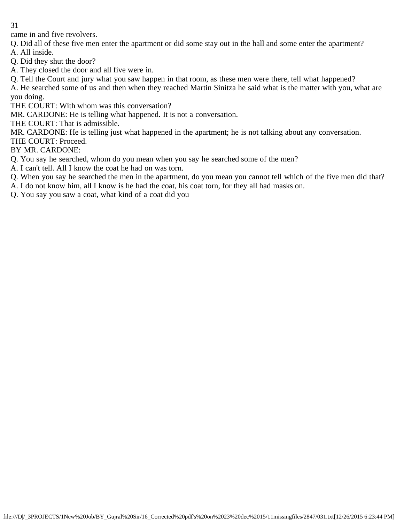came in and five revolvers.

Q. Did all of these five men enter the apartment or did some stay out in the hall and some enter the apartment?

A. All inside.

Q. Did they shut the door?

A. They closed the door and all five were in.

Q. Tell the Court and jury what you saw happen in that room, as these men were there, tell what happened?

A. He searched some of us and then when they reached Martin Sinitza he said what is the matter with you, what are you doing.

THE COURT: With whom was this conversation?

MR. CARDONE: He is telling what happened. It is not a conversation.

THE COURT: That is admissible.

MR. CARDONE: He is telling just what happened in the apartment; he is not talking about any conversation. THE COURT: Proceed.

BY MR. CARDONE:

Q. You say he searched, whom do you mean when you say he searched some of the men?

A. I can't tell. All I know the coat he had on was torn.

Q. When you say he searched the men in the apartment, do you mean you cannot tell which of the five men did that?

A. I do not know him, all I know is he had the coat, his coat torn, for they all had masks on.

Q. You say you saw a coat, what kind of a coat did you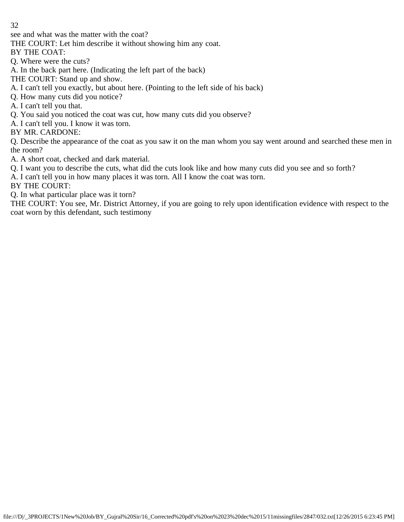see and what was the matter with the coat?

THE COURT: Let him describe it without showing him any coat.

BY THE COAT:

Q. Where were the cuts?

A. In the back part here. (Indicating the left part of the back)

THE COURT: Stand up and show.

A. I can't tell you exactly, but about here. (Pointing to the left side of his back)

Q. How many cuts did you notice?

A. I can't tell you that.

Q. You said you noticed the coat was cut, how many cuts did you observe?

A. I can't tell you. I know it was torn.

BY MR. CARDONE:

Q. Describe the appearance of the coat as you saw it on the man whom you say went around and searched these men in the room?

A. A short coat, checked and dark material.

Q. I want you to describe the cuts, what did the cuts look like and how many cuts did you see and so forth?

A. I can't tell you in how many places it was torn. All I know the coat was torn.

BY THE COURT:

Q. In what particular place was it torn?

THE COURT: You see, Mr. District Attorney, if you are going to rely upon identification evidence with respect to the coat worn by this defendant, such testimony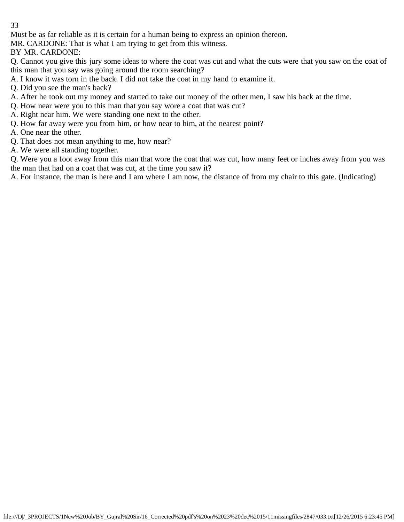Must be as far reliable as it is certain for a human being to express an opinion thereon.

MR. CARDONE: That is what I am trying to get from this witness.

BY MR. CARDONE:

Q. Cannot you give this jury some ideas to where the coat was cut and what the cuts were that you saw on the coat of this man that you say was going around the room searching?

A. I know it was torn in the back. I did not take the coat in my hand to examine it.

Q. Did you see the man's back?

- A. After he took out my money and started to take out money of the other men, I saw his back at the time.
- Q. How near were you to this man that you say wore a coat that was cut?
- A. Right near him. We were standing one next to the other.
- Q. How far away were you from him, or how near to him, at the nearest point?
- A. One near the other.
- Q. That does not mean anything to me, how near?
- A. We were all standing together.

Q. Were you a foot away from this man that wore the coat that was cut, how many feet or inches away from you was the man that had on a coat that was cut, at the time you saw it?

A. For instance, the man is here and I am where I am now, the distance of from my chair to this gate. (Indicating)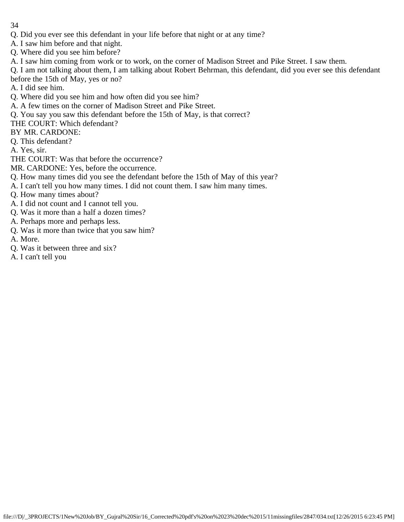- 34
- Q. Did you ever see this defendant in your life before that night or at any time?
- A. I saw him before and that night.
- Q. Where did you see him before?
- A. I saw him coming from work or to work, on the corner of Madison Street and Pike Street. I saw them.

Q. I am not talking about them, I am talking about Robert Behrman, this defendant, did you ever see this defendant before the 15th of May, yes or no?

- A. I did see him.
- Q. Where did you see him and how often did you see him?
- A. A few times on the corner of Madison Street and Pike Street.
- Q. You say you saw this defendant before the 15th of May, is that correct?
- THE COURT: Which defendant?
- BY MR. CARDONE:
- Q. This defendant?
- A. Yes, sir.
- THE COURT: Was that before the occurrence?
- MR. CARDONE: Yes, before the occurrence.
- Q. How many times did you see the defendant before the 15th of May of this year?
- A. I can't tell you how many times. I did not count them. I saw him many times.
- Q. How many times about?
- A. I did not count and I cannot tell you.
- Q. Was it more than a half a dozen times?
- A. Perhaps more and perhaps less.
- Q. Was it more than twice that you saw him?
- A. More.
- Q. Was it between three and six?
- A. I can't tell you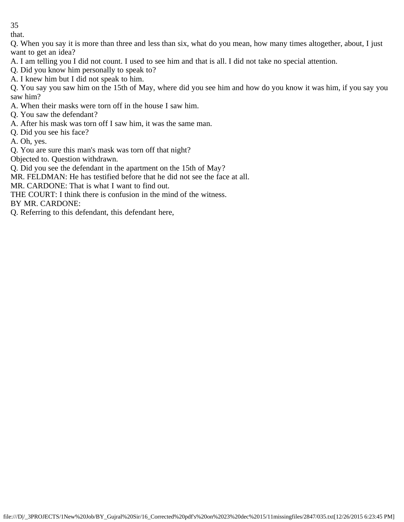that.

Q. When you say it is more than three and less than six, what do you mean, how many times altogether, about, I just want to get an idea?

A. I am telling you I did not count. I used to see him and that is all. I did not take no special attention.

Q. Did you know him personally to speak to?

A. I knew him but I did not speak to him.

Q. You say you saw him on the 15th of May, where did you see him and how do you know it was him, if you say you saw him?

A. When their masks were torn off in the house I saw him.

Q. You saw the defendant?

A. After his mask was torn off I saw him, it was the same man.

Q. Did you see his face?

A. Oh, yes.

Q. You are sure this man's mask was torn off that night?

Objected to. Question withdrawn.

Q. Did you see the defendant in the apartment on the 15th of May?

MR. FELDMAN: He has testified before that he did not see the face at all.

MR. CARDONE: That is what I want to find out.

THE COURT: I think there is confusion in the mind of the witness.

BY MR. CARDONE:

Q. Referring to this defendant, this defendant here,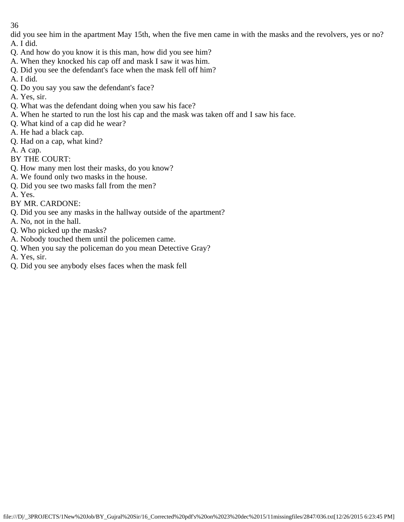did you see him in the apartment May 15th, when the five men came in with the masks and the revolvers, yes or no? A. I did.

- Q. And how do you know it is this man, how did you see him?
- A. When they knocked his cap off and mask I saw it was him.
- Q. Did you see the defendant's face when the mask fell off him?
- A. I did.
- Q. Do you say you saw the defendant's face?
- A. Yes, sir.
- Q. What was the defendant doing when you saw his face?
- A. When he started to run the lost his cap and the mask was taken off and I saw his face.
- Q. What kind of a cap did he wear?
- A. He had a black cap.
- Q. Had on a cap, what kind?

A. A cap.

- BY THE COURT:
- Q. How many men lost their masks, do you know?
- A. We found only two masks in the house.
- Q. Did you see two masks fall from the men?
- A. Yes.
- BY MR. CARDONE:
- Q. Did you see any masks in the hallway outside of the apartment?
- A. No, not in the hall.
- Q. Who picked up the masks?
- A. Nobody touched them until the policemen came.
- Q. When you say the policeman do you mean Detective Gray?
- A. Yes, sir.
- Q. Did you see anybody elses faces when the mask fell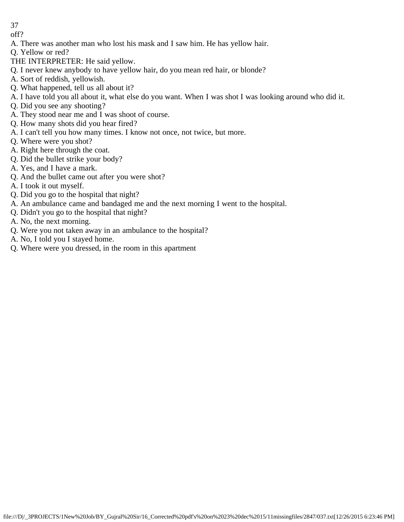off?

A. There was another man who lost his mask and I saw him. He has yellow hair.

Q. Yellow or red?

- THE INTERPRETER: He said yellow.
- Q. I never knew anybody to have yellow hair, do you mean red hair, or blonde?
- A. Sort of reddish, yellowish.
- Q. What happened, tell us all about it?
- A. I have told you all about it, what else do you want. When I was shot I was looking around who did it.
- Q. Did you see any shooting?
- A. They stood near me and I was shoot of course.
- Q. How many shots did you hear fired?
- A. I can't tell you how many times. I know not once, not twice, but more.
- Q. Where were you shot?
- A. Right here through the coat.
- Q. Did the bullet strike your body?
- A. Yes, and I have a mark.
- Q. And the bullet came out after you were shot?
- A. I took it out myself.
- Q. Did you go to the hospital that night?
- A. An ambulance came and bandaged me and the next morning I went to the hospital.
- Q. Didn't you go to the hospital that night?
- A. No, the next morning.
- Q. Were you not taken away in an ambulance to the hospital?
- A. No, I told you I stayed home.
- Q. Where were you dressed, in the room in this apartment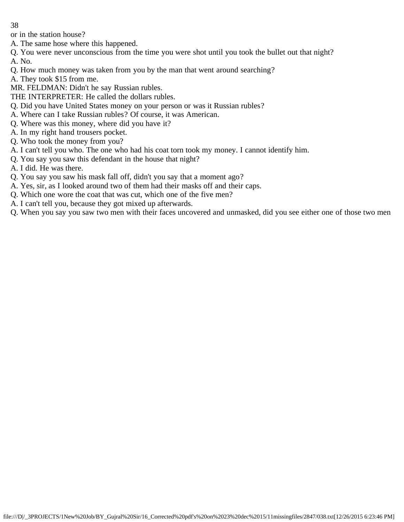or in the station house?

- A. The same hose where this happened.
- Q. You were never unconscious from the time you were shot until you took the bullet out that night? A. No.
- Q. How much money was taken from you by the man that went around searching?
- A. They took \$15 from me.
- MR. FELDMAN: Didn't he say Russian rubles.
- THE INTERPRETER: He called the dollars rubles.
- Q. Did you have United States money on your person or was it Russian rubles?
- A. Where can I take Russian rubles? Of course, it was American.
- Q. Where was this money, where did you have it?
- A. In my right hand trousers pocket.
- Q. Who took the money from you?
- A. I can't tell you who. The one who had his coat torn took my money. I cannot identify him.
- Q. You say you saw this defendant in the house that night?
- A. I did. He was there.
- Q. You say you saw his mask fall off, didn't you say that a moment ago?
- A. Yes, sir, as I looked around two of them had their masks off and their caps.
- Q. Which one wore the coat that was cut, which one of the five men?
- A. I can't tell you, because they got mixed up afterwards.
- Q. When you say you saw two men with their faces uncovered and unmasked, did you see either one of those two men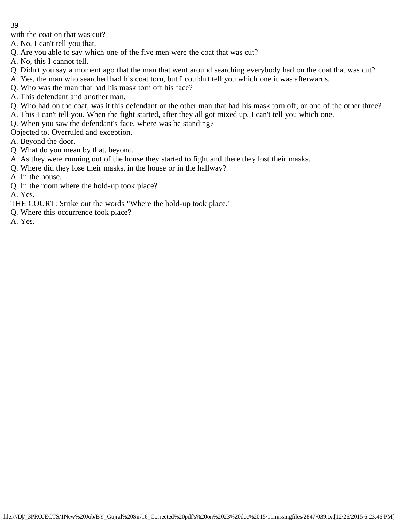with the coat on that was cut?

A. No, I can't tell you that.

Q. Are you able to say which one of the five men were the coat that was cut?

A. No, this I cannot tell.

- Q. Didn't you say a moment ago that the man that went around searching everybody had on the coat that was cut?
- A. Yes, the man who searched had his coat torn, but I couldn't tell you which one it was afterwards.

Q. Who was the man that had his mask torn off his face?

- A. This defendant and another man.
- Q. Who had on the coat, was it this defendant or the other man that had his mask torn off, or one of the other three?
- A. This I can't tell you. When the fight started, after they all got mixed up, I can't tell you which one.
- Q. When you saw the defendant's face, where was he standing?

Objected to. Overruled and exception.

- A. Beyond the door.
- Q. What do you mean by that, beyond.
- A. As they were running out of the house they started to fight and there they lost their masks.
- Q. Where did they lose their masks, in the house or in the hallway?
- A. In the house.
- Q. In the room where the hold-up took place?

A. Yes.

- THE COURT: Strike out the words "Where the hold-up took place."
- Q. Where this occurrence took place?

A. Yes.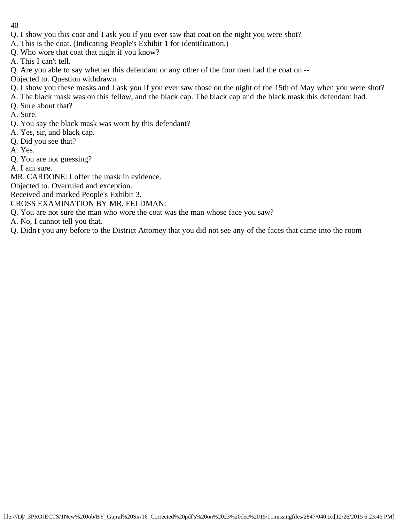- 40
- Q. I show you this coat and I ask you if you ever saw that coat on the night you were shot?
- A. This is the coat. (Indicating People's Exhibit 1 for identification.)
- Q. Who wore that coat that night if you know?
- A. This I can't tell.
- Q. Are you able to say whether this defendant or any other of the four men had the coat on --
- Objected to. Question withdrawn.
- Q. I show you these masks and I ask you If you ever saw those on the night of the 15th of May when you were shot?
- A. The black mask was on this fellow, and the black cap. The black cap and the black mask this defendant had.
- Q. Sure about that?
- A. Sure.
- Q. You say the black mask was worn by this defendant?
- A. Yes, sir, and black cap.
- Q. Did you see that?
- A. Yes.
- Q. You are not guessing?
- A. I am sure.
- MR. CARDONE: I offer the mask in evidence.
- Objected to. Overruled and exception.
- Received and marked People's Exhibit 3.
- CROSS EXAMINATION BY MR. FELDMAN:
- Q. You are not sure the man who wore the coat was the man whose face you saw?
- A. No, I cannot tell you that.
- Q. Didn't you any before to the District Attorney that you did not see any of the faces that came into the room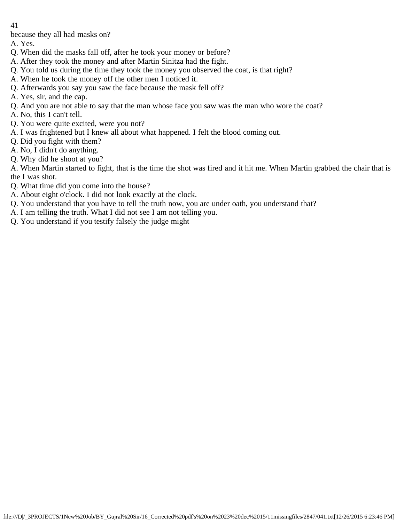because they all had masks on?

- A. Yes.
- Q. When did the masks fall off, after he took your money or before?
- A. After they took the money and after Martin Sinitza had the fight.
- Q. You told us during the time they took the money you observed the coat, is that right?
- A. When he took the money off the other men I noticed it.
- Q. Afterwards you say you saw the face because the mask fell off?
- A. Yes, sir, and the cap.
- Q. And you are not able to say that the man whose face you saw was the man who wore the coat?
- A. No, this I can't tell.
- Q. You were quite excited, were you not?
- A. I was frightened but I knew all about what happened. I felt the blood coming out.
- Q. Did you fight with them?
- A. No, I didn't do anything.
- Q. Why did he shoot at you?
- A. When Martin started to fight, that is the time the shot was fired and it hit me. When Martin grabbed the chair that is the I was shot.
- Q. What time did you come into the house?
- A. About eight o'clock. I did not look exactly at the clock.
- Q. You understand that you have to tell the truth now, you are under oath, you understand that?
- A. I am telling the truth. What I did not see I am not telling you.
- Q. You understand if you testify falsely the judge might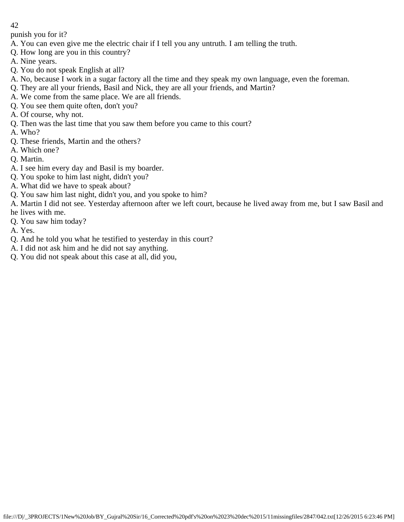punish you for it?

- A. You can even give me the electric chair if I tell you any untruth. I am telling the truth.
- Q. How long are you in this country?
- A. Nine years.
- Q. You do not speak English at all?
- A. No, because I work in a sugar factory all the time and they speak my own language, even the foreman.
- Q. They are all your friends, Basil and Nick, they are all your friends, and Martin?
- A. We come from the same place. We are all friends.
- Q. You see them quite often, don't you?
- A. Of course, why not.
- Q. Then was the last time that you saw them before you came to this court?
- A. Who?
- Q. These friends, Martin and the others?
- A. Which one?
- Q. Martin.
- A. I see him every day and Basil is my boarder.
- Q. You spoke to him last night, didn't you?
- A. What did we have to speak about?
- Q. You saw him last night, didn't you, and you spoke to him?
- A. Martin I did not see. Yesterday afternoon after we left court, because he lived away from me, but I saw Basil and he lives with me.
- Q. You saw him today?
- A. Yes.
- Q. And he told you what he testified to yesterday in this court?
- A. I did not ask him and he did not say anything.
- Q. You did not speak about this case at all, did you,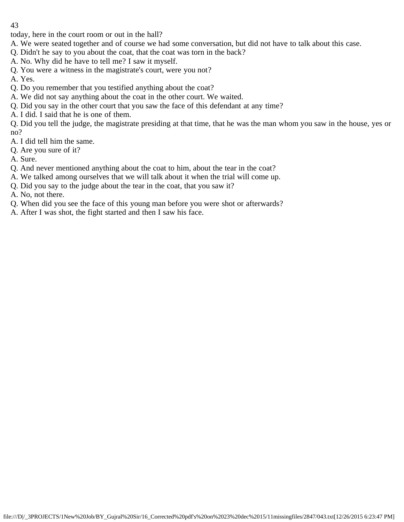today, here in the court room or out in the hall?

- A. We were seated together and of course we had some conversation, but did not have to talk about this case.
- Q. Didn't he say to you about the coat, that the coat was torn in the back?
- A. No. Why did he have to tell me? I saw it myself.
- Q. You were a witness in the magistrate's court, were you not?
- A. Yes.
- Q. Do you remember that you testified anything about the coat?
- A. We did not say anything about the coat in the other court. We waited.
- Q. Did you say in the other court that you saw the face of this defendant at any time?
- A. I did. I said that he is one of them.

Q. Did you tell the judge, the magistrate presiding at that time, that he was the man whom you saw in the house, yes or no?

- A. I did tell him the same.
- Q. Are you sure of it?
- A. Sure.
- Q. And never mentioned anything about the coat to him, about the tear in the coat?
- A. We talked among ourselves that we will talk about it when the trial will come up.
- Q. Did you say to the judge about the tear in the coat, that you saw it?
- A. No, not there.
- Q. When did you see the face of this young man before you were shot or afterwards?
- A. After I was shot, the fight started and then I saw his face.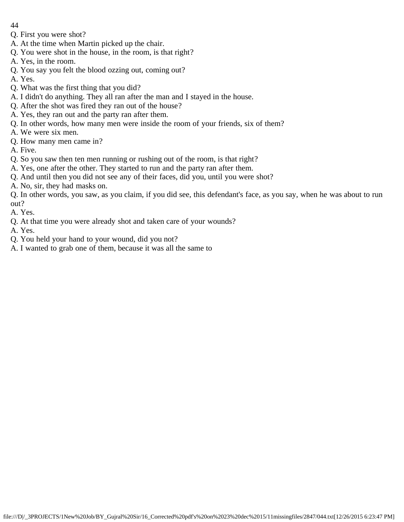- 44
- Q. First you were shot?
- A. At the time when Martin picked up the chair.
- Q. You were shot in the house, in the room, is that right?
- A. Yes, in the room.
- Q. You say you felt the blood ozzing out, coming out?
- A. Yes.
- Q. What was the first thing that you did?
- A. I didn't do anything. They all ran after the man and I stayed in the house.
- Q. After the shot was fired they ran out of the house?
- A. Yes, they ran out and the party ran after them.
- Q. In other words, how many men were inside the room of your friends, six of them?
- A. We were six men.
- Q. How many men came in?
- A. Five.
- Q. So you saw then ten men running or rushing out of the room, is that right?
- A. Yes, one after the other. They started to run and the party ran after them.
- Q. And until then you did not see any of their faces, did you, until you were shot?
- A. No, sir, they had masks on.

Q. In other words, you saw, as you claim, if you did see, this defendant's face, as you say, when he was about to run out?

- A. Yes.
- Q. At that time you were already shot and taken care of your wounds?
- A. Yes.
- Q. You held your hand to your wound, did you not?
- A. I wanted to grab one of them, because it was all the same to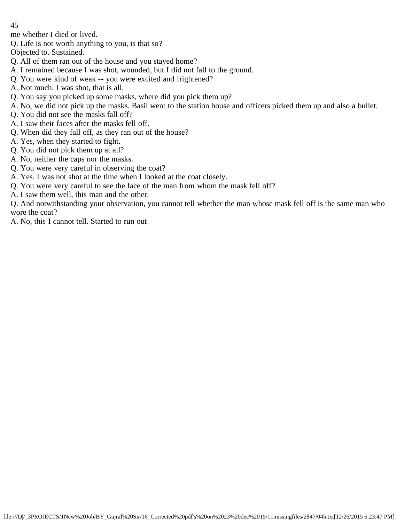me whether I died or lived.

Q. Life is not worth anything to you, is that so?

Objected to. Sustained.

- Q. All of them ran out of the house and you stayed home?
- A. I remained because I was shot, wounded, but I did not fall to the ground.
- Q. You were kind of weak -- you were excited and frightened?
- A. Not much. I was shot, that is all.
- Q. You say you picked up some masks, where did you pick them up?
- A. No, we did not pick up the masks. Basil went to the station house and officers picked them up and also a bullet.
- Q. You did not see the masks fall off?
- A. I saw their faces after the masks fell off.
- Q. When did they fall off, as they ran out of the house?
- A. Yes, when they started to fight.
- Q. You did not pick them up at all?
- A. No, neither the caps nor the masks.
- Q. You were very careful in observing the coat?
- A. Yes. I was not shot at the time when I looked at the coat closely.
- Q. You were very careful to see the face of the man from whom the mask fell off?
- A. I saw them well, this man and the other.

Q. And notwithstanding your observation, you cannot tell whether the man whose mask fell off is the same man who wore the coat?

A. No, this I cannot tell. Started to run out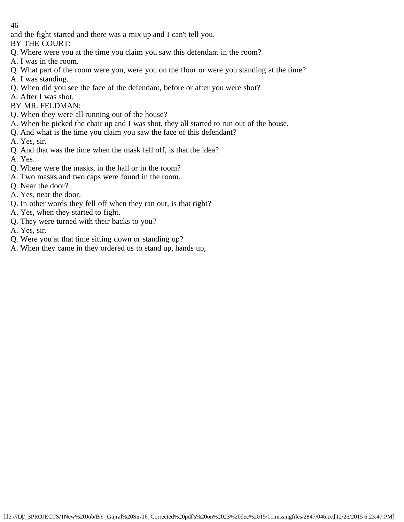and the fight started and there was a mix up and I can't tell you.

BY THE COURT:

- Q. Where were you at the time you claim you saw this defendant in the room?
- A. I was in the room.
- Q. What part of the room were you, were you on the floor or were you standing at the time?
- A. I was standing.
- Q. When did you see the face of the defendant, before or after you were shot?
- A. After I was shot.
- BY MR. FELDMAN:
- Q. When they were all running out of the house?
- A. When he picked the chair up and I was shot, they all started to run out of the house.
- Q. And what is the time you claim you saw the face of this defendant?
- A. Yes, sir.
- Q. And that was the time when the mask fell off, is that the idea?
- A. Yes.
- Q. Where were the masks, in the hall or in the room?
- A. Two masks and two caps were found in the room.
- Q. Near the door?
- A. Yes, near the door.
- Q. In other words they fell off when they ran out, is that right?
- A. Yes, when they started to fight.
- Q. They were turned with their backs to you?
- A. Yes, sir.
- Q. Were you at that time sitting down or standing up?
- A. When they came in they ordered us to stand up, hands up,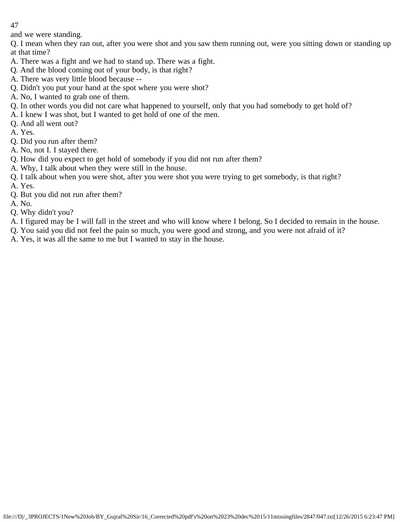and we were standing.

Q. I mean when they ran out, after you were shot and you saw them running out, were you sitting down or standing up at that time?

- A. There was a fight and we had to stand up. There was a fight.
- Q. And the blood coming out of your body, is that right?
- A. There was very little blood because --
- Q. Didn't you put your hand at the spot where you were shot?
- A. No, I wanted to grab one of them.
- Q. In other words you did not care what happened to yourself, only that you had somebody to get hold of?
- A. I knew I was shot, but I wanted to get hold of one of the men.
- Q. And all went out?
- A. Yes.
- Q. Did you run after them?
- A. No, not I. I stayed there.
- Q. How did you expect to get hold of somebody if you did not run after them?
- A. Why, I talk about when they were still in the house.
- Q. I talk about when you were shot, after you were shot you were trying to get somebody, is that right?
- A. Yes.
- Q. But you did not run after them?
- A. No.
- Q. Why didn't you?
- A. I figured may be I will fall in the street and who will know where I belong. So I decided to remain in the house.
- Q. You said you did not feel the pain so much, you were good and strong, and you were not afraid of it?
- A. Yes, it was all the same to me but I wanted to stay in the house.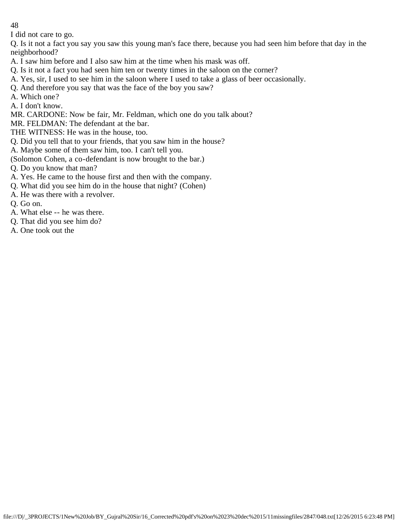I did not care to go.

Q. Is it not a fact you say you saw this young man's face there, because you had seen him before that day in the neighborhood?

- A. I saw him before and I also saw him at the time when his mask was off.
- Q. Is it not a fact you had seen him ten or twenty times in the saloon on the corner?
- A. Yes, sir, I used to see him in the saloon where I used to take a glass of beer occasionally.
- Q. And therefore you say that was the face of the boy you saw?
- A. Which one?
- A. I don't know.
- MR. CARDONE: Now be fair, Mr. Feldman, which one do you talk about?
- MR. FELDMAN: The defendant at the bar.
- THE WITNESS: He was in the house, too.
- Q. Did you tell that to your friends, that you saw him in the house?
- A. Maybe some of them saw him, too. I can't tell you.
- (Solomon Cohen, a co-defendant is now brought to the bar.)
- Q. Do you know that man?
- A. Yes. He came to the house first and then with the company.
- Q. What did you see him do in the house that night? (Cohen)
- A. He was there with a revolver.
- Q. Go on.
- A. What else -- he was there.
- Q. That did you see him do?
- A. One took out the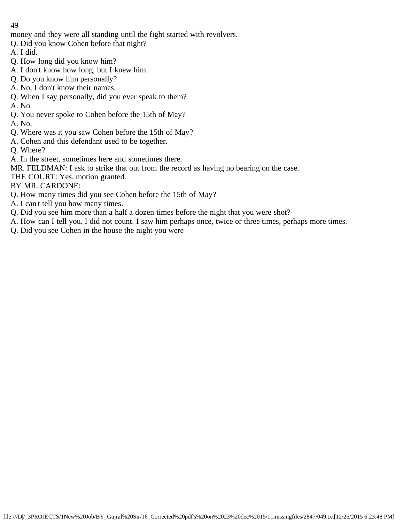money and they were all standing until the fight started with revolvers.

- Q. Did you know Cohen before that night?
- A. I did.
- Q. How long did you know him?
- A. I don't know how long, but I knew him.
- Q. Do you know him personally?
- A. No, I don't know their names.
- Q. When I say personally, did you ever speak to them?
- A. No.
- Q. You never spoke to Cohen before the 15th of May?
- A. No.
- Q. Where was it you saw Cohen before the 15th of May?
- A. Cohen and this defendant used to be together.
- Q. Where?
- A. In the street, sometimes here and sometimes there.
- MR. FELDMAN: I ask to strike that out from the record as having no bearing on the case.
- THE COURT: Yes, motion granted.
- BY MR. CARDONE:
- Q. How many times did you see Cohen before the 15th of May?
- A. I can't tell you how many times.
- Q. Did you see him more than a half a dozen times before the night that you were shot?
- A. How can I tell you. I did not count. I saw him perhaps once, twice or three times, perhaps more times.
- Q. Did you see Cohen in the house the night you were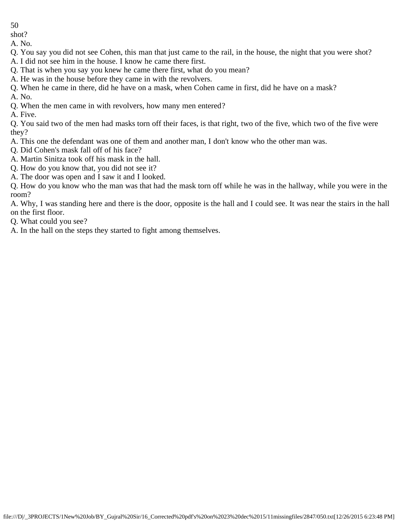shot?

A. No.

Q. You say you did not see Cohen, this man that just came to the rail, in the house, the night that you were shot?

- A. I did not see him in the house. I know he came there first.
- Q. That is when you say you knew he came there first, what do you mean?
- A. He was in the house before they came in with the revolvers.
- Q. When he came in there, did he have on a mask, when Cohen came in first, did he have on a mask?

A. No.

Q. When the men came in with revolvers, how many men entered?

A. Five.

Q. You said two of the men had masks torn off their faces, is that right, two of the five, which two of the five were they?

- A. This one the defendant was one of them and another man, I don't know who the other man was.
- Q. Did Cohen's mask fall off of his face?
- A. Martin Sinitza took off his mask in the hall.
- Q. How do you know that, you did not see it?
- A. The door was open and I saw it and I looked.

Q. How do you know who the man was that had the mask torn off while he was in the hallway, while you were in the room?

A. Why, I was standing here and there is the door, opposite is the hall and I could see. It was near the stairs in the hall on the first floor.

Q. What could you see?

A. In the hall on the steps they started to fight among themselves.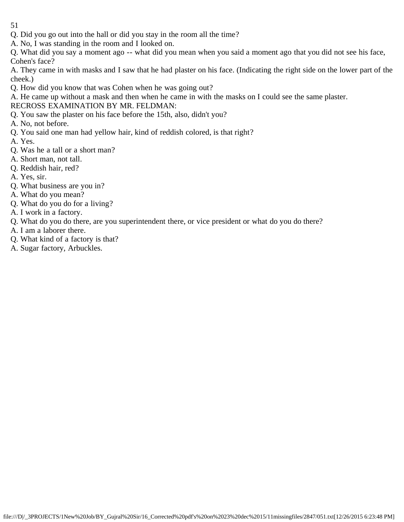- 51
- Q. Did you go out into the hall or did you stay in the room all the time?
- A. No, I was standing in the room and I looked on.

Q. What did you say a moment ago -- what did you mean when you said a moment ago that you did not see his face, Cohen's face?

A. They came in with masks and I saw that he had plaster on his face. (Indicating the right side on the lower part of the cheek.)

Q. How did you know that was Cohen when he was going out?

A. He came up without a mask and then when he came in with the masks on I could see the same plaster.

RECROSS EXAMINATION BY MR. FELDMAN:

- Q. You saw the plaster on his face before the 15th, also, didn't you?
- A. No, not before.
- Q. You said one man had yellow hair, kind of reddish colored, is that right?
- A. Yes.
- Q. Was he a tall or a short man?
- A. Short man, not tall.
- Q. Reddish hair, red?
- A. Yes, sir.
- Q. What business are you in?
- A. What do you mean?
- Q. What do you do for a living?
- A. I work in a factory.
- Q. What do you do there, are you superintendent there, or vice president or what do you do there?
- A. I am a laborer there.
- Q. What kind of a factory is that?
- A. Sugar factory, Arbuckles.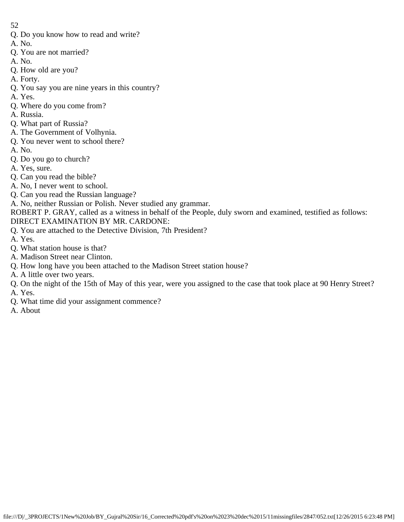- Q. Do you know how to read and write?
- A. No.
- Q. You are not married?
- A. No. Q. How old are you?
- A. Forty.
- 
- Q. You say you are nine years in this country?
- A. Yes.
- Q. Where do you come from?
- A. Russia.
- Q. What part of Russia?
- A. The Government of Volhynia.
- Q. You never went to school there?
- A. No.
- Q. Do you go to church?
- A. Yes, sure.
- Q. Can you read the bible?
- A. No, I never went to school.
- Q. Can you read the Russian language?
- A. No, neither Russian or Polish. Never studied any grammar.
- ROBERT P. GRAY, called as a witness in behalf of the People, duly sworn and examined, testified as follows: DIRECT EXAMINATION BY MR. CARDONE:
- Q. You are attached to the Detective Division, 7th President?
- A. Yes.
- Q. What station house is that?
- A. Madison Street near Clinton.
- Q. How long have you been attached to the Madison Street station house?
- A. A little over two years.
- Q. On the night of the 15th of May of this year, were you assigned to the case that took place at 90 Henry Street?
- A. Yes.
- Q. What time did your assignment commence?
- A. About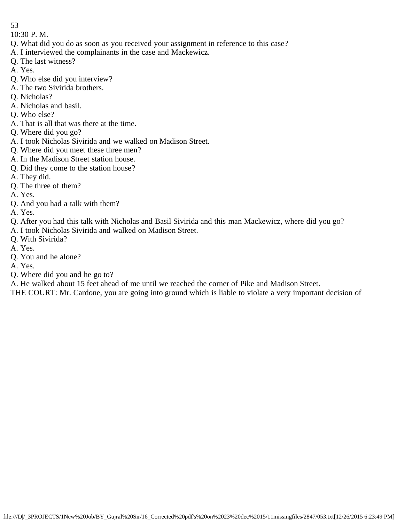10:30 P. M.

- Q. What did you do as soon as you received your assignment in reference to this case?
- A. I interviewed the complainants in the case and Mackewicz.
- Q. The last witness?
- A. Yes.
- Q. Who else did you interview?
- A. The two Sivirida brothers.
- Q. Nicholas?
- A. Nicholas and basil.
- Q. Who else?
- A. That is all that was there at the time.
- Q. Where did you go?
- A. I took Nicholas Sivirida and we walked on Madison Street.
- Q. Where did you meet these three men?
- A. In the Madison Street station house.
- Q. Did they come to the station house?
- A. They did.
- Q. The three of them?
- A. Yes.
- Q. And you had a talk with them?
- A. Yes.
- Q. After you had this talk with Nicholas and Basil Sivirida and this man Mackewicz, where did you go?
- A. I took Nicholas Sivirida and walked on Madison Street.
- Q. With Sivirida?
- A. Yes.
- Q. You and he alone?
- A. Yes.
- Q. Where did you and he go to?
- A. He walked about 15 feet ahead of me until we reached the corner of Pike and Madison Street.

THE COURT: Mr. Cardone, you are going into ground which is liable to violate a very important decision of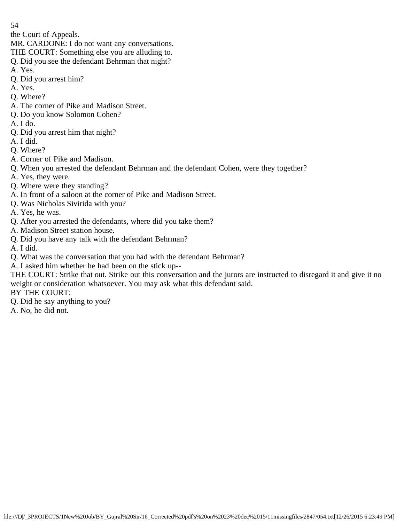the Court of Appeals.

MR. CARDONE: I do not want any conversations.

THE COURT: Something else you are alluding to.

- Q. Did you see the defendant Behrman that night?
- A. Yes.
- Q. Did you arrest him?
- A. Yes.
- Q. Where?
- A. The corner of Pike and Madison Street.
- Q. Do you know Solomon Cohen?
- A. I do.
- Q. Did you arrest him that night?
- A. I did.
- Q. Where?
- A. Corner of Pike and Madison.
- Q. When you arrested the defendant Behrman and the defendant Cohen, were they together?
- A. Yes, they were.
- Q. Where were they standing?
- A. In front of a saloon at the corner of Pike and Madison Street.
- Q. Was Nicholas Sivirida with you?
- A. Yes, he was.
- Q. After you arrested the defendants, where did you take them?
- A. Madison Street station house.
- Q. Did you have any talk with the defendant Behrman?
- A. I did.
- Q. What was the conversation that you had with the defendant Behrman?
- A. I asked him whether he had been on the stick up--
- THE COURT: Strike that out. Strike out this conversation and the jurors are instructed to disregard it and give it no weight or consideration whatsoever. You may ask what this defendant said.
- BY THE COURT:
- Q. Did he say anything to you?
- A. No, he did not.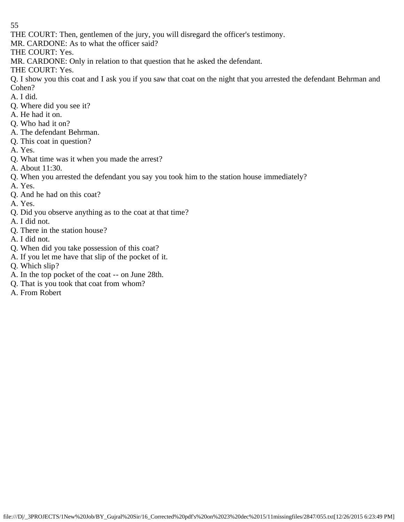THE COURT: Then, gentlemen of the jury, you will disregard the officer's testimony.

MR. CARDONE: As to what the officer said?

THE COURT: Yes.

MR. CARDONE: Only in relation to that question that he asked the defendant.

THE COURT: Yes.

Q. I show you this coat and I ask you if you saw that coat on the night that you arrested the defendant Behrman and Cohen?

- A. I did.
- Q. Where did you see it?
- A. He had it on.
- Q. Who had it on?
- A. The defendant Behrman.
- Q. This coat in question?
- A. Yes.
- Q. What time was it when you made the arrest?
- A. About 11:30.
- Q. When you arrested the defendant you say you took him to the station house immediately?
- A. Yes.
- Q. And he had on this coat?
- A. Yes.
- Q. Did you observe anything as to the coat at that time?
- A. I did not.
- Q. There in the station house?
- A. I did not.
- Q. When did you take possession of this coat?
- A. If you let me have that slip of the pocket of it.
- Q. Which slip?
- A. In the top pocket of the coat -- on June 28th.
- Q. That is you took that coat from whom?
- A. From Robert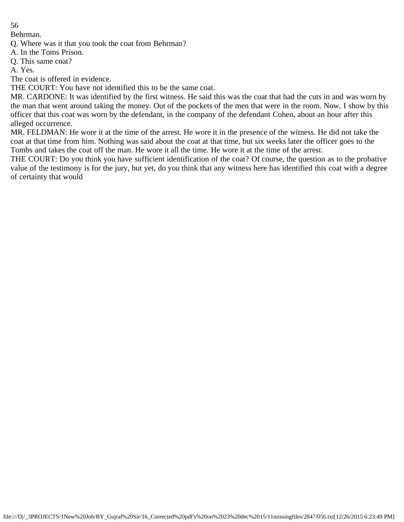Behrman.

Q. Where was it that you took the coat from Behrman?

A. In the Toms Prison.

Q. This same coat?

A. Yes.

The coat is offered in evidence.

THE COURT: You have not identified this to be the same coat.

MR. CARDONE: It was identified by the first witness. He said this was the coat that had the cuts in and was worn by the man that went around taking the money. Out of the pockets of the men that were in the room. Now, I show by this officer that this coat was worn by the defendant, in the company of the defendant Cohen, about an hour after this alleged occurrence.

MR. FELDMAN: He wore it at the time of the arrest. He wore it in the presence of the witness. He did not take the coat at that time from him. Nothing was said about the coat at that time, but six weeks later the officer goes to the Tombs and takes the coat off the man. He wore it all the time. He wore it at the time of the arrest.

THE COURT: Do you think you have sufficient identification of the coat? Of course, the question as to the probative value of the testimony is for the jury, but yet, do you think that any witness here has identified this coat with a degree of certainty that would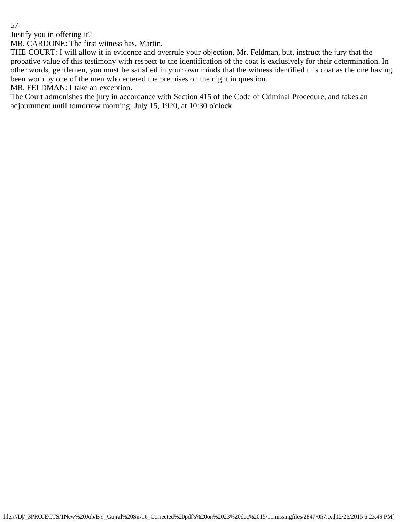Justify you in offering it?

MR. CARDONE: The first witness has, Martin.

THE COURT: I will allow it in evidence and overrule your objection, Mr. Feldman, but, instruct the jury that the probative value of this testimony with respect to the identification of the coat is exclusively for their determination. In other words, gentlemen, you must be satisfied in your own minds that the witness identified this coat as the one having been worn by one of the men who entered the premises on the night in question.

MR. FELDMAN: I take an exception.

The Court admonishes the jury in accordance with Section 415 of the Code of Criminal Procedure, and takes an adjournment until tomorrow morning, July 15, 1920, at 10:30 o'clock.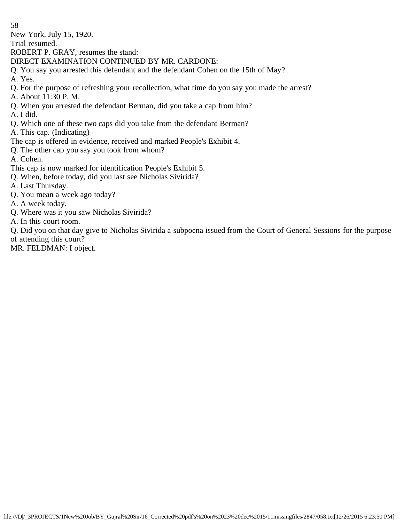New York, July 15, 1920.

Trial resumed.

ROBERT P. GRAY, resumes the stand:

DIRECT EXAMINATION CONTINUED BY MR. CARDONE:

Q. You say you arrested this defendant and the defendant Cohen on the 15th of May?

A. Yes.

Q. For the purpose of refreshing your recollection, what time do you say you made the arrest?

A. About 11:30 P. M.

Q. When you arrested the defendant Berman, did you take a cap from him?

A. I did.

Q. Which one of these two caps did you take from the defendant Berman?

A. This cap. (Indicating)

The cap is offered in evidence, received and marked People's Exhibit 4.

Q. The other cap you say you took from whom?

A. Cohen.

- This cap is now marked for identification People's Exhibit 5.
- Q. When, before today, did you last see Nicholas Sivirida?

A. Last Thursday.

Q. You mean a week ago today?

A. A week today.

Q. Where was it you saw Nicholas Sivirida?

A. In this court room.

Q. Did you on that day give to Nicholas Sivirida a subpoena issued from the Court of General Sessions for the purpose of attending this court?

MR. FELDMAN: I object.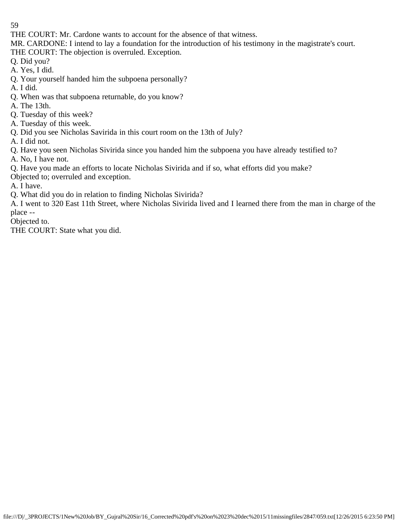THE COURT: Mr. Cardone wants to account for the absence of that witness.

MR. CARDONE: I intend to lay a foundation for the introduction of his testimony in the magistrate's court.

THE COURT: The objection is overruled. Exception.

Q. Did you?

- A. Yes, I did.
- Q. Your yourself handed him the subpoena personally?
- A. I did.
- Q. When was that subpoena returnable, do you know?
- A. The 13th.
- Q. Tuesday of this week?
- A. Tuesday of this week.
- Q. Did you see Nicholas Savirida in this court room on the 13th of July?
- A. I did not.
- Q. Have you seen Nicholas Sivirida since you handed him the subpoena you have already testified to?
- A. No, I have not.
- Q. Have you made an efforts to locate Nicholas Sivirida and if so, what efforts did you make?
- Objected to; overruled and exception.
- A. I have.
- Q. What did you do in relation to finding Nicholas Sivirida?

A. I went to 320 East 11th Street, where Nicholas Sivirida lived and I learned there from the man in charge of the place --

Objected to.

THE COURT: State what you did.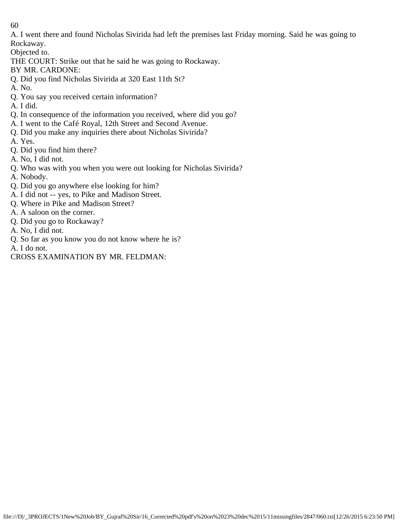A. I went there and found Nicholas Sivirida had left the premises last Friday morning. Said he was going to Rockaway.

Objected to.

THE COURT: Strike out that he said he was going to Rockaway.

- BY MR. CARDONE:
- Q. Did you find Nicholas Sivirida at 320 East 11th St?
- A. No.
- Q. You say you received certain information?
- A. I did.
- Q. In consequence of the information you received, where did you go?
- A. I went to the Café Royal, 12th Street and Second Avenue.
- Q. Did you make any inquiries there about Nicholas Sivirida?
- A. Yes.
- Q. Did you find him there?
- A. No, I did not.
- Q. Who was with you when you were out looking for Nicholas Sivirida?
- A. Nobody.
- Q. Did you go anywhere else looking for him?
- A. I did not -- yes, to Pike and Madison Street.
- Q. Where in Pike and Madison Street?
- A. A saloon on the corner.
- Q. Did you go to Rockaway?
- A. No, I did not.
- Q. So far as you know you do not know where he is?
- A. I do not.
- CROSS EXAMINATION BY MR. FELDMAN: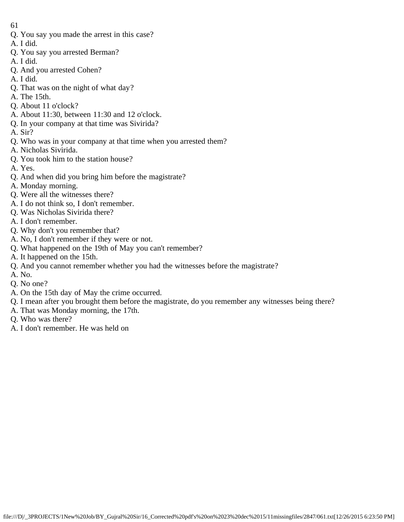- 61
- Q. You say you made the arrest in this case?
- A. I did.
- Q. You say you arrested Berman?
- A. I did.
- Q. And you arrested Cohen?
- A. I did.
- Q. That was on the night of what day?
- A. The 15th.
- Q. About 11 o'clock?
- A. About 11:30, between 11:30 and 12 o'clock.
- Q. In your company at that time was Sivirida?
- A. Sir?
- Q. Who was in your company at that time when you arrested them?
- A. Nicholas Sivirida.
- Q. You took him to the station house?
- A. Yes.
- Q. And when did you bring him before the magistrate?
- A. Monday morning.
- Q. Were all the witnesses there?
- A. I do not think so, I don't remember.
- Q. Was Nicholas Sivirida there?
- A. I don't remember.
- Q. Why don't you remember that?
- A. No, I don't remember if they were or not.
- Q. What happened on the 19th of May you can't remember?
- A. It happened on the 15th.
- Q. And you cannot remember whether you had the witnesses before the magistrate?
- A. No.
- Q. No one?
- A. On the 15th day of May the crime occurred.
- Q. I mean after you brought them before the magistrate, do you remember any witnesses being there?
- A. That was Monday morning, the 17th.
- Q. Who was there?
- A. I don't remember. He was held on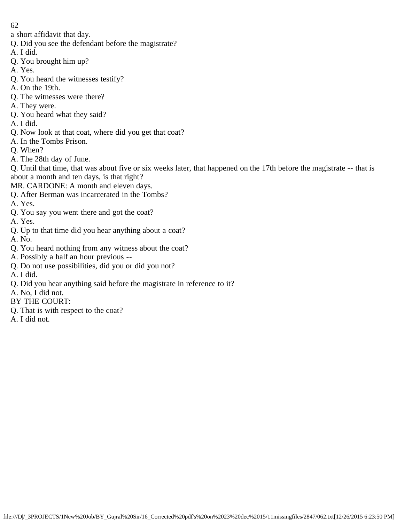a short affidavit that day.

- Q. Did you see the defendant before the magistrate?
- A. I did.
- Q. You brought him up?
- A. Yes.
- Q. You heard the witnesses testify?
- A. On the 19th.
- Q. The witnesses were there?
- A. They were.
- Q. You heard what they said?
- A. I did.
- Q. Now look at that coat, where did you get that coat?
- A. In the Tombs Prison.
- Q. When?
- A. The 28th day of June.

Q. Until that time, that was about five or six weeks later, that happened on the 17th before the magistrate -- that is about a month and ten days, is that right?

- MR. CARDONE: A month and eleven days.
- Q. After Berman was incarcerated in the Tombs?
- A. Yes.
- Q. You say you went there and got the coat?
- A. Yes.
- Q. Up to that time did you hear anything about a coat?
- A. No.
- Q. You heard nothing from any witness about the coat?
- A. Possibly a half an hour previous --
- Q. Do not use possibilities, did you or did you not?
- A. I did.
- Q. Did you hear anything said before the magistrate in reference to it?
- A. No, I did not.
- BY THE COURT:
- Q. That is with respect to the coat?
- A. I did not.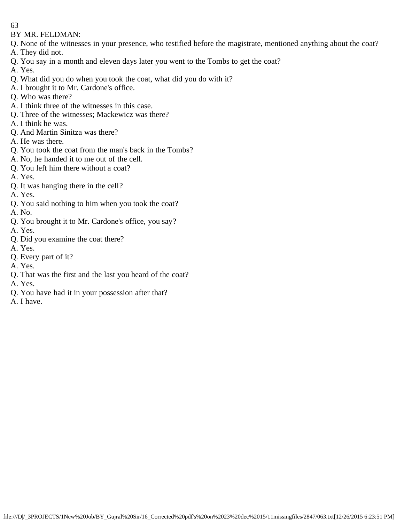BY MR. FELDMAN:

- Q. None of the witnesses in your presence, who testified before the magistrate, mentioned anything about the coat?
- A. They did not.
- Q. You say in a month and eleven days later you went to the Tombs to get the coat?

A. Yes.

- Q. What did you do when you took the coat, what did you do with it?
- A. I brought it to Mr. Cardone's office.
- Q. Who was there?
- A. I think three of the witnesses in this case.
- Q. Three of the witnesses; Mackewicz was there?
- A. I think he was.
- Q. And Martin Sinitza was there?
- A. He was there.
- Q. You took the coat from the man's back in the Tombs?
- A. No, he handed it to me out of the cell.
- Q. You left him there without a coat?
- A. Yes.
- Q. It was hanging there in the cell?
- A. Yes.
- Q. You said nothing to him when you took the coat?
- A. No.
- Q. You brought it to Mr. Cardone's office, you say?
- A. Yes.
- Q. Did you examine the coat there?
- A. Yes.
- Q. Every part of it?
- A. Yes.
- Q. That was the first and the last you heard of the coat?
- A. Yes.
- Q. You have had it in your possession after that?
- A. I have.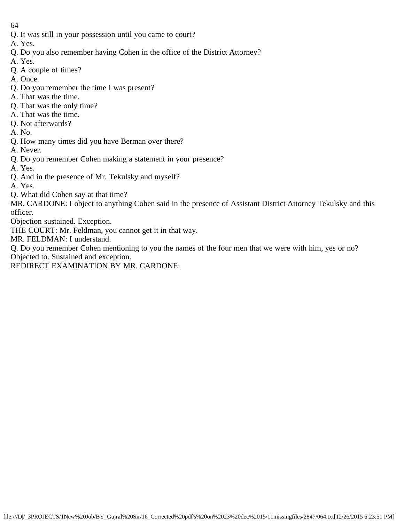- 64
- Q. It was still in your possession until you came to court?
- A. Yes.
- Q. Do you also remember having Cohen in the office of the District Attorney?
- A. Yes.
- Q. A couple of times?
- A. Once.
- Q. Do you remember the time I was present?
- A. That was the time.
- Q. That was the only time?
- A. That was the time.
- Q. Not afterwards?
- A. No.
- Q. How many times did you have Berman over there?
- A. Never.
- Q. Do you remember Cohen making a statement in your presence?
- A. Yes.
- Q. And in the presence of Mr. Tekulsky and myself?
- A. Yes.
- Q. What did Cohen say at that time?

MR. CARDONE: I object to anything Cohen said in the presence of Assistant District Attorney Tekulsky and this officer.

Objection sustained. Exception.

THE COURT: Mr. Feldman, you cannot get it in that way.

MR. FELDMAN: I understand.

Q. Do you remember Cohen mentioning to you the names of the four men that we were with him, yes or no?

Objected to. Sustained and exception.

REDIRECT EXAMINATION BY MR. CARDONE: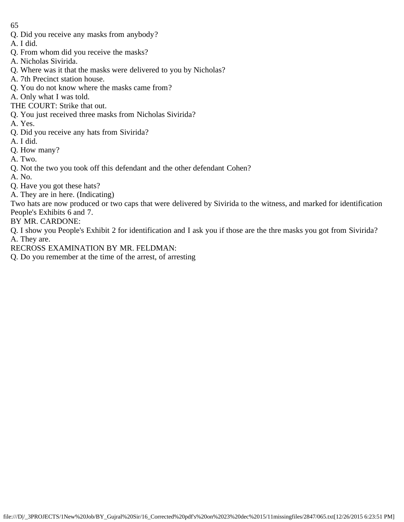- Q. Did you receive any masks from anybody?
- A. I did.
- Q. From whom did you receive the masks?
- A. Nicholas Sivirida.
- Q. Where was it that the masks were delivered to you by Nicholas?
- A. 7th Precinct station house.
- Q. You do not know where the masks came from?
- A. Only what I was told.
- THE COURT: Strike that out.
- Q. You just received three masks from Nicholas Sivirida?
- A. Yes.
- Q. Did you receive any hats from Sivirida?
- A. I did.
- Q. How many?
- A. Two.
- Q. Not the two you took off this defendant and the other defendant Cohen?
- A. No.
- Q. Have you got these hats?
- A. They are in here. (Indicating)
- Two hats are now produced or two caps that were delivered by Sivirida to the witness, and marked for identification People's Exhibits 6 and 7.
- BY MR. CARDONE:
- Q. I show you People's Exhibit 2 for identification and I ask you if those are the thre masks you got from Sivirida? A. They are.
- RECROSS EXAMINATION BY MR. FELDMAN:
- Q. Do you remember at the time of the arrest, of arresting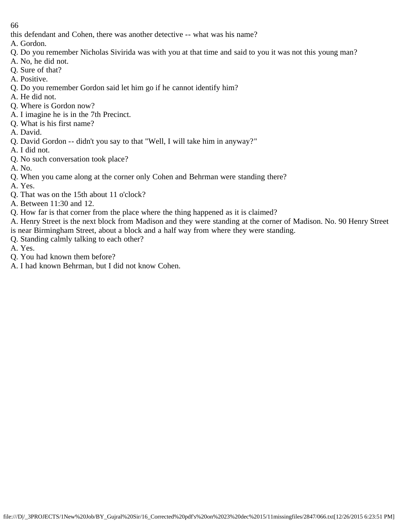this defendant and Cohen, there was another detective -- what was his name?

- A. Gordon.
- Q. Do you remember Nicholas Sivirida was with you at that time and said to you it was not this young man?
- A. No, he did not.
- Q. Sure of that?
- A. Positive.
- Q. Do you remember Gordon said let him go if he cannot identify him?
- A. He did not.
- Q. Where is Gordon now?
- A. I imagine he is in the 7th Precinct.
- Q. What is his first name?
- A. David.
- Q. David Gordon -- didn't you say to that "Well, I will take him in anyway?"
- A. I did not.
- Q. No such conversation took place?
- A. No.
- Q. When you came along at the corner only Cohen and Behrman were standing there?
- A. Yes.
- Q. That was on the 15th about 11 o'clock?
- A. Between 11:30 and 12.
- Q. How far is that corner from the place where the thing happened as it is claimed?
- A. Henry Street is the next block from Madison and they were standing at the corner of Madison. No. 90 Henry Street is near Birmingham Street, about a block and a half way from where they were standing.
- Q. Standing calmly talking to each other?
- A. Yes.
- Q. You had known them before?
- A. I had known Behrman, but I did not know Cohen.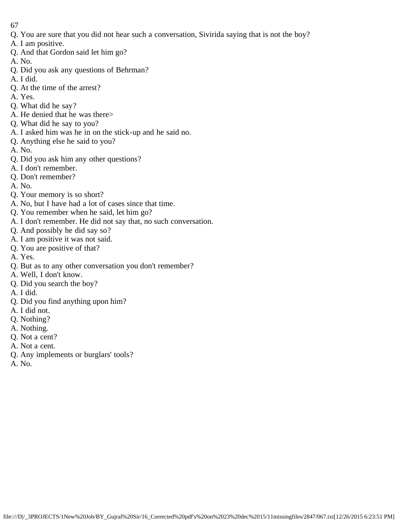- 67
- Q. You are sure that you did not hear such a conversation, Sivirida saying that is not the boy?
- A. I am positive.
- Q. And that Gordon said let him go?
- A. No.
- Q. Did you ask any questions of Behrman?
- A. I did.
- Q. At the time of the arrest?
- A. Yes.
- Q. What did he say?
- A. He denied that he was there>
- Q. What did he say to you?
- A. I asked him was he in on the stick-up and he said no.
- Q. Anything else he said to you?
- A. No.
- Q. Did you ask him any other questions?
- A. I don't remember.
- Q. Don't remember?
- A. No.
- Q. Your memory is so short?
- A. No, but I have had a lot of cases since that time.
- Q. You remember when he said, let him go?
- A. I don't remember. He did not say that, no such conversation.
- Q. And possibly he did say so?
- A. I am positive it was not said.
- Q. You are positive of that?
- A. Yes.
- Q. But as to any other conversation you don't remember?
- A. Well, I don't know.
- Q. Did you search the boy?
- A. I did.
- Q. Did you find anything upon him?
- A. I did not.
- Q. Nothing?
- A. Nothing.
- Q. Not a cent?
- A. Not a cent.
- Q. Any implements or burglars' tools?
- A. No.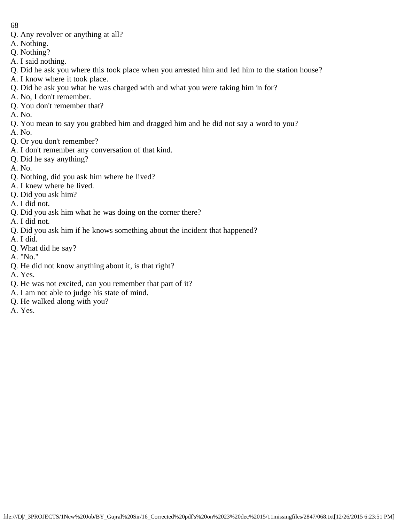- 68
- Q. Any revolver or anything at all?
- A. Nothing.
- Q. Nothing?
- A. I said nothing.
- Q. Did he ask you where this took place when you arrested him and led him to the station house?
- A. I know where it took place.
- Q. Did he ask you what he was charged with and what you were taking him in for?
- A. No, I don't remember.
- Q. You don't remember that?
- A. No.
- Q. You mean to say you grabbed him and dragged him and he did not say a word to you?
- A. No.
- Q. Or you don't remember?
- A. I don't remember any conversation of that kind.
- Q. Did he say anything?
- A. No.
- Q. Nothing, did you ask him where he lived?
- A. I knew where he lived.
- Q. Did you ask him?
- A. I did not.
- Q. Did you ask him what he was doing on the corner there?
- A. I did not.
- Q. Did you ask him if he knows something about the incident that happened?
- A. I did.
- Q. What did he say?
- A. "No."
- Q. He did not know anything about it, is that right?
- A. Yes.
- Q. He was not excited, can you remember that part of it?
- A. I am not able to judge his state of mind.
- Q. He walked along with you?
- A. Yes.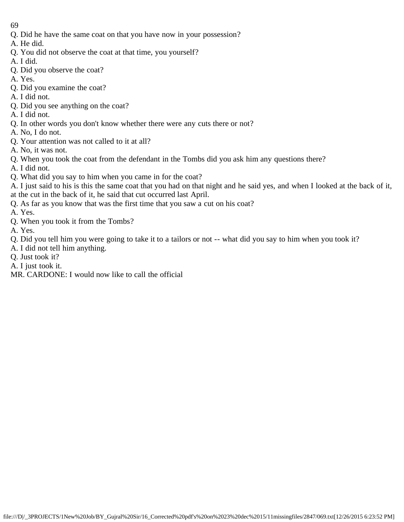- 69
- Q. Did he have the same coat on that you have now in your possession?
- A. He did.
- Q. You did not observe the coat at that time, you yourself?
- A. I did.
- Q. Did you observe the coat?
- A. Yes.
- Q. Did you examine the coat?
- A. I did not.
- Q. Did you see anything on the coat?
- A. I did not.
- Q. In other words you don't know whether there were any cuts there or not?
- A. No, I do not.
- Q. Your attention was not called to it at all?
- A. No, it was not.
- Q. When you took the coat from the defendant in the Tombs did you ask him any questions there?
- A. I did not.
- Q. What did you say to him when you came in for the coat?
- A. I just said to his is this the same coat that you had on that night and he said yes, and when I looked at the back of it, at the cut in the back of it, he said that cut occurred last April.
- Q. As far as you know that was the first time that you saw a cut on his coat?
- A. Yes.
- Q. When you took it from the Tombs?
- A. Yes.
- Q. Did you tell him you were going to take it to a tailors or not -- what did you say to him when you took it?
- A. I did not tell him anything.
- Q. Just took it?
- A. I just took it.
- MR. CARDONE: I would now like to call the official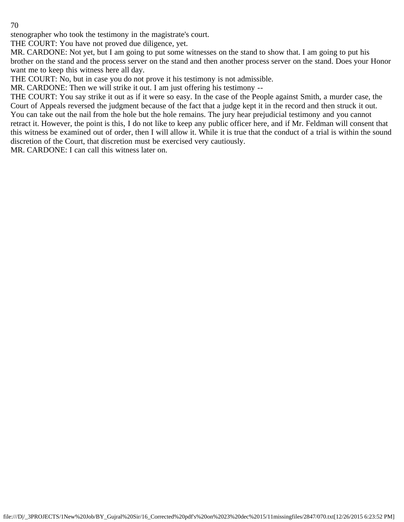stenographer who took the testimony in the magistrate's court.

THE COURT: You have not proved due diligence, yet.

MR. CARDONE: Not yet, but I am going to put some witnesses on the stand to show that. I am going to put his brother on the stand and the process server on the stand and then another process server on the stand. Does your Honor want me to keep this witness here all day.

THE COURT: No, but in case you do not prove it his testimony is not admissible.

MR. CARDONE: Then we will strike it out. I am just offering his testimony --

THE COURT: You say strike it out as if it were so easy. In the case of the People against Smith, a murder case, the Court of Appeals reversed the judgment because of the fact that a judge kept it in the record and then struck it out. You can take out the nail from the hole but the hole remains. The jury hear prejudicial testimony and you cannot retract it. However, the point is this, I do not like to keep any public officer here, and if Mr. Feldman will consent that this witness be examined out of order, then I will allow it. While it is true that the conduct of a trial is within the sound discretion of the Court, that discretion must be exercised very cautiously.

MR. CARDONE: I can call this witness later on.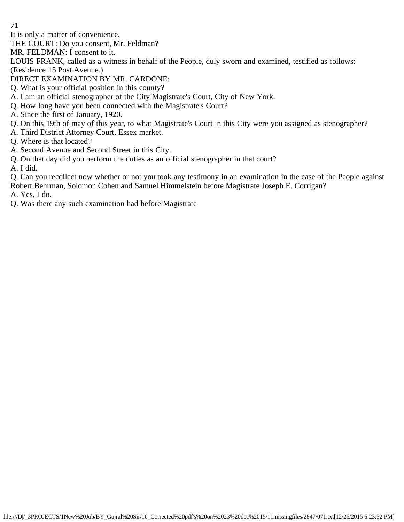It is only a matter of convenience.

THE COURT: Do you consent, Mr. Feldman?

MR. FELDMAN: I consent to it.

LOUIS FRANK, called as a witness in behalf of the People, duly sworn and examined, testified as follows: (Residence 15 Post Avenue.)

DIRECT EXAMINATION BY MR. CARDONE:

- Q. What is your official position in this county?
- A. I am an official stenographer of the City Magistrate's Court, City of New York.
- Q. How long have you been connected with the Magistrate's Court?
- A. Since the first of January, 1920.
- Q. On this 19th of may of this year, to what Magistrate's Court in this City were you assigned as stenographer?
- A. Third District Attorney Court, Essex market.
- Q. Where is that located?
- A. Second Avenue and Second Street in this City.
- Q. On that day did you perform the duties as an official stenographer in that court?

A. I did.

Q. Can you recollect now whether or not you took any testimony in an examination in the case of the People against Robert Behrman, Solomon Cohen and Samuel Himmelstein before Magistrate Joseph E. Corrigan?

A. Yes, I do.

Q. Was there any such examination had before Magistrate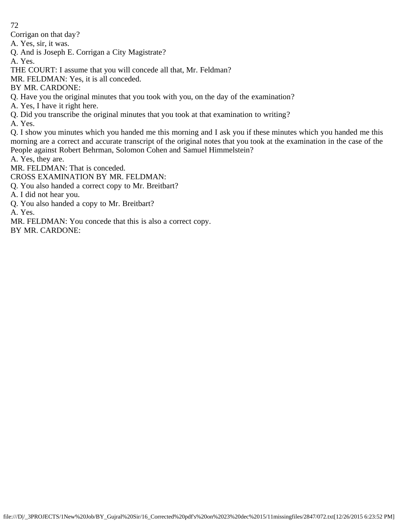Corrigan on that day?

A. Yes, sir, it was.

Q. And is Joseph E. Corrigan a City Magistrate?

A. Yes.

THE COURT: I assume that you will concede all that, Mr. Feldman?

MR. FELDMAN: Yes, it is all conceded.

BY MR. CARDONE:

Q. Have you the original minutes that you took with you, on the day of the examination?

A. Yes, I have it right here.

Q. Did you transcribe the original minutes that you took at that examination to writing?

A. Yes.

Q. I show you minutes which you handed me this morning and I ask you if these minutes which you handed me this morning are a correct and accurate transcript of the original notes that you took at the examination in the case of the People against Robert Behrman, Solomon Cohen and Samuel Himmelstein?

A. Yes, they are.

MR. FELDMAN: That is conceded.

CROSS EXAMINATION BY MR. FELDMAN:

Q. You also handed a correct copy to Mr. Breitbart?

A. I did not hear you.

Q. You also handed a copy to Mr. Breitbart?

A. Yes.

MR. FELDMAN: You concede that this is also a correct copy.

BY MR. CARDONE: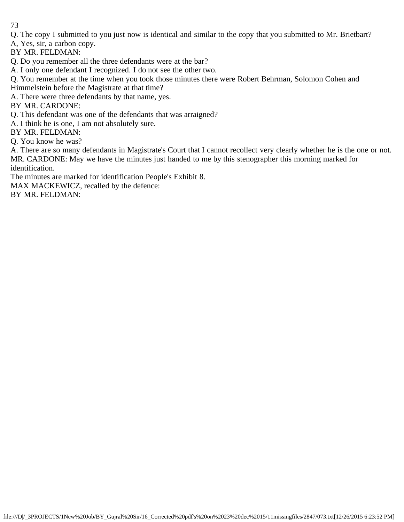Q. The copy I submitted to you just now is identical and similar to the copy that you submitted to Mr. Brietbart?

A, Yes, sir, a carbon copy.

BY MR. FELDMAN:

Q. Do you remember all the three defendants were at the bar?

A. I only one defendant I recognized. I do not see the other two.

Q. You remember at the time when you took those minutes there were Robert Behrman, Solomon Cohen and

Himmelstein before the Magistrate at that time?

A. There were three defendants by that name, yes.

BY MR. CARDONE:

Q. This defendant was one of the defendants that was arraigned?

A. I think he is one, I am not absolutely sure.

BY MR. FELDMAN:

Q. You know he was?

A. There are so many defendants in Magistrate's Court that I cannot recollect very clearly whether he is the one or not. MR. CARDONE: May we have the minutes just handed to me by this stenographer this morning marked for identification.

The minutes are marked for identification People's Exhibit 8.

MAX MACKEWICZ, recalled by the defence:

BY MR. FELDMAN: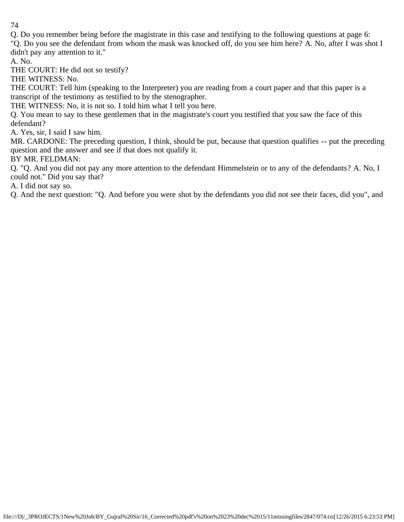Q. Do you remember being before the magistrate in this case and testifying to the following questions at page 6:

"Q. Do you see the defendant from whom the mask was knocked off, do you see him here? A. No, after I was shot I didn't pay any attention to it."

A. No.

THE COURT: He did not so testify?

THE WITNESS: No.

THE COURT: Tell him (speaking to the Interpreter) you are reading from a court paper and that this paper is a transcript of the testimony as testified to by the stenographer.

THE WITNESS: No, it is not so. I told him what I tell you here.

Q. You mean to say to these gentlemen that in the magistrate's court you testified that you saw the face of this defendant?

A. Yes, sir, I said I saw him.

MR. CARDONE: The preceding question, I think, should be put, because that question qualifies -- put the preceding question and the answer and see if that does not qualify it.

BY MR. FELDMAN:

Q. "Q. And you did not pay any more attention to the defendant Himmelstein or to any of the defendants? A. No, I could not." Did you say that?

A. I did not say so.

Q. And the next question: "Q. And before you were shot by the defendants you did not see their faces, did you", and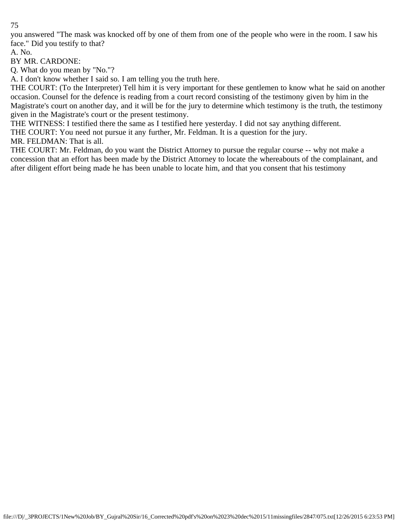you answered "The mask was knocked off by one of them from one of the people who were in the room. I saw his face." Did you testify to that?

A. No.

BY MR. CARDONE:

Q. What do you mean by "No."?

A. I don't know whether I said so. I am telling you the truth here.

THE COURT: (To the Interpreter) Tell him it is very important for these gentlemen to know what he said on another occasion. Counsel for the defence is reading from a court record consisting of the testimony given by him in the Magistrate's court on another day, and it will be for the jury to determine which testimony is the truth, the testimony given in the Magistrate's court or the present testimony.

THE WITNESS: I testified there the same as I testified here yesterday. I did not say anything different.

THE COURT: You need not pursue it any further, Mr. Feldman. It is a question for the jury.

MR. FELDMAN: That is all.

THE COURT: Mr. Feldman, do you want the District Attorney to pursue the regular course -- why not make a concession that an effort has been made by the District Attorney to locate the whereabouts of the complainant, and after diligent effort being made he has been unable to locate him, and that you consent that his testimony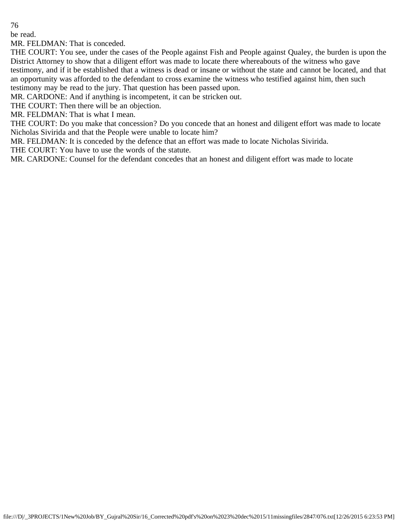be read.

MR. FELDMAN: That is conceded.

THE COURT: You see, under the cases of the People against Fish and People against Qualey, the burden is upon the District Attorney to show that a diligent effort was made to locate there whereabouts of the witness who gave testimony, and if it be established that a witness is dead or insane or without the state and cannot be located, and that an opportunity was afforded to the defendant to cross examine the witness who testified against him, then such testimony may be read to the jury. That question has been passed upon.

MR. CARDONE: And if anything is incompetent, it can be stricken out.

THE COURT: Then there will be an objection.

MR. FELDMAN: That is what I mean.

THE COURT: Do you make that concession? Do you concede that an honest and diligent effort was made to locate Nicholas Sivirida and that the People were unable to locate him?

MR. FELDMAN: It is conceded by the defence that an effort was made to locate Nicholas Sivirida.

THE COURT: You have to use the words of the statute.

MR. CARDONE: Counsel for the defendant concedes that an honest and diligent effort was made to locate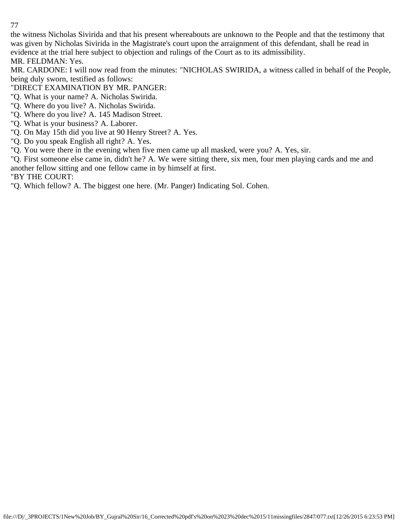the witness Nicholas Sivirida and that his present whereabouts are unknown to the People and that the testimony that was given by Nicholas Sivirida in the Magistrate's court upon the arraignment of this defendant, shall be read in evidence at the trial here subject to objection and rulings of the Court as to its admissibility.

MR. FELDMAN: Yes.

MR. CARDONE: I will now read from the minutes: "NICHOLAS SWIRIDA, a witness called in behalf of the People, being duly sworn, testified as follows:

"DIRECT EXAMINATION BY MR. PANGER:

- "Q. What is your name? A. Nicholas Swirida.
- "Q. Where do you live? A. Nicholas Swirida.
- "Q. Where do you live? A. 145 Madison Street.
- "Q. What is your business? A. Laborer.
- "Q. On May 15th did you live at 90 Henry Street? A. Yes.
- "Q. Do you speak English all right? A. Yes.
- "Q. You were there in the evening when five men came up all masked, were you? A. Yes, sir.

"Q. First someone else came in, didn't he? A. We were sitting there, six men, four men playing cards and me and another fellow sitting and one fellow came in by himself at first.

"BY THE COURT:

"Q. Which fellow? A. The biggest one here. (Mr. Panger) Indicating Sol. Cohen.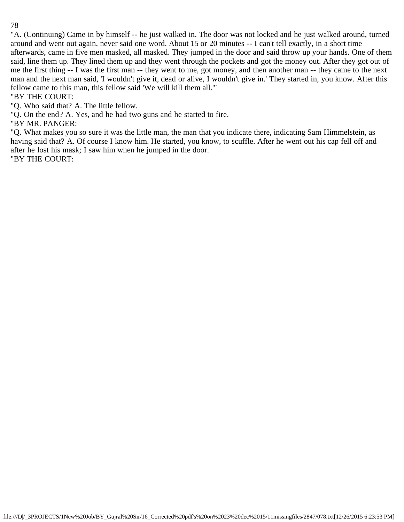"A. (Continuing) Came in by himself -- he just walked in. The door was not locked and he just walked around, turned around and went out again, never said one word. About 15 or 20 minutes -- I can't tell exactly, in a short time afterwards, came in five men masked, all masked. They jumped in the door and said throw up your hands. One of them said, line them up. They lined them up and they went through the pockets and got the money out. After they got out of me the first thing -- I was the first man -- they went to me, got money, and then another man -- they came to the next man and the next man said, 'I wouldn't give it, dead or alive, I wouldn't give in.' They started in, you know. After this fellow came to this man, this fellow said 'We will kill them all.'"

"BY THE COURT:

"Q. Who said that? A. The little fellow.

"Q. On the end? A. Yes, and he had two guns and he started to fire.

"BY MR. PANGER:

"Q. What makes you so sure it was the little man, the man that you indicate there, indicating Sam Himmelstein, as having said that? A. Of course I know him. He started, you know, to scuffle. After he went out his cap fell off and after he lost his mask; I saw him when he jumped in the door.

"BY THE COURT: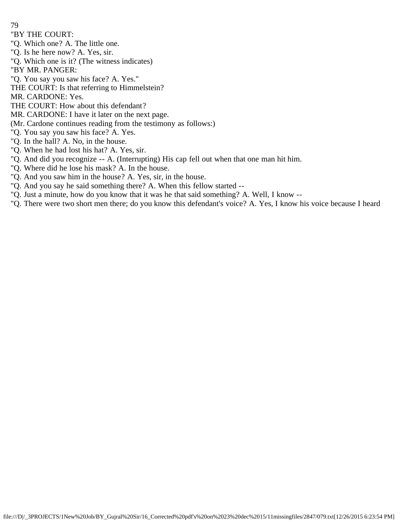- 79
- "BY THE COURT:
- "Q. Which one? A. The little one.
- "Q. Is he here now? A. Yes, sir.
- "Q. Which one is it? (The witness indicates)
- "BY MR. PANGER:
- "Q. You say you saw his face? A. Yes."
- THE COURT: Is that referring to Himmelstein?
- MR. CARDONE: Yes.
- THE COURT: How about this defendant?
- MR. CARDONE: I have it later on the next page.
- (Mr. Cardone continues reading from the testimony as follows:)
- "Q. You say you saw his face? A. Yes.
- "Q. In the hall? A. No, in the house.
- "Q. When he had lost his hat? A. Yes, sir.
- "Q. And did you recognize -- A. (Interrupting) His cap fell out when that one man hit him.
- "Q. Where did he lose his mask? A. In the house.
- "Q. And you saw him in the house? A. Yes, sir, in the house.
- "Q. And you say he said something there? A. When this fellow started --
- "Q. Just a minute, how do you know that it was he that said something? A. Well, I know --
- "Q. There were two short men there; do you know this defendant's voice? A. Yes, I know his voice because I heard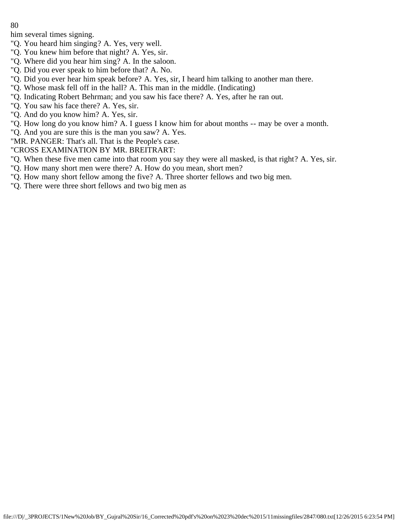him several times signing.

- "Q. You heard him singing? A. Yes, very well.
- "Q. You knew him before that night? A. Yes, sir.
- "Q. Where did you hear him sing? A. In the saloon.
- "Q. Did you ever speak to him before that? A. No.
- "Q. Did you ever hear him speak before? A. Yes, sir, I heard him talking to another man there.
- "Q. Whose mask fell off in the hall? A. This man in the middle. (Indicating)
- "Q. Indicating Robert Behrman; and you saw his face there? A. Yes, after he ran out.
- "Q. You saw his face there? A. Yes, sir.
- "Q. And do you know him? A. Yes, sir.
- "Q. How long do you know him? A. I guess I know him for about months -- may be over a month.
- "Q. And you are sure this is the man you saw? A. Yes.
- "MR. PANGER: That's all. That is the People's case.
- "CROSS EXAMINATION BY MR. BREITRART:
- "Q. When these five men came into that room you say they were all masked, is that right? A. Yes, sir.
- "Q. How many short men were there? A. How do you mean, short men?
- "Q. How many short fellow among the five? A. Three shorter fellows and two big men.
- "Q. There were three short fellows and two big men as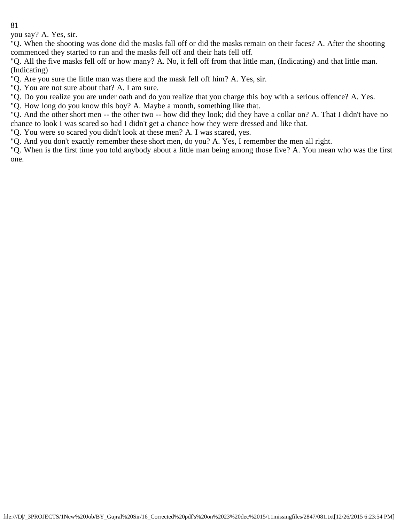you say? A. Yes, sir.

"Q. When the shooting was done did the masks fall off or did the masks remain on their faces? A. After the shooting commenced they started to run and the masks fell off and their hats fell off.

"Q. All the five masks fell off or how many? A. No, it fell off from that little man, (Indicating) and that little man. (Indicating)

"Q. Are you sure the little man was there and the mask fell off him? A. Yes, sir.

"Q. You are not sure about that? A. I am sure.

"Q. Do you realize you are under oath and do you realize that you charge this boy with a serious offence? A. Yes.

"Q. How long do you know this boy? A. Maybe a month, something like that.

"Q. And the other short men -- the other two -- how did they look; did they have a collar on? A. That I didn't have no chance to look I was scared so bad I didn't get a chance how they were dressed and like that.

"Q. You were so scared you didn't look at these men? A. I was scared, yes.

"Q. And you don't exactly remember these short men, do you? A. Yes, I remember the men all right.

"Q. When is the first time you told anybody about a little man being among those five? A. You mean who was the first one.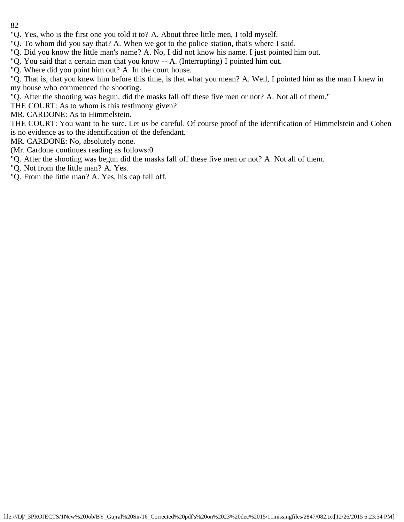- 82
- "Q. Yes, who is the first one you told it to? A. About three little men, I told myself.
- "Q. To whom did you say that? A. When we got to the police station, that's where I said.
- "Q. Did you know the little man's name? A. No, I did not know his name. I just pointed him out.
- "Q. You said that a certain man that you know -- A. (Interrupting) I pointed him out.
- "Q. Where did you point him out? A. In the court house.
- "Q. That is, that you knew him before this time, is that what you mean? A. Well, I pointed him as the man I knew in my house who commenced the shooting.
- "Q. After the shooting was begun, did the masks fall off these five men or not? A. Not all of them."
- THE COURT: As to whom is this testimony given?
- MR. CARDONE: As to Himmelstein.
- THE COURT: You want to be sure. Let us be careful. Of course proof of the identification of Himmelstein and Cohen is no evidence as to the identification of the defendant.
- MR. CARDONE: No, absolutely none.
- (Mr. Cardone continues reading as follows:0
- "Q. After the shooting was begun did the masks fall off these five men or not? A. Not all of them.
- "Q. Not from the little man? A. Yes.
- "Q. From the little man? A. Yes, his cap fell off.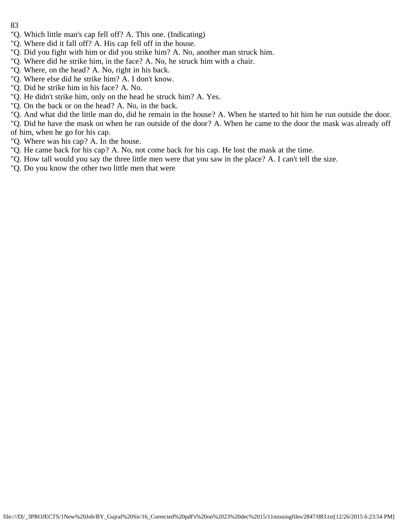- 83
- "Q. Which little man's cap fell off? A. This one. (Indicating)
- "Q. Where did it fall off? A. His cap fell off in the house.
- "Q. Did you fight with him or did you strike him? A. No, another man struck him.
- "Q. Where did he strike him, in the face? A. No, he struck him with a chair.
- "Q. Where, on the head? A. No, right in his back.
- "Q. Where else did he strike him? A. I don't know.
- "Q. Did he strike him in his face? A. No.
- "Q. He didn't strike him, only on the head he struck him? A. Yes.
- "Q. On the back or on the head? A. No, in the back.

"Q. And what did the little man do, did he remain in the house? A. When he started to hit him he run outside the door.

"Q. Did he have the mask on when he ran outside of the door? A. When he came to the door the mask was already off of him, when he go for his cap.

- "Q. Where was his cap? A. In the house.
- "Q. He came back for his cap? A. No, not come back for his cap. He lost the mask at the time.
- "Q. How tall would you say the three little men were that you saw in the place? A. I can't tell the size.
- "Q. Do you know the other two little men that were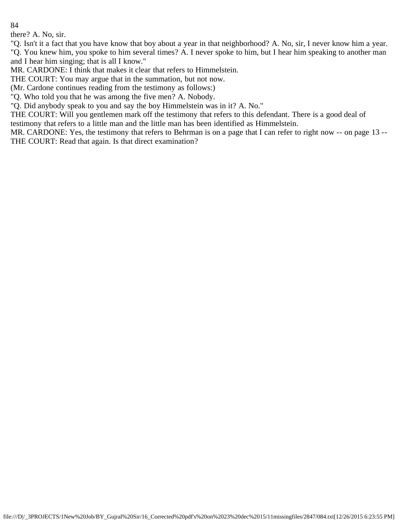there? A. No, sir.

"Q. Isn't it a fact that you have know that boy about a year in that neighborhood? A. No, sir, I never know him a year. "Q. You knew him, you spoke to him several times? A. I never spoke to him, but I hear him speaking to another man

and I hear him singing; that is all I know."

MR. CARDONE: I think that makes it clear that refers to Himmelstein.

THE COURT: You may argue that in the summation, but not now.

(Mr. Cardone continues reading from the testimony as follows:)

"Q. Who told you that he was among the five men? A. Nobody.

"Q. Did anybody speak to you and say the boy Himmelstein was in it? A. No."

THE COURT: Will you gentlemen mark off the testimony that refers to this defendant. There is a good deal of testimony that refers to a little man and the little man has been identified as Himmelstein.

MR. CARDONE: Yes, the testimony that refers to Behrman is on a page that I can refer to right now -- on page 13 -- THE COURT: Read that again. Is that direct examination?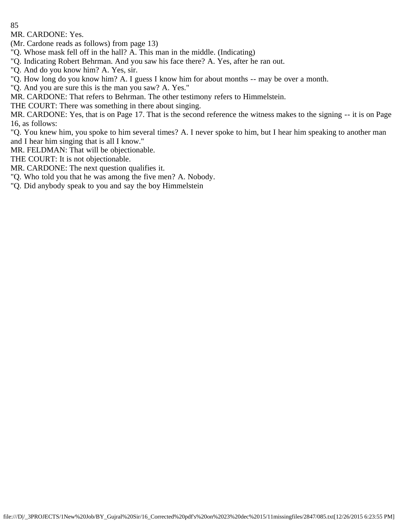MR. CARDONE: Yes.

(Mr. Cardone reads as follows) from page 13)

"Q. Whose mask fell off in the hall? A. This man in the middle. (Indicating)

"Q. Indicating Robert Behrman. And you saw his face there? A. Yes, after he ran out.

"Q. And do you know him? A. Yes, sir.

"Q. How long do you know him? A. I guess I know him for about months -- may be over a month.

"Q. And you are sure this is the man you saw? A. Yes."

MR. CARDONE: That refers to Behrman. The other testimony refers to Himmelstein.

THE COURT: There was something in there about singing.

MR. CARDONE: Yes, that is on Page 17. That is the second reference the witness makes to the signing -- it is on Page 16, as follows:

"Q. You knew him, you spoke to him several times? A. I never spoke to him, but I hear him speaking to another man and I hear him singing that is all I know."

MR. FELDMAN: That will be objectionable.

THE COURT: It is not objectionable.

MR. CARDONE: The next question qualifies it.

"Q. Who told you that he was among the five men? A. Nobody.

"Q. Did anybody speak to you and say the boy Himmelstein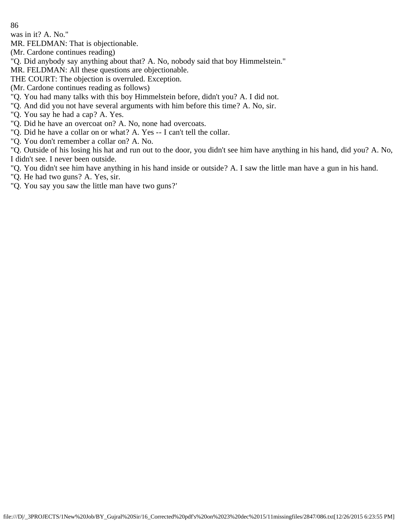was in it? A. No."

MR. FELDMAN: That is objectionable.

(Mr. Cardone continues reading)

"Q. Did anybody say anything about that? A. No, nobody said that boy Himmelstein."

MR. FELDMAN: All these questions are objectionable.

THE COURT: The objection is overruled. Exception.

(Mr. Cardone continues reading as follows)

"Q. You had many talks with this boy Himmelstein before, didn't you? A. I did not.

"Q. And did you not have several arguments with him before this time? A. No, sir.

"Q. You say he had a cap? A. Yes.

"Q. Did he have an overcoat on? A. No, none had overcoats.

"Q. Did he have a collar on or what? A. Yes -- I can't tell the collar.

"Q. You don't remember a collar on? A. No.

"Q. Outside of his losing his hat and run out to the door, you didn't see him have anything in his hand, did you? A. No, I didn't see. I never been outside.

"Q. You didn't see him have anything in his hand inside or outside? A. I saw the little man have a gun in his hand.

"Q. He had two guns? A. Yes, sir.

"Q. You say you saw the little man have two guns?'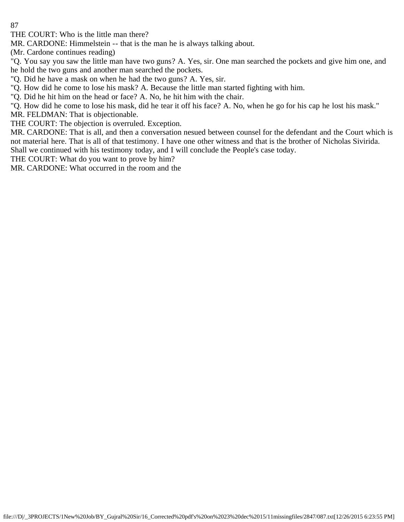THE COURT: Who is the little man there?

MR. CARDONE: Himmelstein -- that is the man he is always talking about.

(Mr. Cardone continues reading)

"Q. You say you saw the little man have two guns? A. Yes, sir. One man searched the pockets and give him one, and he hold the two guns and another man searched the pockets.

"Q. Did he have a mask on when he had the two guns? A. Yes, sir.

"Q. How did he come to lose his mask? A. Because the little man started fighting with him.

"Q. Did he hit him on the head or face? A. No, he hit him with the chair.

"Q. How did he come to lose his mask, did he tear it off his face? A. No, when he go for his cap he lost his mask."

MR. FELDMAN: That is objectionable.

THE COURT: The objection is overruled. Exception.

MR. CARDONE: That is all, and then a conversation nesued between counsel for the defendant and the Court which is not material here. That is all of that testimony. I have one other witness and that is the brother of Nicholas Sivirida. Shall we continued with his testimony today, and I will conclude the People's case today.

THE COURT: What do you want to prove by him?

MR. CARDONE: What occurred in the room and the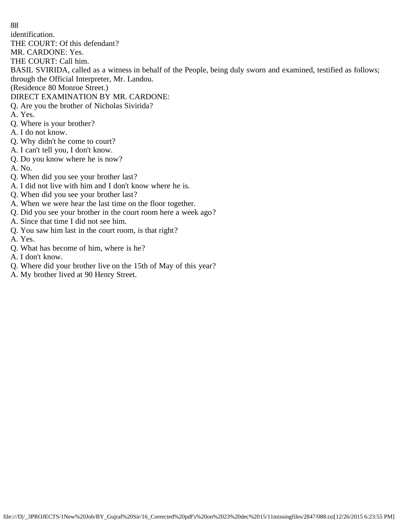identification.

THE COURT: Of this defendant?

MR. CARDONE: Yes.

THE COURT: Call him.

BASIL SVIRIDA, called as a witness in behalf of the People, being duly sworn and examined, testified as follows; through the Official Interpreter, Mr. Landou.

(Residence 80 Monroe Street.)

# DIRECT EXAMINATION BY MR. CARDONE:

- Q. Are you the brother of Nicholas Sivirida?
- A. Yes.
- Q. Where is your brother?
- A. I do not know.
- Q. Why didn't he come to court?
- A. I can't tell you, I don't know.
- Q. Do you know where he is now?
- A. No.
- Q. When did you see your brother last?
- A. I did not live with him and I don't know where he is.
- Q. When did you see your brother last?
- A. When we were hear the last time on the floor together.
- Q. Did you see your brother in the court room here a week ago?
- A. Since that time I did not see him.
- Q. You saw him last in the court room, is that right?
- A. Yes.
- Q. What has become of him, where is he?
- A. I don't know.
- Q. Where did your brother live on the 15th of May of this year?
- A. My brother lived at 90 Henry Street.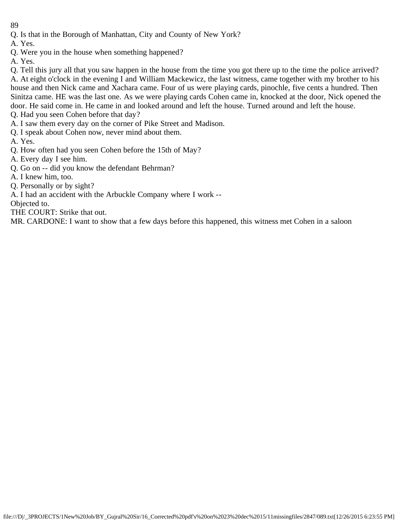- Q. Is that in the Borough of Manhattan, City and County of New York?
- A. Yes.
- Q. Were you in the house when something happened?
- A. Yes.

Q. Tell this jury all that you saw happen in the house from the time you got there up to the time the police arrived? A. At eight o'clock in the evening I and William Mackewicz, the last witness, came together with my brother to his house and then Nick came and Xachara came. Four of us were playing cards, pinochle, five cents a hundred. Then Sinitza came. HE was the last one. As we were playing cards Cohen came in, knocked at the door, Nick opened the door. He said come in. He came in and looked around and left the house. Turned around and left the house. Q. Had you seen Cohen before that day?

- A. I saw them every day on the corner of Pike Street and Madison.
- Q. I speak about Cohen now, never mind about them.

A. Yes.

- Q. How often had you seen Cohen before the 15th of May?
- A. Every day I see him.
- Q. Go on -- did you know the defendant Behrman?
- A. I knew him, too.
- Q. Personally or by sight?
- A. I had an accident with the Arbuckle Company where I work --

Objected to.

THE COURT: Strike that out.

MR. CARDONE: I want to show that a few days before this happened, this witness met Cohen in a saloon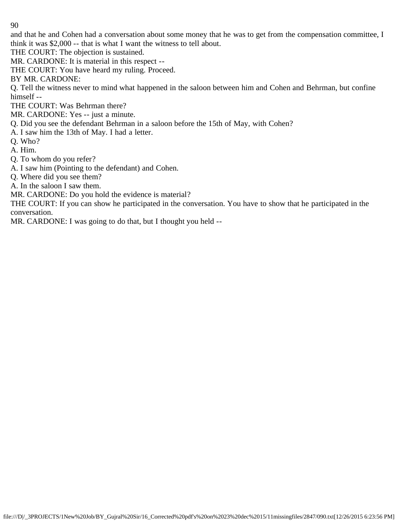and that he and Cohen had a conversation about some money that he was to get from the compensation committee, I think it was \$2,000 -- that is what I want the witness to tell about.

THE COURT: The objection is sustained.

MR. CARDONE: It is material in this respect --

THE COURT: You have heard my ruling. Proceed.

BY MR. CARDONE:

Q. Tell the witness never to mind what happened in the saloon between him and Cohen and Behrman, but confine himself --

THE COURT: Was Behrman there?

MR. CARDONE: Yes -- just a minute.

Q. Did you see the defendant Behrman in a saloon before the 15th of May, with Cohen?

- A. I saw him the 13th of May. I had a letter.
- Q. Who?

A. Him.

- Q. To whom do you refer?
- A. I saw him (Pointing to the defendant) and Cohen.
- Q. Where did you see them?

A. In the saloon I saw them.

MR. CARDONE: Do you hold the evidence is material?

THE COURT: If you can show he participated in the conversation. You have to show that he participated in the conversation.

MR. CARDONE: I was going to do that, but I thought you held --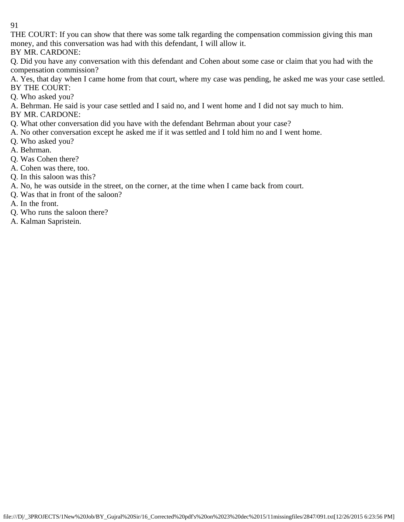THE COURT: If you can show that there was some talk regarding the compensation commission giving this man money, and this conversation was had with this defendant, I will allow it.

BY MR. CARDONE:

Q. Did you have any conversation with this defendant and Cohen about some case or claim that you had with the compensation commission?

A. Yes, that day when I came home from that court, where my case was pending, he asked me was your case settled. BY THE COURT:

Q. Who asked you?

A. Behrman. He said is your case settled and I said no, and I went home and I did not say much to him.

BY MR. CARDONE:

Q. What other conversation did you have with the defendant Behrman about your case?

- A. No other conversation except he asked me if it was settled and I told him no and I went home.
- Q. Who asked you?

A. Behrman.

- Q. Was Cohen there?
- A. Cohen was there, too.
- Q. In this saloon was this?
- A. No, he was outside in the street, on the corner, at the time when I came back from court.
- Q. Was that in front of the saloon?

A. In the front.

- Q. Who runs the saloon there?
- A. Kalman Sapristein.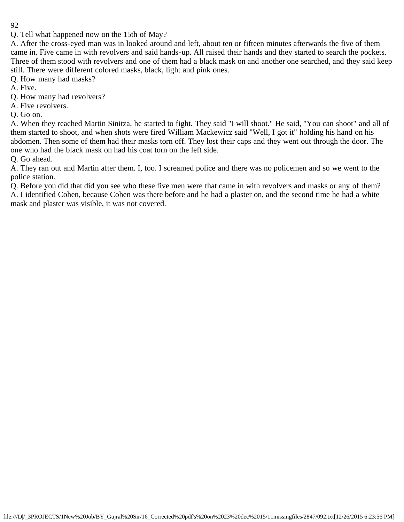Q. Tell what happened now on the 15th of May?

A. After the cross-eyed man was in looked around and left, about ten or fifteen minutes afterwards the five of them came in. Five came in with revolvers and said hands-up. All raised their hands and they started to search the pockets. Three of them stood with revolvers and one of them had a black mask on and another one searched, and they said keep still. There were different colored masks, black, light and pink ones.

Q. How many had masks?

A. Five.

Q. How many had revolvers?

A. Five revolvers.

Q. Go on.

A. When they reached Martin Sinitza, he started to fight. They said "I will shoot." He said, "You can shoot" and all of them started to shoot, and when shots were fired William Mackewicz said "Well, I got it" holding his hand on his abdomen. Then some of them had their masks torn off. They lost their caps and they went out through the door. The one who had the black mask on had his coat torn on the left side.

Q. Go ahead.

A. They ran out and Martin after them. I, too. I screamed police and there was no policemen and so we went to the police station.

Q. Before you did that did you see who these five men were that came in with revolvers and masks or any of them? A. I identified Cohen, because Cohen was there before and he had a plaster on, and the second time he had a white mask and plaster was visible, it was not covered.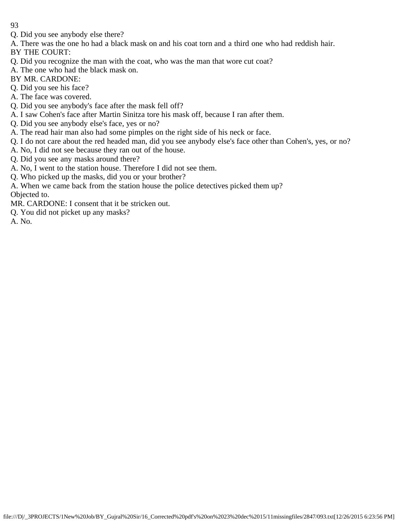- Q. Did you see anybody else there?
- A. There was the one ho had a black mask on and his coat torn and a third one who had reddish hair.

BY THE COURT:

- Q. Did you recognize the man with the coat, who was the man that wore cut coat?
- A. The one who had the black mask on.
- BY MR. CARDONE:
- Q. Did you see his face?
- A. The face was covered.
- Q. Did you see anybody's face after the mask fell off?
- A. I saw Cohen's face after Martin Sinitza tore his mask off, because I ran after them.
- Q. Did you see anybody else's face, yes or no?
- A. The read hair man also had some pimples on the right side of his neck or face.
- Q. I do not care about the red headed man, did you see anybody else's face other than Cohen's, yes, or no?
- A. No, I did not see because they ran out of the house.
- Q. Did you see any masks around there?
- A. No, I went to the station house. Therefore I did not see them.
- Q. Who picked up the masks, did you or your brother?
- A. When we came back from the station house the police detectives picked them up? Objected to.
- MR. CARDONE: I consent that it be stricken out.
- Q. You did not picket up any masks?

A. No.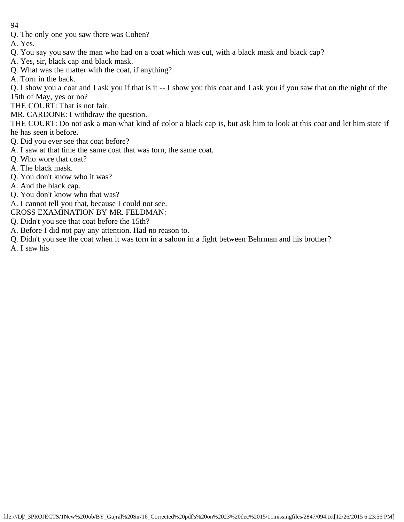- 94
- Q. The only one you saw there was Cohen?
- A. Yes.
- Q. You say you saw the man who had on a coat which was cut, with a black mask and black cap?
- A. Yes, sir, black cap and black mask.
- Q. What was the matter with the coat, if anything?
- A. Torn in the back.

Q. I show you a coat and I ask you if that is it -- I show you this coat and I ask you if you saw that on the night of the 15th of May, yes or no?

- THE COURT: That is not fair.
- MR. CARDONE: I withdraw the question.

THE COURT: Do not ask a man what kind of color a black cap is, but ask him to look at this coat and let him state if he has seen it before.

- Q. Did you ever see that coat before?
- A. I saw at that time the same coat that was torn, the same coat.
- Q. Who wore that coat?
- A. The black mask.
- Q. You don't know who it was?
- A. And the black cap.
- Q. You don't know who that was?
- A. I cannot tell you that, because I could not see.
- CROSS EXAMINATION BY MR. FELDMAN:
- Q. Didn't you see that coat before the 15th?
- A. Before I did not pay any attention. Had no reason to.
- Q. Didn't you see the coat when it was torn in a saloon in a fight between Behrman and his brother?
- A. I saw his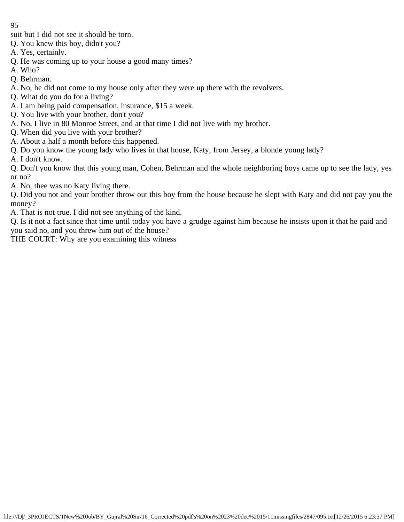- suit but I did not see it should be torn.
- Q. You knew this boy, didn't you?
- A. Yes, certainly.
- Q. He was coming up to your house a good many times?
- A. Who?
- Q. Behrman.
- A. No, he did not come to my house only after they were up there with the revolvers.
- Q. What do you do for a living?
- A. I am being paid compensation, insurance, \$15 a week.
- Q. You live with your brother, don't you?
- A. No, I live in 80 Monroe Street, and at that time I did not live with my brother.
- Q. When did you live with your brother?
- A. About a half a month before this happened.
- Q. Do you know the young lady who lives in that house, Katy, from Jersey, a blonde young lady?
- A. I don't know.

Q. Don't you know that this young man, Cohen, Behrman and the whole neighboring boys came up to see the lady, yes or no?

A. No, thee was no Katy living there.

Q. Did you not and your brother throw out this boy from the house because he slept with Katy and did not pay you the money?

A. That is not true. I did not see anything of the kind.

Q. Is it not a fact since that time until today you have a grudge against him because he insists upon it that he paid and you said no, and you threw him out of the house?

THE COURT: Why are you examining this witness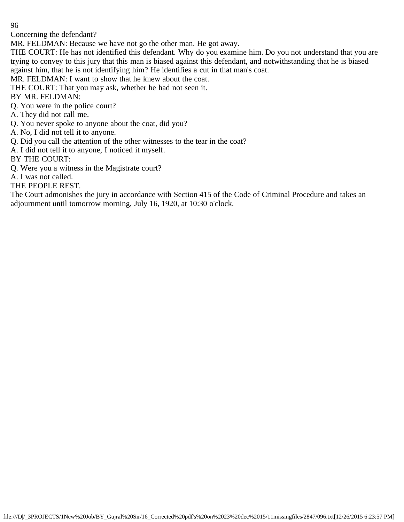Concerning the defendant?

MR. FELDMAN: Because we have not go the other man. He got away.

THE COURT: He has not identified this defendant. Why do you examine him. Do you not understand that you are trying to convey to this jury that this man is biased against this defendant, and notwithstanding that he is biased against him, that he is not identifying him? He identifies a cut in that man's coat.

MR. FELDMAN: I want to show that he knew about the coat.

THE COURT: That you may ask, whether he had not seen it.

BY MR. FELDMAN:

Q. You were in the police court?

A. They did not call me.

Q. You never spoke to anyone about the coat, did you?

A. No, I did not tell it to anyone.

Q. Did you call the attention of the other witnesses to the tear in the coat?

A. I did not tell it to anyone, I noticed it myself.

BY THE COURT:

Q. Were you a witness in the Magistrate court?

A. I was not called.

THE PEOPLE REST.

The Court admonishes the jury in accordance with Section 415 of the Code of Criminal Procedure and takes an adjournment until tomorrow morning, July 16, 1920, at 10:30 o'clock.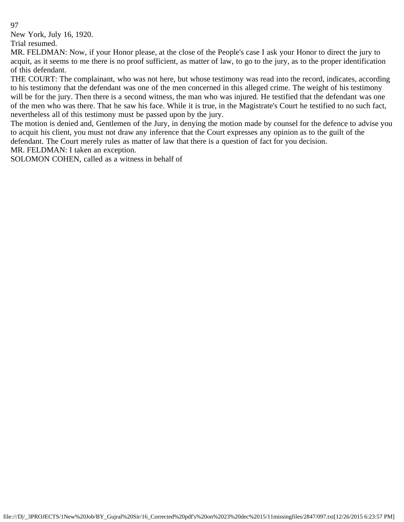New York, July 16, 1920.

Trial resumed.

MR. FELDMAN: Now, if your Honor please, at the close of the People's case I ask your Honor to direct the jury to acquit, as it seems to me there is no proof sufficient, as matter of law, to go to the jury, as to the proper identification of this defendant.

THE COURT: The complainant, who was not here, but whose testimony was read into the record, indicates, according to his testimony that the defendant was one of the men concerned in this alleged crime. The weight of his testimony will be for the jury. Then there is a second witness, the man who was injured. He testified that the defendant was one of the men who was there. That he saw his face. While it is true, in the Magistrate's Court he testified to no such fact, nevertheless all of this testimony must be passed upon by the jury.

The motion is denied and, Gentlemen of the Jury, in denying the motion made by counsel for the defence to advise you to acquit his client, you must not draw any inference that the Court expresses any opinion as to the guilt of the defendant. The Court merely rules as matter of law that there is a question of fact for you decision.

MR. FELDMAN: I taken an exception.

SOLOMON COHEN, called as a witness in behalf of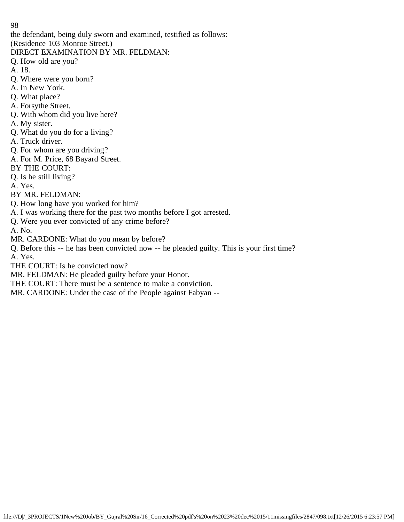the defendant, being duly sworn and examined, testified as follows:

(Residence 103 Monroe Street.)

DIRECT EXAMINATION BY MR. FELDMAN:

Q. How old are you?

A. 18.

- Q. Where were you born?
- A. In New York.
- Q. What place?
- A. Forsythe Street.
- Q. With whom did you live here?
- A. My sister.
- Q. What do you do for a living?
- A. Truck driver.
- Q. For whom are you driving?
- A. For M. Price, 68 Bayard Street.
- BY THE COURT:
- Q. Is he still living?

A. Yes.

BY MR. FELDMAN:

- Q. How long have you worked for him?
- A. I was working there for the past two months before I got arrested.
- Q. Were you ever convicted of any crime before?

A. No.

MR. CARDONE: What do you mean by before?

Q. Before this -- he has been convicted now -- he pleaded guilty. This is your first time? A. Yes.

THE COURT: Is he convicted now?

MR. FELDMAN: He pleaded guilty before your Honor.

THE COURT: There must be a sentence to make a conviction.

MR. CARDONE: Under the case of the People against Fabyan --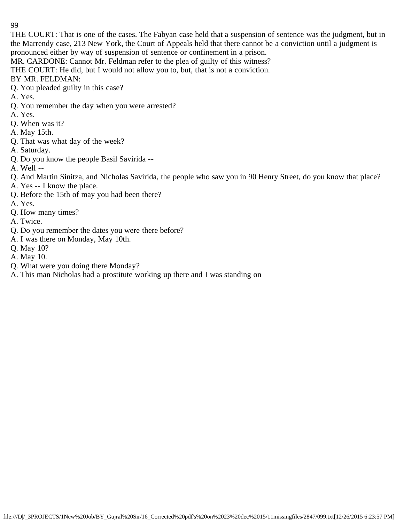THE COURT: That is one of the cases. The Fabyan case held that a suspension of sentence was the judgment, but in the Marrendy case, 213 New York, the Court of Appeals held that there cannot be a conviction until a judgment is pronounced either by way of suspension of sentence or confinement in a prison.

MR. CARDONE: Cannot Mr. Feldman refer to the plea of guilty of this witness?

THE COURT: He did, but I would not allow you to, but, that is not a conviction.

BY MR. FELDMAN:

- Q. You pleaded guilty in this case?
- A. Yes.
- Q. You remember the day when you were arrested?
- A. Yes.
- Q. When was it?
- A. May 15th.
- Q. That was what day of the week?
- A. Saturday.
- Q. Do you know the people Basil Savirida --
- A. Well --
- Q. And Martin Sinitza, and Nicholas Savirida, the people who saw you in 90 Henry Street, do you know that place?
- A. Yes -- I know the place.
- Q. Before the 15th of may you had been there?
- A. Yes.
- Q. How many times?
- A. Twice.
- Q. Do you remember the dates you were there before?
- A. I was there on Monday, May 10th.
- Q. May 10?
- A. May 10.
- Q. What were you doing there Monday?
- A. This man Nicholas had a prostitute working up there and I was standing on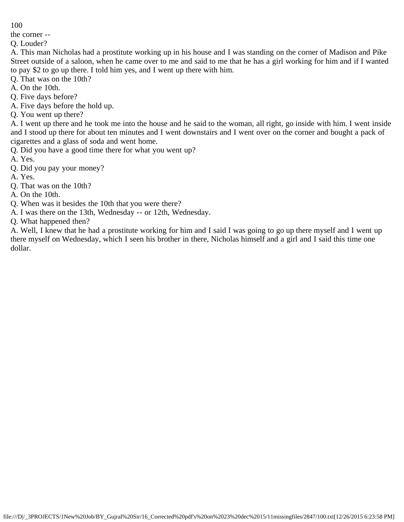the corner --

Q. Louder?

A. This man Nicholas had a prostitute working up in his house and I was standing on the corner of Madison and Pike Street outside of a saloon, when he came over to me and said to me that he has a girl working for him and if I wanted to pay \$2 to go up there. I told him yes, and I went up there with him.

Q. That was on the 10th?

A. On the 10th.

Q. Five days before?

A. Five days before the hold up.

Q. You went up there?

A. I went up there and he took me into the house and he said to the woman, all right, go inside with him. I went inside and I stood up there for about ten minutes and I went downstairs and I went over on the corner and bought a pack of cigarettes and a glass of soda and went home.

Q. Did you have a good time there for what you went up?

A. Yes.

Q. Did you pay your money?

A. Yes.

Q. That was on the 10th?

A. On the 10th.

Q. When was it besides the 10th that you were there?

A. I was there on the 13th, Wednesday -- or 12th, Wednesday.

Q. What happened then?

A. Well, I knew that he had a prostitute working for him and I said I was going to go up there myself and I went up there myself on Wednesday, which I seen his brother in there, Nicholas himself and a girl and I said this time one dollar.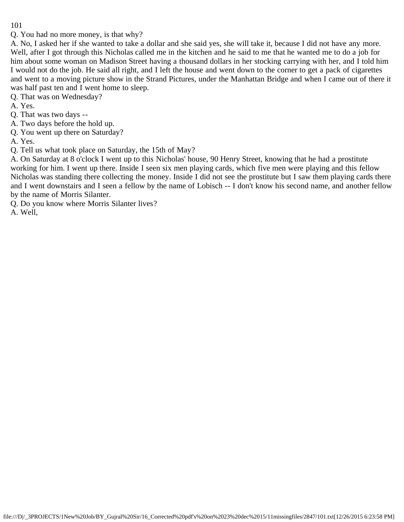Q. You had no more money, is that why?

A. No, I asked her if she wanted to take a dollar and she said yes, she will take it, because I did not have any more. Well, after I got through this Nicholas called me in the kitchen and he said to me that he wanted me to do a job for him about some woman on Madison Street having a thousand dollars in her stocking carrying with her, and I told him I would not do the job. He said all right, and I left the house and went down to the corner to get a pack of cigarettes and went to a moving picture show in the Strand Pictures, under the Manhattan Bridge and when I came out of there it was half past ten and I went home to sleep.

Q. That was on Wednesday?

A. Yes.

Q. That was two days --

A. Two days before the hold up.

Q. You went up there on Saturday?

A. Yes.

Q. Tell us what took place on Saturday, the 15th of May?

A. On Saturday at 8 o'clock I went up to this Nicholas' house, 90 Henry Street, knowing that he had a prostitute working for him. I went up there. Inside I seen six men playing cards, which five men were playing and this fellow Nicholas was standing there collecting the money. Inside I did not see the prostitute but I saw them playing cards there and I went downstairs and I seen a fellow by the name of Lobisch -- I don't know his second name, and another fellow by the name of Morris Silanter.

Q. Do you know where Morris Silanter lives?

A. Well,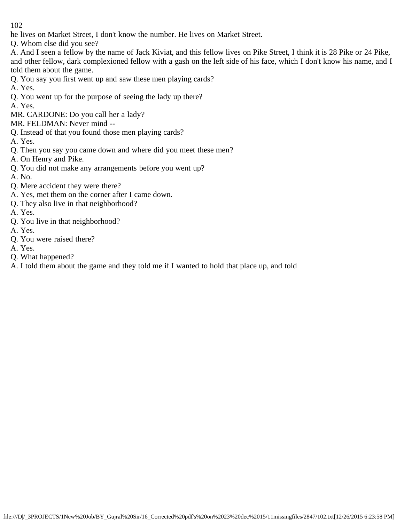he lives on Market Street, I don't know the number. He lives on Market Street.

Q. Whom else did you see?

A. And I seen a fellow by the name of Jack Kiviat, and this fellow lives on Pike Street, I think it is 28 Pike or 24 Pike, and other fellow, dark complexioned fellow with a gash on the left side of his face, which I don't know his name, and I told them about the game.

- Q. You say you first went up and saw these men playing cards?
- A. Yes.
- Q. You went up for the purpose of seeing the lady up there?
- A. Yes.
- MR. CARDONE: Do you call her a lady?
- MR. FELDMAN: Never mind --
- Q. Instead of that you found those men playing cards?
- A. Yes.
- Q. Then you say you came down and where did you meet these men?
- A. On Henry and Pike.
- Q. You did not make any arrangements before you went up?
- A. No.
- Q. Mere accident they were there?
- A. Yes, met them on the corner after I came down.
- Q. They also live in that neighborhood?
- A. Yes.
- Q. You live in that neighborhood?
- A. Yes.
- Q. You were raised there?
- A. Yes.
- Q. What happened?
- A. I told them about the game and they told me if I wanted to hold that place up, and told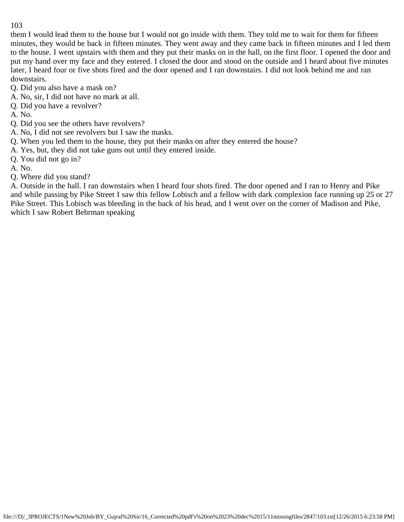them I would lead them to the house but I would not go inside with them. They told me to wait for them for fifteen minutes, they would be back in fifteen minutes. They went away and they came back in fifteen minutes and I led them to the house. I went upstairs with them and they put their masks on in the hall, on the first floor. I opened the door and put my hand over my face and they entered. I closed the door and stood on the outside and I heard about five minutes later, I heard four or five shots fired and the door opened and I ran downstairs. I did not look behind me and ran downstairs.

- Q. Did you also have a mask on?
- A. No, sir, I did not have no mark at all.
- Q. Did you have a revolver?
- A. No.
- Q. Did you see the others have revolvers?
- A. No, I did not see revolvers but I saw the masks.
- Q. When you led them to the house, they put their masks on after they entered the house?
- A. Yes, but, they did not take guns out until they entered inside.
- Q. You did not go in?
- A. No.
- Q. Where did you stand?

A. Outside in the hall. I ran downstairs when I heard four shots fired. The door opened and I ran to Henry and Pike and while passing by Pike Street I saw this fellow Lobisch and a fellow with dark complexion face running up 25 or 27 Pike Street. This Lobisch was bleeding in the back of his head, and I went over on the corner of Madison and Pike, which I saw Robert Behrman speaking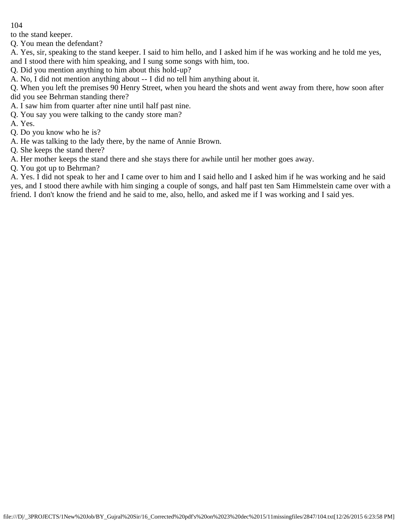to the stand keeper.

Q. You mean the defendant?

A. Yes, sir, speaking to the stand keeper. I said to him hello, and I asked him if he was working and he told me yes, and I stood there with him speaking, and I sung some songs with him, too.

Q. Did you mention anything to him about this hold-up?

A. No, I did not mention anything about -- I did no tell him anything about it.

Q. When you left the premises 90 Henry Street, when you heard the shots and went away from there, how soon after did you see Behrman standing there?

- A. I saw him from quarter after nine until half past nine.
- Q. You say you were talking to the candy store man?

A. Yes.

- Q. Do you know who he is?
- A. He was talking to the lady there, by the name of Annie Brown.
- Q. She keeps the stand there?

A. Her mother keeps the stand there and she stays there for awhile until her mother goes away.

Q. You got up to Behrman?

A. Yes. I did not speak to her and I came over to him and I said hello and I asked him if he was working and he said yes, and I stood there awhile with him singing a couple of songs, and half past ten Sam Himmelstein came over with a friend. I don't know the friend and he said to me, also, hello, and asked me if I was working and I said yes.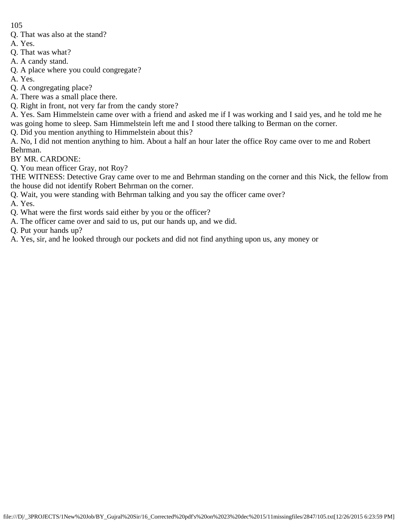- Q. That was also at the stand?
- A. Yes.
- Q. That was what?
- A. A candy stand.
- Q. A place where you could congregate?
- A. Yes.
- Q. A congregating place?
- A. There was a small place there.
- Q. Right in front, not very far from the candy store?
- A. Yes. Sam Himmelstein came over with a friend and asked me if I was working and I said yes, and he told me he was going home to sleep. Sam Himmelstein left me and I stood there talking to Berman on the corner.
- Q. Did you mention anything to Himmelstein about this?
- A. No, I did not mention anything to him. About a half an hour later the office Roy came over to me and Robert Behrman.
- BY MR. CARDONE:
- Q. You mean officer Gray, not Roy?
- THE WITNESS: Detective Gray came over to me and Behrman standing on the corner and this Nick, the fellow from the house did not identify Robert Behrman on the corner.
- Q. Wait, you were standing with Behrman talking and you say the officer came over?

A. Yes.

- Q. What were the first words said either by you or the officer?
- A. The officer came over and said to us, put our hands up, and we did.
- Q. Put your hands up?
- A. Yes, sir, and he looked through our pockets and did not find anything upon us, any money or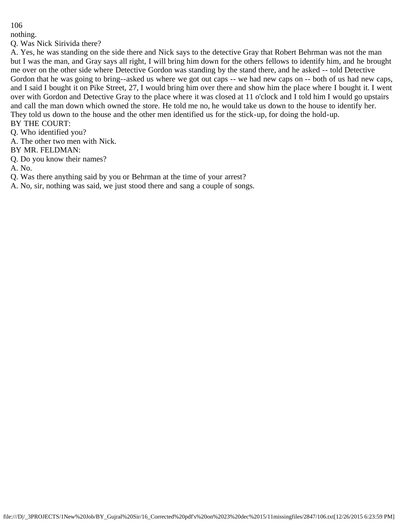nothing.

Q. Was Nick Sirivida there?

A. Yes, he was standing on the side there and Nick says to the detective Gray that Robert Behrman was not the man but I was the man, and Gray says all right, I will bring him down for the others fellows to identify him, and he brought me over on the other side where Detective Gordon was standing by the stand there, and he asked -- told Detective Gordon that he was going to bring--asked us where we got out caps -- we had new caps on -- both of us had new caps, and I said I bought it on Pike Street, 27, I would bring him over there and show him the place where I bought it. I went over with Gordon and Detective Gray to the place where it was closed at 11 o'clock and I told him I would go upstairs and call the man down which owned the store. He told me no, he would take us down to the house to identify her. They told us down to the house and the other men identified us for the stick-up, for doing the hold-up. BY THE COURT:

Q. Who identified you?

A. The other two men with Nick.

BY MR. FELDMAN:

Q. Do you know their names?

A. No.

Q. Was there anything said by you or Behrman at the time of your arrest?

A. No, sir, nothing was said, we just stood there and sang a couple of songs.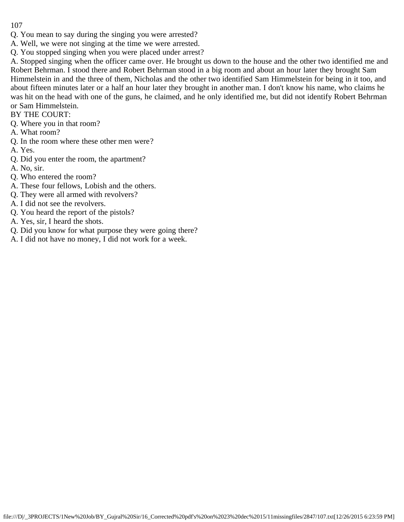- Q. You mean to say during the singing you were arrested?
- A. Well, we were not singing at the time we were arrested.
- Q. You stopped singing when you were placed under arrest?

A. Stopped singing when the officer came over. He brought us down to the house and the other two identified me and Robert Behrman. I stood there and Robert Behrman stood in a big room and about an hour later they brought Sam Himmelstein in and the three of them, Nicholas and the other two identified Sam Himmelstein for being in it too, and about fifteen minutes later or a half an hour later they brought in another man. I don't know his name, who claims he was hit on the head with one of the guns, he claimed, and he only identified me, but did not identify Robert Behrman or Sam Himmelstein.

BY THE COURT:

- Q. Where you in that room?
- A. What room?
- Q. In the room where these other men were?
- A. Yes.
- Q. Did you enter the room, the apartment?
- A. No, sir.
- Q. Who entered the room?
- A. These four fellows, Lobish and the others.
- Q. They were all armed with revolvers?
- A. I did not see the revolvers.
- Q. You heard the report of the pistols?
- A. Yes, sir, I heard the shots.
- Q. Did you know for what purpose they were going there?
- A. I did not have no money, I did not work for a week.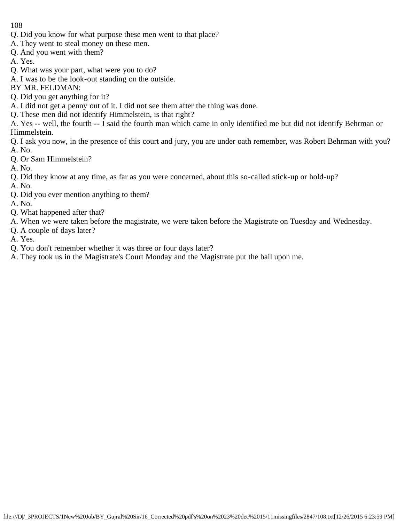- Q. Did you know for what purpose these men went to that place?
- A. They went to steal money on these men.
- Q. And you went with them?
- A. Yes.
- Q. What was your part, what were you to do?
- A. I was to be the look-out standing on the outside.
- BY MR. FELDMAN:
- Q. Did you get anything for it?
- A. I did not get a penny out of it. I did not see them after the thing was done.
- Q. These men did not identify Himmelstein, is that right?

A. Yes -- well, the fourth -- I said the fourth man which came in only identified me but did not identify Behrman or Himmelstein.

Q. I ask you now, in the presence of this court and jury, you are under oath remember, was Robert Behrman with you? A. No.

- Q. Or Sam Himmelstein?
- A. No.
- Q. Did they know at any time, as far as you were concerned, about this so-called stick-up or hold-up?
- A. No.
- Q. Did you ever mention anything to them?
- A. No.
- Q. What happened after that?
- A. When we were taken before the magistrate, we were taken before the Magistrate on Tuesday and Wednesday.
- Q. A couple of days later?
- A. Yes.
- Q. You don't remember whether it was three or four days later?
- A. They took us in the Magistrate's Court Monday and the Magistrate put the bail upon me.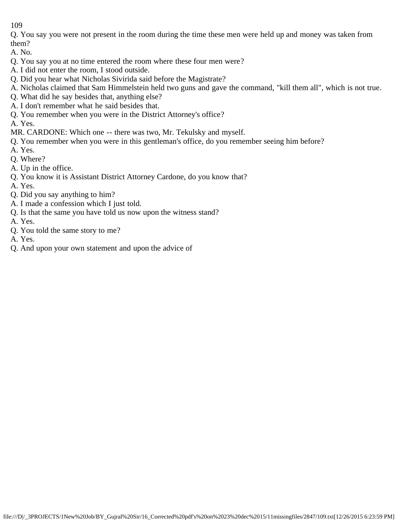Q. You say you were not present in the room during the time these men were held up and money was taken from them?

A. No.

- Q. You say you at no time entered the room where these four men were?
- A. I did not enter the room, I stood outside.
- Q. Did you hear what Nicholas Sivirida said before the Magistrate?
- A. Nicholas claimed that Sam Himmelstein held two guns and gave the command, "kill them all", which is not true.
- Q. What did he say besides that, anything else?
- A. I don't remember what he said besides that.
- Q. You remember when you were in the District Attorney's office?

A. Yes.

MR. CARDONE: Which one -- there was two, Mr. Tekulsky and myself.

- Q. You remember when you were in this gentleman's office, do you remember seeing him before?
- A. Yes.
- Q. Where?
- A. Up in the office.
- Q. You know it is Assistant District Attorney Cardone, do you know that?
- A. Yes.
- Q. Did you say anything to him?
- A. I made a confession which I just told.
- Q. Is that the same you have told us now upon the witness stand?
- A. Yes.
- Q. You told the same story to me?
- A. Yes.
- Q. And upon your own statement and upon the advice of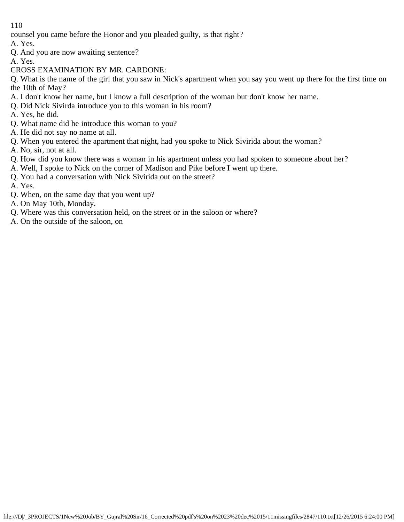counsel you came before the Honor and you pleaded guilty, is that right?

A. Yes.

- Q. And you are now awaiting sentence?
- A. Yes.
- CROSS EXAMINATION BY MR. CARDONE:

Q. What is the name of the girl that you saw in Nick's apartment when you say you went up there for the first time on the 10th of May?

- A. I don't know her name, but I know a full description of the woman but don't know her name.
- Q. Did Nick Sivirda introduce you to this woman in his room?
- A. Yes, he did.
- Q. What name did he introduce this woman to you?
- A. He did not say no name at all.
- Q. When you entered the apartment that night, had you spoke to Nick Sivirida about the woman?
- A. No, sir, not at all.
- Q. How did you know there was a woman in his apartment unless you had spoken to someone about her?
- A. Well, I spoke to Nick on the corner of Madison and Pike before I went up there.
- Q. You had a conversation with Nick Sivirida out on the street?
- A. Yes.
- Q. When, on the same day that you went up?
- A. On May 10th, Monday.
- Q. Where was this conversation held, on the street or in the saloon or where?
- A. On the outside of the saloon, on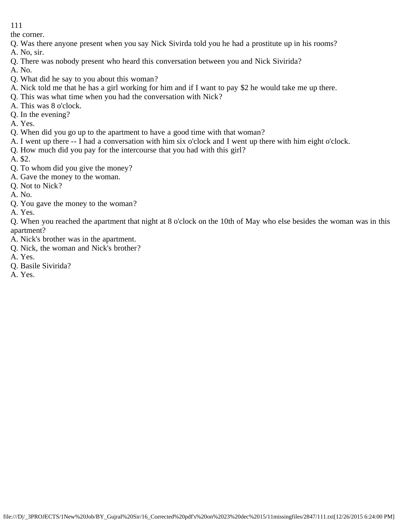the corner.

- Q. Was there anyone present when you say Nick Sivirda told you he had a prostitute up in his rooms?
- A. No, sir.
- Q. There was nobody present who heard this conversation between you and Nick Sivirida?
- A. No.
- Q. What did he say to you about this woman?
- A. Nick told me that he has a girl working for him and if I want to pay \$2 he would take me up there.
- Q. This was what time when you had the conversation with Nick?
- A. This was 8 o'clock.
- Q. In the evening?
- A. Yes.
- Q. When did you go up to the apartment to have a good time with that woman?
- A. I went up there -- I had a conversation with him six o'clock and I went up there with him eight o'clock.
- Q. How much did you pay for the intercourse that you had with this girl?
- A. \$2.
- Q. To whom did you give the money?
- A. Gave the money to the woman.
- Q. Not to Nick?
- A. No.
- Q. You gave the money to the woman?
- A. Yes.
- Q. When you reached the apartment that night at 8 o'clock on the 10th of May who else besides the woman was in this apartment?
- A. Nick's brother was in the apartment.
- Q. Nick, the woman and Nick's brother?
- A. Yes.
- Q. Basile Sivirida?
- A. Yes.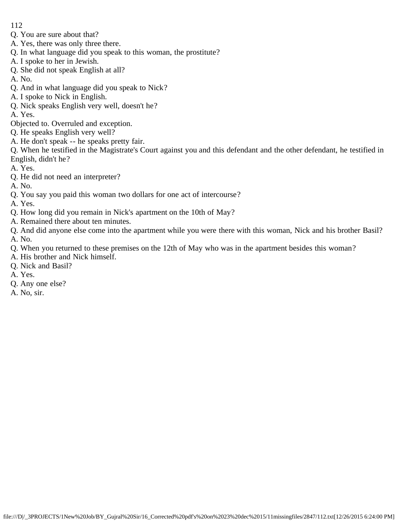- 112
- Q. You are sure about that?
- A. Yes, there was only three there.
- Q. In what language did you speak to this woman, the prostitute?
- A. I spoke to her in Jewish.
- Q. She did not speak English at all?
- A. No.
- Q. And in what language did you speak to Nick?
- A. I spoke to Nick in English.
- Q. Nick speaks English very well, doesn't he?
- A. Yes.
- Objected to. Overruled and exception.
- Q. He speaks English very well?
- A. He don't speak -- he speaks pretty fair.
- Q. When he testified in the Magistrate's Court against you and this defendant and the other defendant, he testified in English, didn't he?
- A. Yes.
- Q. He did not need an interpreter?
- A. No.
- Q. You say you paid this woman two dollars for one act of intercourse?
- A. Yes.
- Q. How long did you remain in Nick's apartment on the 10th of May?
- A. Remained there about ten minutes.
- Q. And did anyone else come into the apartment while you were there with this woman, Nick and his brother Basil? A. No.
- Q. When you returned to these premises on the 12th of May who was in the apartment besides this woman?
- A. His brother and Nick himself.
- Q. Nick and Basil?
- A. Yes.
- Q. Any one else?
- A. No, sir.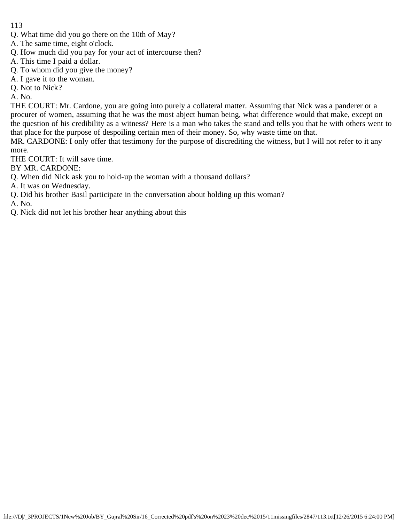- Q. What time did you go there on the 10th of May?
- A. The same time, eight o'clock.
- Q. How much did you pay for your act of intercourse then?
- A. This time I paid a dollar.
- Q. To whom did you give the money?
- A. I gave it to the woman.
- Q. Not to Nick?

A. No.

THE COURT: Mr. Cardone, you are going into purely a collateral matter. Assuming that Nick was a panderer or a procurer of women, assuming that he was the most abject human being, what difference would that make, except on the question of his credibility as a witness? Here is a man who takes the stand and tells you that he with others went to that place for the purpose of despoiling certain men of their money. So, why waste time on that.

MR. CARDONE: I only offer that testimony for the purpose of discrediting the witness, but I will not refer to it any more.

THE COURT: It will save time.

BY MR. CARDONE:

Q. When did Nick ask you to hold-up the woman with a thousand dollars?

A. It was on Wednesday.

Q. Did his brother Basil participate in the conversation about holding up this woman?

A. No.

Q. Nick did not let his brother hear anything about this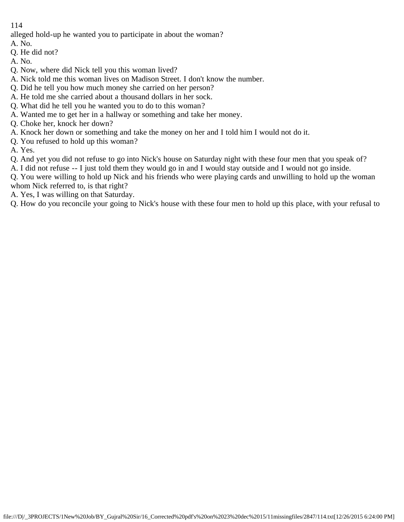alleged hold-up he wanted you to participate in about the woman?

- A. No.
- Q. He did not?
- A. No.
- Q. Now, where did Nick tell you this woman lived?
- A. Nick told me this woman lives on Madison Street. I don't know the number.
- Q. Did he tell you how much money she carried on her person?
- A. He told me she carried about a thousand dollars in her sock.
- Q. What did he tell you he wanted you to do to this woman?
- A. Wanted me to get her in a hallway or something and take her money.
- Q. Choke her, knock her down?
- A. Knock her down or something and take the money on her and I told him I would not do it.
- Q. You refused to hold up this woman?
- A. Yes.
- Q. And yet you did not refuse to go into Nick's house on Saturday night with these four men that you speak of?
- A. I did not refuse -- I just told them they would go in and I would stay outside and I would not go inside.
- Q. You were willing to hold up Nick and his friends who were playing cards and unwilling to hold up the woman whom Nick referred to, is that right?
- A. Yes, I was willing on that Saturday.

Q. How do you reconcile your going to Nick's house with these four men to hold up this place, with your refusal to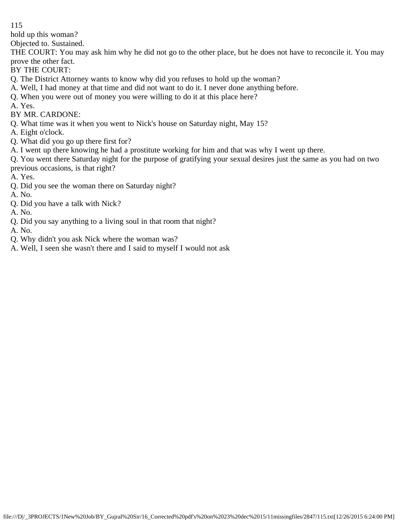hold up this woman?

Objected to. Sustained.

THE COURT: You may ask him why he did not go to the other place, but he does not have to reconcile it. You may prove the other fact.

- BY THE COURT:
- Q. The District Attorney wants to know why did you refuses to hold up the woman?
- A. Well, I had money at that time and did not want to do it. I never done anything before.
- Q. When you were out of money you were willing to do it at this place here?
- A. Yes.
- BY MR. CARDONE:
- Q. What time was it when you went to Nick's house on Saturday night, May 15?
- A. Eight o'clock.
- Q. What did you go up there first for?
- A. I went up there knowing he had a prostitute working for him and that was why I went up there.

Q. You went there Saturday night for the purpose of gratifying your sexual desires just the same as you had on two previous occasions, is that right?

- A. Yes.
- Q. Did you see the woman there on Saturday night?
- A. No.
- Q. Did you have a talk with Nick?
- A. No.
- Q. Did you say anything to a living soul in that room that night?
- A. No.
- Q. Why didn't you ask Nick where the woman was?
- A. Well, I seen she wasn't there and I said to myself I would not ask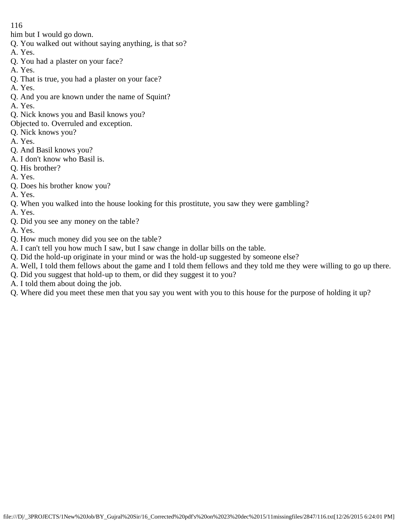him but I would go down.

- Q. You walked out without saying anything, is that so?
- A. Yes.
- Q. You had a plaster on your face?
- A. Yes.
- Q. That is true, you had a plaster on your face?
- A. Yes.
- Q. And you are known under the name of Squint?
- A. Yes.
- Q. Nick knows you and Basil knows you?
- Objected to. Overruled and exception.
- Q. Nick knows you?
- A. Yes.
- Q. And Basil knows you?
- A. I don't know who Basil is.
- Q. His brother?
- A. Yes.
- Q. Does his brother know you?
- A. Yes.
- Q. When you walked into the house looking for this prostitute, you saw they were gambling?
- A. Yes.
- Q. Did you see any money on the table?
- A. Yes.
- Q. How much money did you see on the table?
- A. I can't tell you how much I saw, but I saw change in dollar bills on the table.
- Q. Did the hold-up originate in your mind or was the hold-up suggested by someone else?
- A. Well, I told them fellows about the game and I told them fellows and they told me they were willing to go up there.
- Q. Did you suggest that hold-up to them, or did they suggest it to you?
- A. I told them about doing the job.
- Q. Where did you meet these men that you say you went with you to this house for the purpose of holding it up?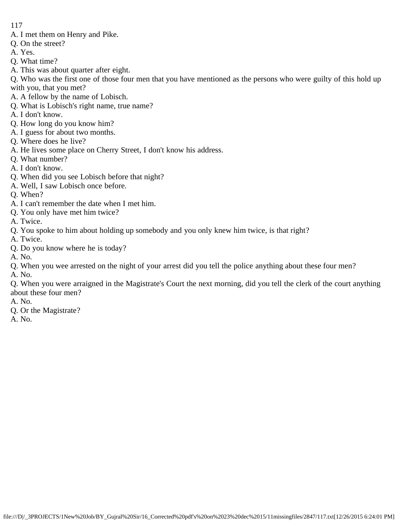- A. I met them on Henry and Pike.
- Q. On the street?
- A. Yes.
- Q. What time?
- A. This was about quarter after eight.

Q. Who was the first one of those four men that you have mentioned as the persons who were guilty of this hold up with you, that you met?

- A. A fellow by the name of Lobisch.
- Q. What is Lobisch's right name, true name?
- A. I don't know.
- Q. How long do you know him?
- A. I guess for about two months.
- Q. Where does he live?
- A. He lives some place on Cherry Street, I don't know his address.
- Q. What number?
- A. I don't know.
- Q. When did you see Lobisch before that night?
- A. Well, I saw Lobisch once before.
- Q. When?
- A. I can't remember the date when I met him.
- Q. You only have met him twice?
- A. Twice.
- Q. You spoke to him about holding up somebody and you only knew him twice, is that right?
- A. Twice.
- Q. Do you know where he is today?
- A. No.
- Q. When you wee arrested on the night of your arrest did you tell the police anything about these four men?

A. No.

Q. When you were arraigned in the Magistrate's Court the next morning, did you tell the clerk of the court anything about these four men?

- A. No.
- Q. Or the Magistrate?
- A. No.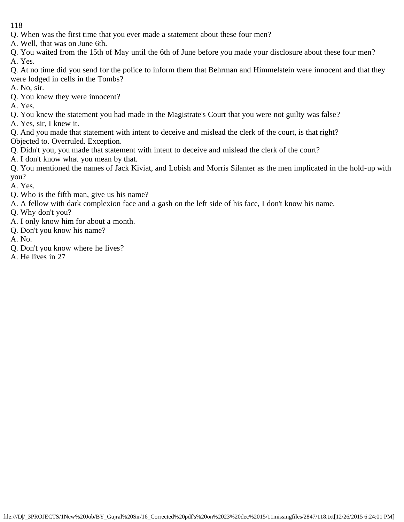- Q. When was the first time that you ever made a statement about these four men?
- A. Well, that was on June 6th.
- Q. You waited from the 15th of May until the 6th of June before you made your disclosure about these four men? A. Yes.
- Q. At no time did you send for the police to inform them that Behrman and Himmelstein were innocent and that they were lodged in cells in the Tombs?
- A. No, sir.
- Q. You knew they were innocent?
- A. Yes.
- Q. You knew the statement you had made in the Magistrate's Court that you were not guilty was false?
- A. Yes, sir, I knew it.
- Q. And you made that statement with intent to deceive and mislead the clerk of the court, is that right? Objected to. Overruled. Exception.
- Q. Didn't you, you made that statement with intent to deceive and mislead the clerk of the court?
- A. I don't know what you mean by that.
- Q. You mentioned the names of Jack Kiviat, and Lobish and Morris Silanter as the men implicated in the hold-up with you?
- A. Yes.
- Q. Who is the fifth man, give us his name?
- A. A fellow with dark complexion face and a gash on the left side of his face, I don't know his name.
- Q. Why don't you?
- A. I only know him for about a month.
- Q. Don't you know his name?
- A. No.
- Q. Don't you know where he lives?
- A. He lives in 27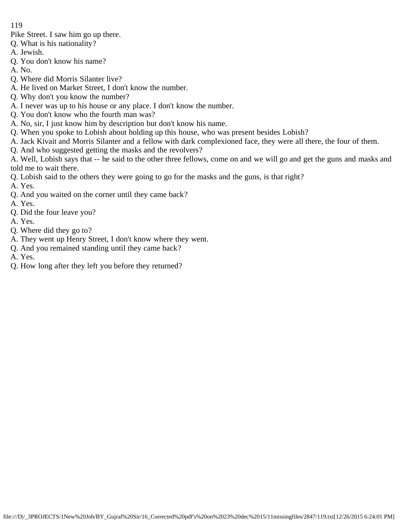Pike Street. I saw him go up there.

- Q. What is his nationality?
- A. Jewish.
- Q. You don't know his name?
- A. No.
- Q. Where did Morris Silanter live?
- A. He lived on Market Street, I don't know the number.
- Q. Why don't you know the number?
- A. I never was up to his house or any place. I don't know the number.
- Q. You don't know who the fourth man was?
- A. No, sir, I just know him by description but don't know his name.
- Q. When you spoke to Lobish about holding up this house, who was present besides Lobish?
- A. Jack Kivait and Morris Silanter and a fellow with dark complexioned face, they were all there, the four of them.
- Q. And who suggested getting the masks and the revolvers?
- A. Well, Lobish says that -- he said to the other three fellows, come on and we will go and get the guns and masks and told me to wait there.
- Q. Lobish said to the others they were going to go for the masks and the guns, is that right?
- A. Yes.
- Q. And you waited on the corner until they came back?
- A. Yes.
- Q. Did the four leave you?
- A. Yes.
- Q. Where did they go to?
- A. They went up Henry Street, I don't know where they went.
- Q. And you remained standing until they came back?
- A. Yes.
- Q. How long after they left you before they returned?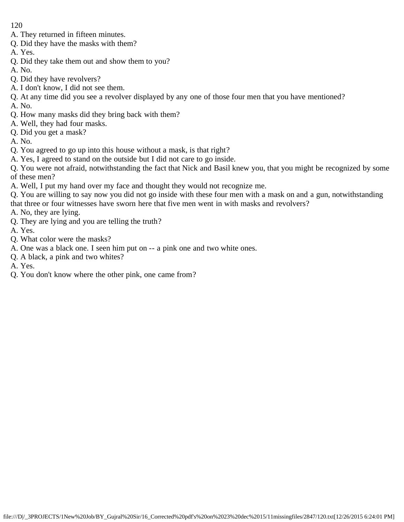- A. They returned in fifteen minutes.
- Q. Did they have the masks with them?
- A. Yes.
- Q. Did they take them out and show them to you?
- A. No.
- Q. Did they have revolvers?
- A. I don't know, I did not see them.
- Q. At any time did you see a revolver displayed by any one of those four men that you have mentioned? A. No.
- Q. How many masks did they bring back with them?
- A. Well, they had four masks.
- Q. Did you get a mask?
- A. No.
- Q. You agreed to go up into this house without a mask, is that right?
- A. Yes, I agreed to stand on the outside but I did not care to go inside.
- Q. You were not afraid, notwithstanding the fact that Nick and Basil knew you, that you might be recognized by some of these men?
- A. Well, I put my hand over my face and thought they would not recognize me.
- Q. You are willing to say now you did not go inside with these four men with a mask on and a gun, notwithstanding that three or four witnesses have sworn here that five men went in with masks and revolvers?
- A. No, they are lying.
- Q. They are lying and you are telling the truth?
- A. Yes.
- Q. What color were the masks?
- A. One was a black one. I seen him put on -- a pink one and two white ones.
- Q. A black, a pink and two whites?
- A. Yes.
- Q. You don't know where the other pink, one came from?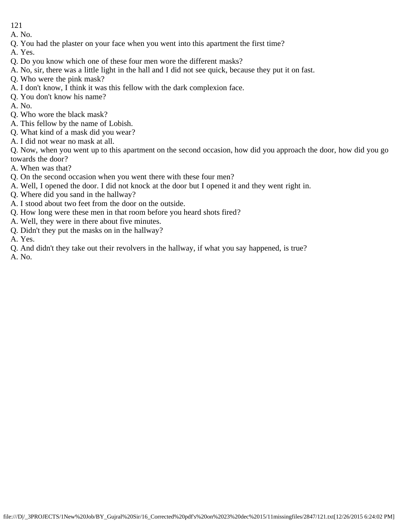A. No.

- Q. You had the plaster on your face when you went into this apartment the first time?
- A. Yes.
- Q. Do you know which one of these four men wore the different masks?
- A. No, sir, there was a little light in the hall and I did not see quick, because they put it on fast.
- Q. Who were the pink mask?
- A. I don't know, I think it was this fellow with the dark complexion face.
- Q. You don't know his name?
- A. No.
- Q. Who wore the black mask?
- A. This fellow by the name of Lobish.
- Q. What kind of a mask did you wear?
- A. I did not wear no mask at all.

Q. Now, when you went up to this apartment on the second occasion, how did you approach the door, how did you go towards the door?

- A. When was that?
- Q. On the second occasion when you went there with these four men?
- A. Well, I opened the door. I did not knock at the door but I opened it and they went right in.
- Q. Where did you sand in the hallway?
- A. I stood about two feet from the door on the outside.
- Q. How long were these men in that room before you heard shots fired?
- A. Well, they were in there about five minutes.
- Q. Didn't they put the masks on in the hallway?
- A. Yes.
- Q. And didn't they take out their revolvers in the hallway, if what you say happened, is true?

A. No.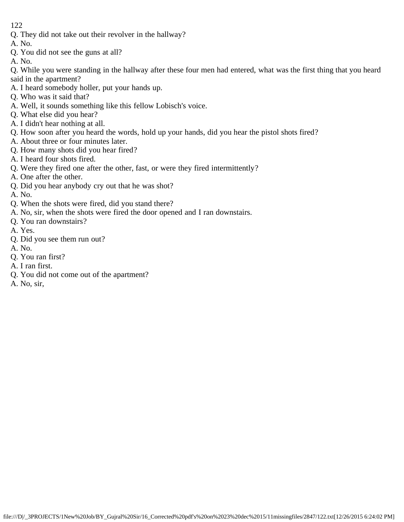- Q. They did not take out their revolver in the hallway?
- A. No.
- Q. You did not see the guns at all?
- A. No.

Q. While you were standing in the hallway after these four men had entered, what was the first thing that you heard said in the apartment?

- A. I heard somebody holler, put your hands up.
- Q. Who was it said that?
- A. Well, it sounds something like this fellow Lobisch's voice.
- Q. What else did you hear?
- A. I didn't hear nothing at all.
- Q. How soon after you heard the words, hold up your hands, did you hear the pistol shots fired?
- A. About three or four minutes later.
- Q. How many shots did you hear fired?
- A. I heard four shots fired.
- Q. Were they fired one after the other, fast, or were they fired intermittently?
- A. One after the other.
- Q. Did you hear anybody cry out that he was shot?
- A. No.
- Q. When the shots were fired, did you stand there?
- A. No, sir, when the shots were fired the door opened and I ran downstairs.
- Q. You ran downstairs?
- A. Yes.
- Q. Did you see them run out?
- A. No.
- Q. You ran first?
- A. I ran first.
- Q. You did not come out of the apartment?
- A. No, sir,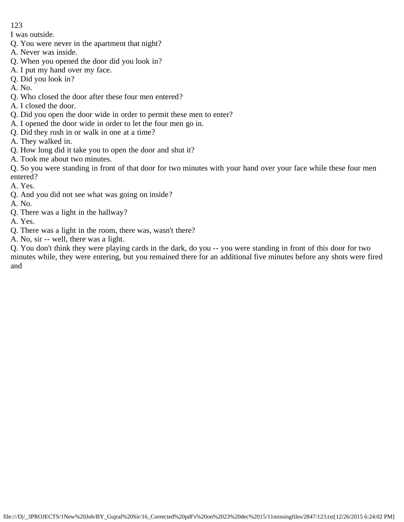I was outside.

- Q. You were never in the apartment that night?
- A. Never was inside.
- Q. When you opened the door did you look in?
- A. I put my hand over my face.
- Q. Did you look in?

A. No.

- Q. Who closed the door after these four men entered?
- A. I closed the door.
- Q. Did you open the door wide in order to permit these men to enter?
- A. I opened the door wide in order to let the four men go in.
- Q. Did they rush in or walk in one at a time?
- A. They walked in.
- Q. How long did it take you to open the door and shut it?
- A. Took me about two minutes.

Q. So you were standing in front of that door for two minutes with your hand over your face while these four men entered?

- A. Yes.
- Q. And you did not see what was going on inside?

A. No.

- Q. There was a light in the hallway?
- A. Yes.
- Q. There was a light in the room, there was, wasn't there?
- A. No, sir -- well, there was a light.

Q. You don't think they were playing cards in the dark, do you -- you were standing in front of this door for two minutes while, they were entering, but you remained there for an additional five minutes before any shots were fired and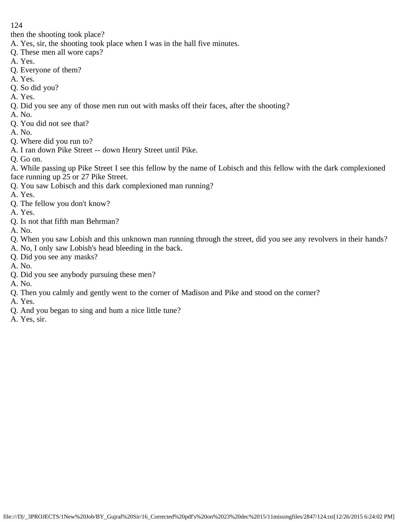then the shooting took place?

- A. Yes, sir, the shooting took place when I was in the hall five minutes.
- Q. These men all wore caps?
- A. Yes.
- Q. Everyone of them?
- A. Yes.
- Q. So did you?
- A. Yes.
- Q. Did you see any of those men run out with masks off their faces, after the shooting?
- A. No.
- Q. You did not see that?
- A. No.
- Q. Where did you run to?
- A. I ran down Pike Street -- down Henry Street until Pike.
- Q. Go on.

A. While passing up Pike Street I see this fellow by the name of Lobisch and this fellow with the dark complexioned face running up 25 or 27 Pike Street.

- Q. You saw Lobisch and this dark complexioned man running?
- A. Yes.
- Q. The fellow you don't know?
- A. Yes.
- Q. Is not that fifth man Behrman?
- A. No.
- Q. When you saw Lobish and this unknown man running through the street, did you see any revolvers in their hands?
- A. No, I only saw Lobish's head bleeding in the back.
- Q. Did you see any masks?
- A. No.
- Q. Did you see anybody pursuing these men?
- A. No.
- Q. Then you calmly and gently went to the corner of Madison and Pike and stood on the corner?
- A. Yes.
- Q. And you began to sing and hum a nice little tune?
- A. Yes, sir.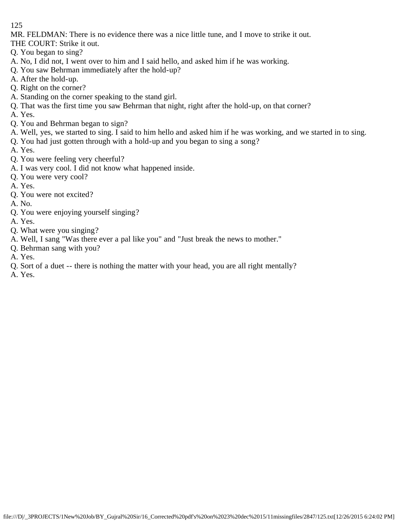MR. FELDMAN: There is no evidence there was a nice little tune, and I move to strike it out.

THE COURT: Strike it out.

- Q. You began to sing?
- A. No, I did not, I went over to him and I said hello, and asked him if he was working.
- Q. You saw Behrman immediately after the hold-up?
- A. After the hold-up.
- Q. Right on the corner?
- A. Standing on the corner speaking to the stand girl.
- Q. That was the first time you saw Behrman that night, right after the hold-up, on that corner?
- A. Yes.
- Q. You and Behrman began to sign?
- A. Well, yes, we started to sing. I said to him hello and asked him if he was working, and we started in to sing.
- Q. You had just gotten through with a hold-up and you began to sing a song?
- A. Yes.
- Q. You were feeling very cheerful?
- A. I was very cool. I did not know what happened inside.
- Q. You were very cool?
- A. Yes.
- Q. You were not excited?
- A. No.
- Q. You were enjoying yourself singing?
- A. Yes.
- Q. What were you singing?
- A. Well, I sang "Was there ever a pal like you" and "Just break the news to mother."
- Q. Behrman sang with you?
- A. Yes.
- Q. Sort of a duet -- there is nothing the matter with your head, you are all right mentally?
- A. Yes.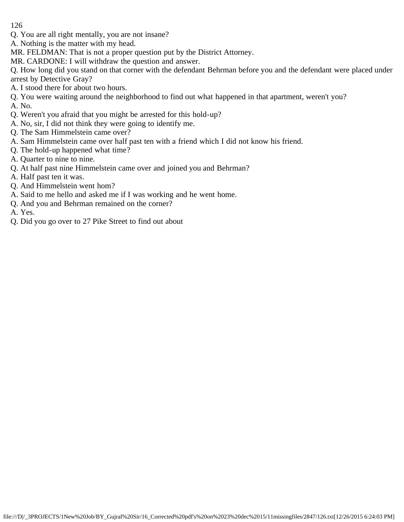Q. You are all right mentally, you are not insane?

A. Nothing is the matter with my head.

MR. FELDMAN: That is not a proper question put by the District Attorney.

MR. CARDONE: I will withdraw the question and answer.

Q. How long did you stand on that corner with the defendant Behrman before you and the defendant were placed under arrest by Detective Gray?

A. I stood there for about two hours.

Q. You were waiting around the neighborhood to find out what happened in that apartment, weren't you? A. No.

- Q. Weren't you afraid that you might be arrested for this hold-up?
- A. No, sir, I did not think they were going to identify me.
- Q. The Sam Himmelstein came over?
- A. Sam Himmelstein came over half past ten with a friend which I did not know his friend.
- Q. The hold-up happened what time?
- A. Quarter to nine to nine.
- Q. At half past nine Himmelstein came over and joined you and Behrman?
- A. Half past ten it was.
- Q. And Himmelstein went hom?
- A. Said to me hello and asked me if I was working and he went home.
- Q. And you and Behrman remained on the corner?
- A. Yes.
- Q. Did you go over to 27 Pike Street to find out about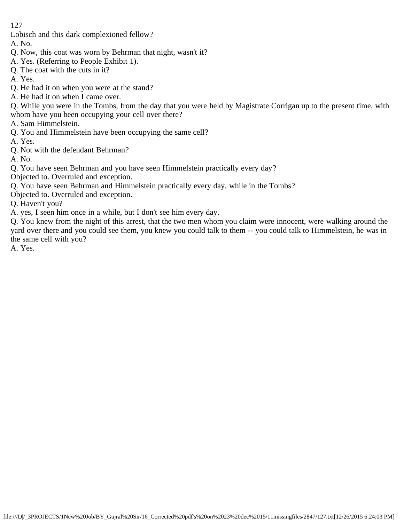Lobisch and this dark complexioned fellow?

A. No.

- Q. Now, this coat was worn by Behrman that night, wasn't it?
- A. Yes. (Referring to People Exhibit 1).
- Q. The coat with the cuts in it?
- A. Yes.
- Q. He had it on when you were at the stand?
- A. He had it on when I came over.
- Q. While you were in the Tombs, from the day that you were held by Magistrate Corrigan up to the present time, with whom have you been occupying your cell over there?
- A. Sam Himmelstein.
- Q. You and Himmelstein have been occupying the same cell?

A. Yes.

Q. Not with the defendant Behrman?

A. No.

Q. You have seen Behrman and you have seen Himmelstein practically every day?

Objected to. Overruled and exception.

- Q. You have seen Behrman and Himmelstein practically every day, while in the Tombs?
- Objected to. Overruled and exception.

Q. Haven't you?

A. yes, I seen him once in a while, but I don't see him every day.

Q. You knew from the night of this arrest, that the two men whom you claim were innocent, were walking around the yard over there and you could see them, you knew you could talk to them -- you could talk to Himmelstein, he was in the same cell with you?

A. Yes.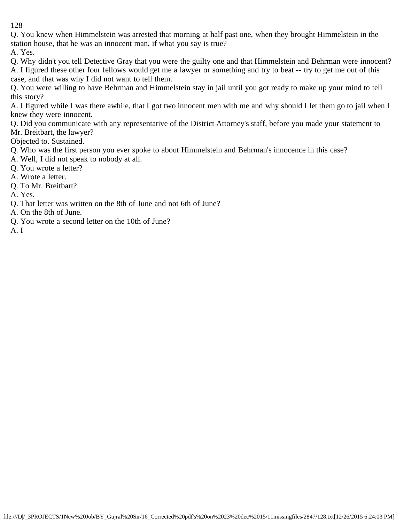Q. You knew when Himmelstein was arrested that morning at half past one, when they brought Himmelstein in the station house, that he was an innocent man, if what you say is true?

A. Yes.

Q. Why didn't you tell Detective Gray that you were the guilty one and that Himmelstein and Behrman were innocent? A. I figured these other four fellows would get me a lawyer or something and try to beat -- try to get me out of this case, and that was why I did not want to tell them.

Q. You were willing to have Behrman and Himmelstein stay in jail until you got ready to make up your mind to tell this story?

A. I figured while I was there awhile, that I got two innocent men with me and why should I let them go to jail when I knew they were innocent.

Q. Did you communicate with any representative of the District Attorney's staff, before you made your statement to Mr. Breitbart, the lawyer?

Objected to. Sustained.

- Q. Who was the first person you ever spoke to about Himmelstein and Behrman's innocence in this case?
- A. Well, I did not speak to nobody at all.
- Q. You wrote a letter?
- A. Wrote a letter.
- Q. To Mr. Breitbart?
- A. Yes.
- Q. That letter was written on the 8th of June and not 6th of June?
- A. On the 8th of June.
- Q. You wrote a second letter on the 10th of June?
- A. I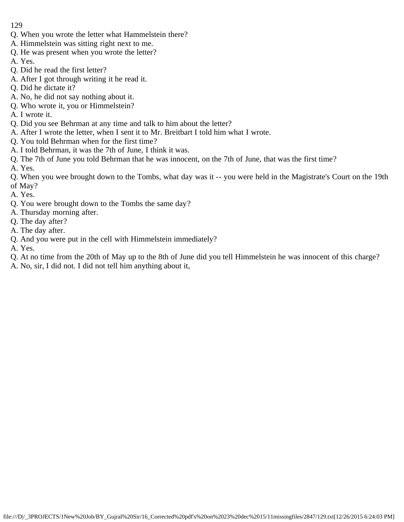- Q. When you wrote the letter what Hammelstein there?
- A. Himmelstein was sitting right next to me.
- Q. He was present when you wrote the letter?
- A. Yes.
- Q. Did he read the first letter?
- A. After I got through writing it he read it.
- Q. Did he dictate it?
- A. No, he did not say nothing about it.
- Q. Who wrote it, you or Himmelstein?
- A. I wrote it.
- Q. Did you see Behrman at any time and talk to him about the letter?
- A. After I wrote the letter, when I sent it to Mr. Breitbart I told him what I wrote.
- Q. You told Behrman when for the first time?
- A. I told Behrman, it was the 7th of June, I think it was.
- Q. The 7th of June you told Behrman that he was innocent, on the 7th of June, that was the first time?
- A. Yes.
- Q. When you wee brought down to the Tombs, what day was it -- you were held in the Magistrate's Court on the 19th of May?
- A. Yes.
- Q. You were brought down to the Tombs the same day?
- A. Thursday morning after.
- Q. The day after?
- A. The day after.
- Q. And you were put in the cell with Himmelstein immediately?
- A. Yes.
- Q. At no time from the 20th of May up to the 8th of June did you tell Himmelstein he was innocent of this charge?
- A. No, sir, I did not. I did not tell him anything about it,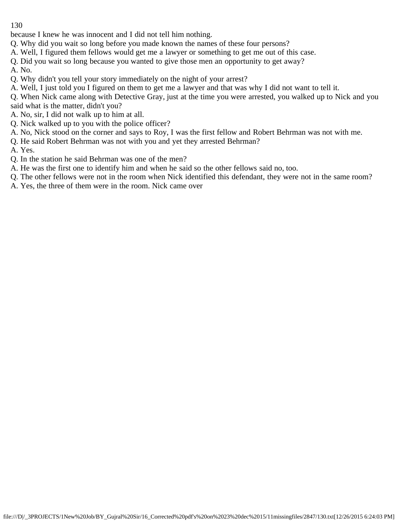because I knew he was innocent and I did not tell him nothing.

Q. Why did you wait so long before you made known the names of these four persons?

A. Well, I figured them fellows would get me a lawyer or something to get me out of this case.

Q. Did you wait so long because you wanted to give those men an opportunity to get away?

A. No.

Q. Why didn't you tell your story immediately on the night of your arrest?

A. Well, I just told you I figured on them to get me a lawyer and that was why I did not want to tell it.

Q. When Nick came along with Detective Gray, just at the time you were arrested, you walked up to Nick and you said what is the matter, didn't you?

A. No, sir, I did not walk up to him at all.

- Q. Nick walked up to you with the police officer?
- A. No, Nick stood on the corner and says to Roy, I was the first fellow and Robert Behrman was not with me.
- Q. He said Robert Behrman was not with you and yet they arrested Behrman?

A. Yes.

- Q. In the station he said Behrman was one of the men?
- A. He was the first one to identify him and when he said so the other fellows said no, too.
- Q. The other fellows were not in the room when Nick identified this defendant, they were not in the same room?
- A. Yes, the three of them were in the room. Nick came over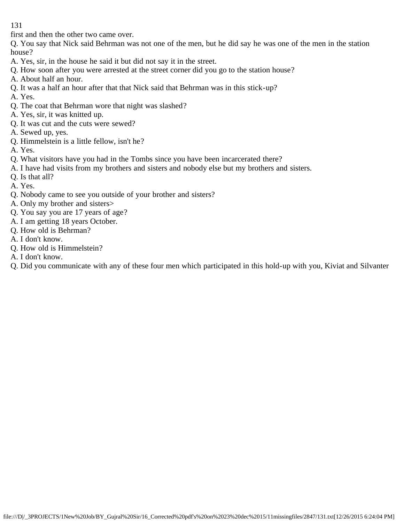first and then the other two came over.

Q. You say that Nick said Behrman was not one of the men, but he did say he was one of the men in the station house?

- A. Yes, sir, in the house he said it but did not say it in the street.
- Q. How soon after you were arrested at the street corner did you go to the station house?
- A. About half an hour.
- Q. It was a half an hour after that that Nick said that Behrman was in this stick-up?
- A. Yes.
- Q. The coat that Behrman wore that night was slashed?
- A. Yes, sir, it was knitted up.
- Q. It was cut and the cuts were sewed?
- A. Sewed up, yes.
- Q. Himmelstein is a little fellow, isn't he?
- A. Yes.
- Q. What visitors have you had in the Tombs since you have been incarcerated there?
- A. I have had visits from my brothers and sisters and nobody else but my brothers and sisters.
- Q. Is that all?
- A. Yes.
- Q. Nobody came to see you outside of your brother and sisters?
- A. Only my brother and sisters>
- Q. You say you are 17 years of age?
- A. I am getting 18 years October.
- Q. How old is Behrman?
- A. I don't know.
- Q. How old is Himmelstein?
- A. I don't know.
- Q. Did you communicate with any of these four men which participated in this hold-up with you, Kiviat and Silvanter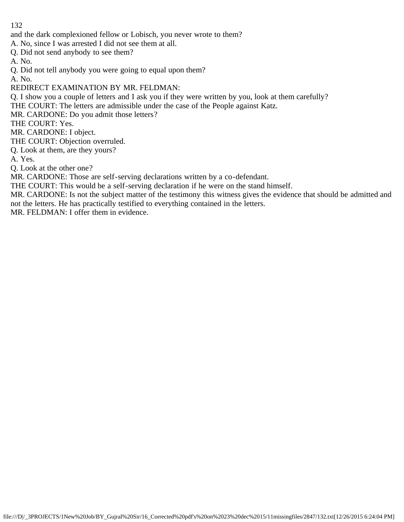and the dark complexioned fellow or Lobisch, you never wrote to them?

A. No, since I was arrested I did not see them at all.

Q. Did not send anybody to see them?

A. No.

Q. Did not tell anybody you were going to equal upon them?

A. No.

REDIRECT EXAMINATION BY MR. FELDMAN:

Q. I show you a couple of letters and I ask you if they were written by you, look at them carefully?

THE COURT: The letters are admissible under the case of the People against Katz.

MR. CARDONE: Do you admit those letters?

THE COURT: Yes.

MR. CARDONE: I object.

THE COURT: Objection overruled.

Q. Look at them, are they yours?

A. Yes.

Q. Look at the other one?

MR. CARDONE: Those are self-serving declarations written by a co-defendant.

THE COURT: This would be a self-serving declaration if he were on the stand himself.

MR. CARDONE: Is not the subject matter of the testimony this witness gives the evidence that should be admitted and not the letters. He has practically testified to everything contained in the letters.

MR. FELDMAN: I offer them in evidence.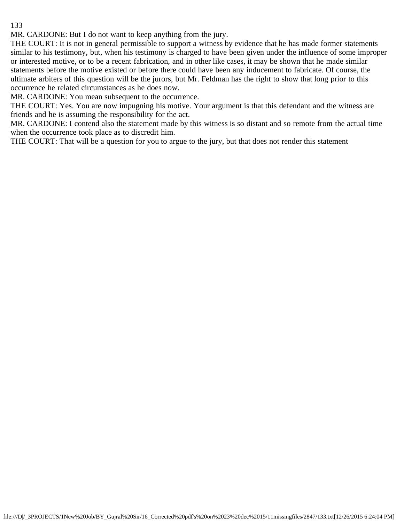MR. CARDONE: But I do not want to keep anything from the jury.

THE COURT: It is not in general permissible to support a witness by evidence that he has made former statements similar to his testimony, but, when his testimony is charged to have been given under the influence of some improper or interested motive, or to be a recent fabrication, and in other like cases, it may be shown that he made similar statements before the motive existed or before there could have been any inducement to fabricate. Of course, the ultimate arbiters of this question will be the jurors, but Mr. Feldman has the right to show that long prior to this occurrence he related circumstances as he does now.

MR. CARDONE: You mean subsequent to the occurrence.

THE COURT: Yes. You are now impugning his motive. Your argument is that this defendant and the witness are friends and he is assuming the responsibility for the act.

MR. CARDONE: I contend also the statement made by this witness is so distant and so remote from the actual time when the occurrence took place as to discredit him.

THE COURT: That will be a question for you to argue to the jury, but that does not render this statement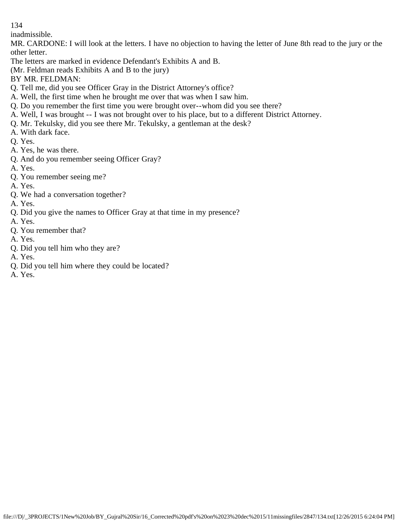inadmissible.

MR. CARDONE: I will look at the letters. I have no objection to having the letter of June 8th read to the jury or the other letter.

The letters are marked in evidence Defendant's Exhibits A and B.

(Mr. Feldman reads Exhibits A and B to the jury)

BY MR. FELDMAN:

- Q. Tell me, did you see Officer Gray in the District Attorney's office?
- A. Well, the first time when he brought me over that was when I saw him.
- Q. Do you remember the first time you were brought over--whom did you see there?
- A. Well, I was brought -- I was not brought over to his place, but to a different District Attorney.
- Q. Mr. Tekulsky, did you see there Mr. Tekulsky, a gentleman at the desk?
- A. With dark face.
- Q. Yes.
- A. Yes, he was there.
- Q. And do you remember seeing Officer Gray?
- A. Yes.
- Q. You remember seeing me?
- A. Yes.
- Q. We had a conversation together?

A. Yes.

- Q. Did you give the names to Officer Gray at that time in my presence?
- A. Yes.
- Q. You remember that?
- A. Yes.
- Q. Did you tell him who they are?

A. Yes.

- Q. Did you tell him where they could be located?
- A. Yes.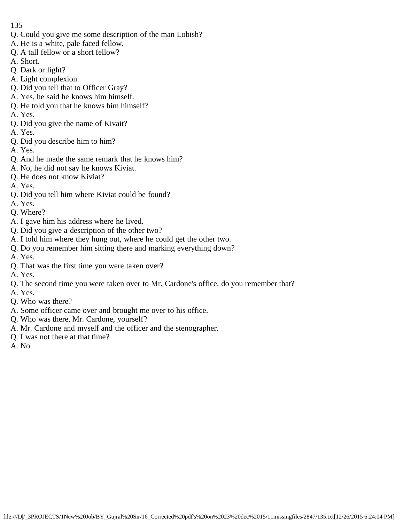- Q. Could you give me some description of the man Lobish?
- A. He is a white, pale faced fellow.
- Q. A tall fellow or a short fellow?
- A. Short.
- Q. Dark or light?
- A. Light complexion.
- Q. Did you tell that to Officer Gray?
- A. Yes, he said he knows him himself.
- Q. He told you that he knows him himself?
- A. Yes.
- Q. Did you give the name of Kivait?
- A. Yes.
- Q. Did you describe him to him?
- A. Yes.
- Q. And he made the same remark that he knows him?
- A. No, he did not say he knows Kiviat.
- Q. He does not know Kiviat?
- A. Yes.
- Q. Did you tell him where Kiviat could be found?
- A. Yes.
- Q. Where?
- A. I gave him his address where he lived.
- Q. Did you give a description of the other two?
- A. I told him where they hung out, where he could get the other two.
- Q. Do you remember him sitting there and marking everything down?
- A. Yes.
- Q. That was the first time you were taken over?
- A. Yes.
- Q. The second time you were taken over to Mr. Cardone's office, do you remember that?
- A. Yes.
- Q. Who was there?
- A. Some officer came over and brought me over to his office.
- Q. Who was there, Mr. Cardone, yourself?
- A. Mr. Cardone and myself and the officer and the stenographer.
- Q. I was not there at that time?
- A. No.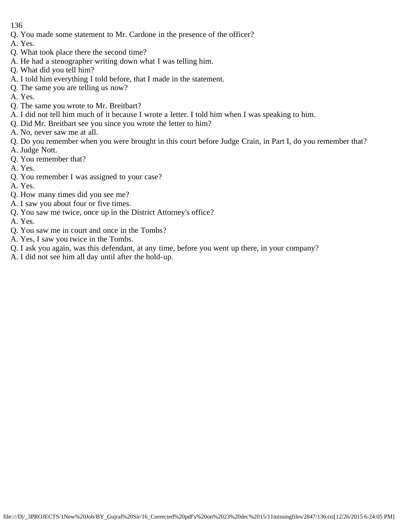- Q. You made some statement to Mr. Cardone in the presence of the officer?
- A. Yes.
- Q. What took place there the second time?
- A. He had a stenographer writing down what I was telling him.
- Q. What did you tell him?
- A. I told him everything I told before, that I made in the statement.
- Q. The same you are telling us now?
- A. Yes.
- Q. The same you wrote to Mr. Breitbart?
- A. I did not tell him much of it because I wrote a letter. I told him when I was speaking to him.
- Q. Did Mr. Breitbart see you since you wrote the letter to him?
- A. No, never saw me at all.
- Q. Do you remember when you were brought in this court before Judge Crain, in Part I, do you remember that?
- A. Judge Nott.
- Q. You remember that?
- A. Yes.
- Q. You remember I was assigned to your case?
- A. Yes.
- Q. How many times did you see me?
- A. I saw you about four or five times.
- Q. You saw me twice, once up in the District Attorney's office?
- A. Yes.
- Q. You saw me in court and once in the Tombs?
- A. Yes, I saw you twice in the Tombs.
- Q. I ask you again, was this defendant, at any time, before you went up there, in your company?
- A. I did not see him all day until after the hold-up.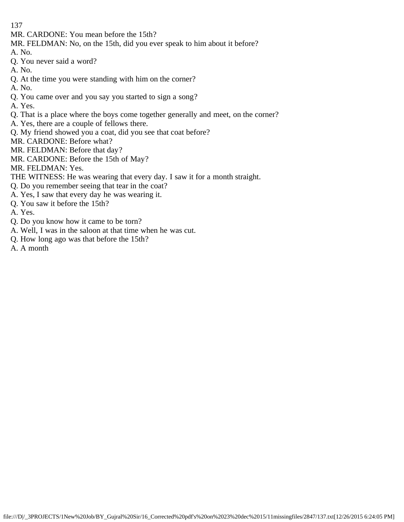- MR. CARDONE: You mean before the 15th?
- MR. FELDMAN: No, on the 15th, did you ever speak to him about it before?
- A. No.
- Q. You never said a word?
- A. No.
- Q. At the time you were standing with him on the corner?
- A. No.
- Q. You came over and you say you started to sign a song?
- A. Yes.
- Q. That is a place where the boys come together generally and meet, on the corner?
- A. Yes, there are a couple of fellows there.
- Q. My friend showed you a coat, did you see that coat before?
- MR. CARDONE: Before what?
- MR. FELDMAN: Before that day?
- MR. CARDONE: Before the 15th of May?
- MR. FELDMAN: Yes.
- THE WITNESS: He was wearing that every day. I saw it for a month straight.
- Q. Do you remember seeing that tear in the coat?
- A. Yes, I saw that every day he was wearing it.
- Q. You saw it before the 15th?
- A. Yes.
- Q. Do you know how it came to be torn?
- A. Well, I was in the saloon at that time when he was cut.
- Q. How long ago was that before the 15th?
- A. A month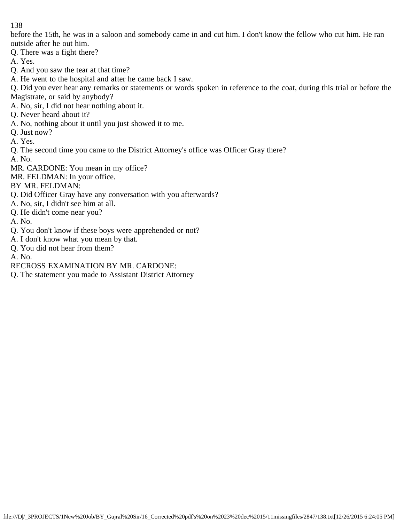before the 15th, he was in a saloon and somebody came in and cut him. I don't know the fellow who cut him. He ran outside after he out him.

Q. There was a fight there?

A. Yes.

Q. And you saw the tear at that time?

A. He went to the hospital and after he came back I saw.

Q. Did you ever hear any remarks or statements or words spoken in reference to the coat, during this trial or before the Magistrate, or said by anybody?

A. No, sir, I did not hear nothing about it.

- Q. Never heard about it?
- A. No, nothing about it until you just showed it to me.

Q. Just now?

A. Yes.

Q. The second time you came to the District Attorney's office was Officer Gray there?

A. No.

MR. CARDONE: You mean in my office?

MR. FELDMAN: In your office.

BY MR. FELDMAN:

- Q. Did Officer Gray have any conversation with you afterwards?
- A. No, sir, I didn't see him at all.
- Q. He didn't come near you?
- A. No.
- Q. You don't know if these boys were apprehended or not?
- A. I don't know what you mean by that.
- Q. You did not hear from them?

A. No.

RECROSS EXAMINATION BY MR. CARDONE:

Q. The statement you made to Assistant District Attorney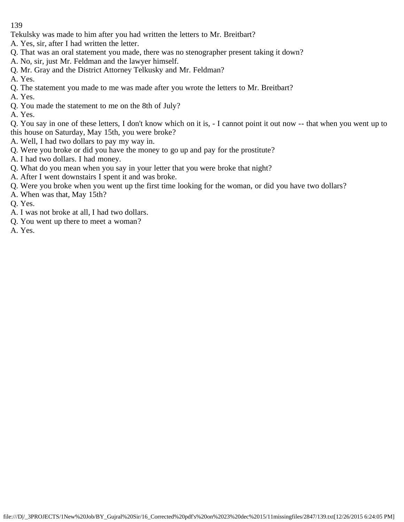Tekulsky was made to him after you had written the letters to Mr. Breitbart?

- A. Yes, sir, after I had written the letter.
- Q. That was an oral statement you made, there was no stenographer present taking it down?
- A. No, sir, just Mr. Feldman and the lawyer himself.
- Q. Mr. Gray and the District Attorney Telkusky and Mr. Feldman?
- A. Yes.
- Q. The statement you made to me was made after you wrote the letters to Mr. Breitbart?
- A. Yes.
- Q. You made the statement to me on the 8th of July?
- A. Yes.

Q. You say in one of these letters, I don't know which on it is, - I cannot point it out now -- that when you went up to this house on Saturday, May 15th, you were broke?

- A. Well, I had two dollars to pay my way in.
- Q. Were you broke or did you have the money to go up and pay for the prostitute?
- A. I had two dollars. I had money.
- Q. What do you mean when you say in your letter that you were broke that night?
- A. After I went downstairs I spent it and was broke.
- Q. Were you broke when you went up the first time looking for the woman, or did you have two dollars?
- A. When was that, May 15th?
- Q. Yes.
- A. I was not broke at all, I had two dollars.
- Q. You went up there to meet a woman?
- A. Yes.